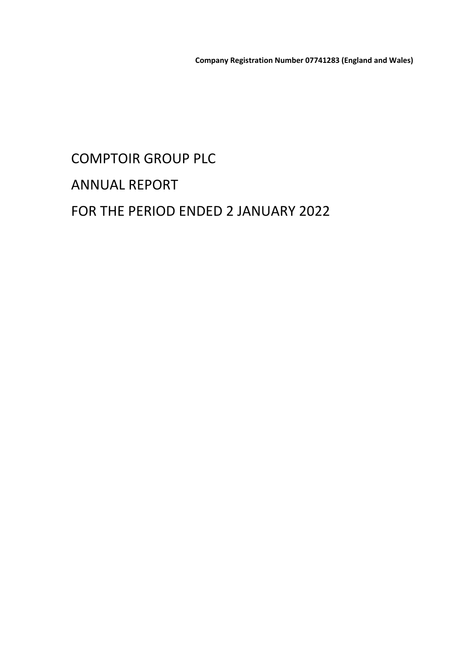# COMPTOIR GROUP PLC ANNUAL REPORT FOR THE PERIOD ENDED 2 JANUARY 2022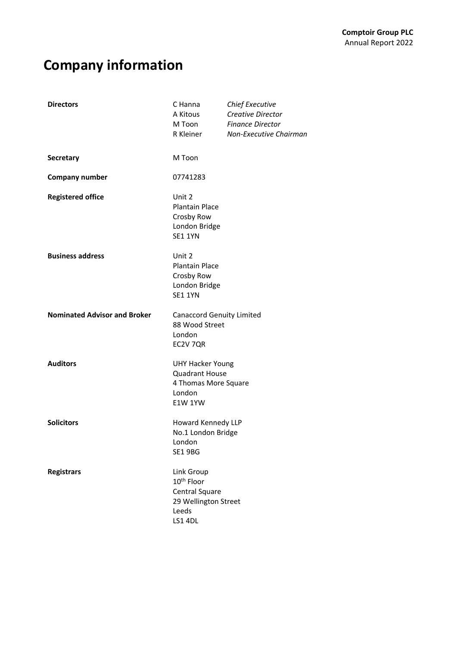# **Company information**

| <b>Directors</b>                    | C Hanna<br>A Kitous<br>M Toon<br>R Kleiner                                                           | <b>Chief Executive</b><br>Creative Director<br><b>Finance Director</b><br>Non-Executive Chairman |
|-------------------------------------|------------------------------------------------------------------------------------------------------|--------------------------------------------------------------------------------------------------|
| <b>Secretary</b>                    | M Toon                                                                                               |                                                                                                  |
| <b>Company number</b>               | 07741283                                                                                             |                                                                                                  |
| <b>Registered office</b>            | Unit 2<br><b>Plantain Place</b><br>Crosby Row<br>London Bridge<br><b>SE1 1YN</b>                     |                                                                                                  |
| <b>Business address</b>             | Unit 2<br><b>Plantain Place</b><br>Crosby Row<br>London Bridge<br><b>SE1 1YN</b>                     |                                                                                                  |
| <b>Nominated Advisor and Broker</b> | <b>Canaccord Genuity Limited</b><br>88 Wood Street<br>London<br>EC2V 7QR                             |                                                                                                  |
| <b>Auditors</b>                     | <b>UHY Hacker Young</b><br><b>Quadrant House</b><br>4 Thomas More Square<br>London<br><b>E1W 1YW</b> |                                                                                                  |
| <b>Solicitors</b>                   | Howard Kennedy LLP<br>No.1 London Bridge<br>London<br><b>SE1 9BG</b>                                 |                                                                                                  |
| <b>Registrars</b>                   | Link Group<br>10 <sup>th</sup> Floor<br>Central Square<br>29 Wellington Street<br>Leeds<br>LS1 4DL   |                                                                                                  |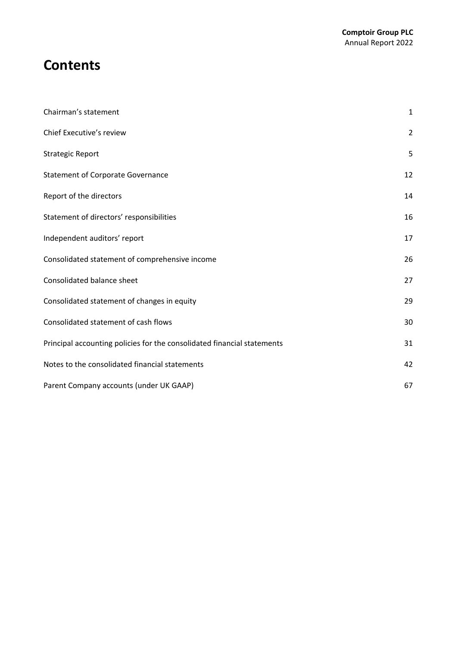### **Contents**

| Chairman's statement                                                    | $\mathbf{1}$   |
|-------------------------------------------------------------------------|----------------|
| Chief Executive's review                                                | $\overline{2}$ |
| <b>Strategic Report</b>                                                 | 5              |
| <b>Statement of Corporate Governance</b>                                | 12             |
| Report of the directors                                                 | 14             |
| Statement of directors' responsibilities                                | 16             |
| Independent auditors' report                                            | 17             |
| Consolidated statement of comprehensive income                          | 26             |
| Consolidated balance sheet                                              | 27             |
| Consolidated statement of changes in equity                             | 29             |
| Consolidated statement of cash flows                                    | 30             |
| Principal accounting policies for the consolidated financial statements | 31             |
| Notes to the consolidated financial statements                          | 42             |
| Parent Company accounts (under UK GAAP)                                 | 67             |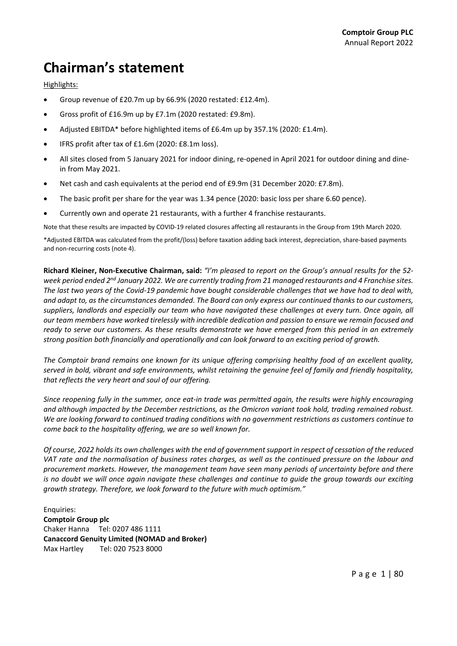## **Chairman's statement**

Highlights:

- Group revenue of £20.7m up by 66.9% (2020 restated: £12.4m).
- Gross profit of £16.9m up by £7.1m (2020 restated: £9.8m).
- Adjusted EBITDA\* before highlighted items of £6.4m up by 357.1% (2020: £1.4m).
- IFRS profit after tax of £1.6m (2020: £8.1m loss).
- All sites closed from 5 January 2021 for indoor dining, re-opened in April 2021 for outdoor dining and dinein from May 2021.
- Net cash and cash equivalents at the period end of £9.9m (31 December 2020: £7.8m).
- The basic profit per share for the year was 1.34 pence (2020: basic loss per share 6.60 pence).
- Currently own and operate 21 restaurants, with a further 4 franchise restaurants.

Note that these results are impacted by COVID‐19 related closures affecting all restaurants in the Group from 19th March 2020.

\*Adjusted EBITDA was calculated from the profit/(loss) before taxation adding back interest, depreciation, share‐based payments and non‐recurring costs (note 4).

Richard Kleiner, Non-Executive Chairman, said: "I'm pleased to report on the Group's annual results for the 52week period ended 2<sup>nd</sup> January 2022. We are currently trading from 21 managed restaurants and 4 Franchise sites. The last two years of the Covid-19 pandemic have bought considerable challenges that we have had to deal with, and adapt to, as the circumstances demanded. The Board can only express our continued thanks to our customers, suppliers, landlords and especially our team who have navigated these challenges at every turn. Once again, all our team members have worked tirelessly with incredible dedication and passion to ensure we remain focused and ready to serve our customers. As these results demonstrate we have emerged from this period in an extremely *strong position both financially and operationally and can look forward to an exciting period of growth.*

The Comptoir brand remains one known for its unique offering comprising healthy food of an excellent quality, served in bold, vibrant and safe environments, whilst retaining the genuine feel of family and friendly hospitality, *that reflects the very heart and soul of our offering.*

Since reopening fully in the summer, once eat-in trade was permitted again, the results were highly encouraging *and although impacted by the December restrictions, as the Omicron variant took hold, trading remained robust. We are looking forward to continued trading conditions with no government restrictions as customers continue to come back to the hospitality offering, we are so well known for.* 

Of course, 2022 holds its own challenges with the end of government support in respect of cessation of the reduced VAT rate and the normalisation of business rates charges, as well as the continued pressure on the labour and *procurement markets. However, the management team have seen many periods of uncertainty before and there* is no doubt we will once again navigate these challenges and continue to quide the group towards our exciting *growth strategy. Therefore, we look forward to the future with much optimism."*

Enquiries: **Comptoir Group plc** Chaker Hanna Tel: 0207 486 1111 **Canaccord Genuity Limited (NOMAD and Broker)** Max Hartley Tel: 020 7523 8000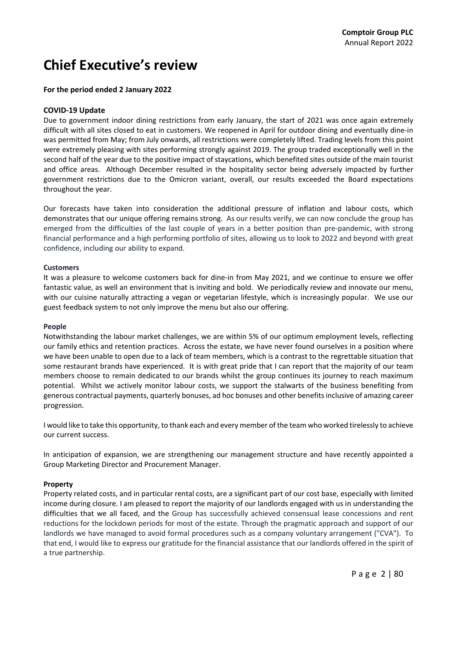## **Chief Executive's review**

### **For the period ended 2 January 2022**

### **COVID‐19 Update**

Due to government indoor dining restrictions from early January, the start of 2021 was once again extremely difficult with all sites closed to eat in customers. We reopened in April for outdoor dining and eventually dine‐in was permitted from May; from July onwards, all restrictions were completely lifted. Trading levels from this point were extremely pleasing with sites performing strongly against 2019. The group traded exceptionally well in the second half of the year due to the positive impact of staycations, which benefited sites outside of the main tourist and office areas. Although December resulted in the hospitality sector being adversely impacted by further government restrictions due to the Omicron variant, overall, our results exceeded the Board expectations throughout the year.

Our forecasts have taken into consideration the additional pressure of inflation and labour costs, which demonstrates that our unique offering remains strong. As our results verify, we can now conclude the group has emerged from the difficulties of the last couple of years in a better position than pre-pandemic, with strong financial performance and a high performing portfolio of sites, allowing us to look to 2022 and beyond with great confidence, including our ability to expand.

### **Customers**

It was a pleasure to welcome customers back for dine-in from May 2021, and we continue to ensure we offer fantastic value, as well an environment that is inviting and bold. We periodically review and innovate our menu, with our cuisine naturally attracting a vegan or vegetarian lifestyle, which is increasingly popular. We use our guest feedback system to not only improve the menu but also our offering.

#### **People**

Notwithstanding the labour market challenges, we are within 5% of our optimum employment levels, reflecting our family ethics and retention practices. Across the estate, we have never found ourselves in a position where we have been unable to open due to a lack of team members, which is a contrast to the regrettable situation that some restaurant brands have experienced. It is with great pride that I can report that the majority of our team members choose to remain dedicated to our brands whilst the group continues its journey to reach maximum potential. Whilst we actively monitor labour costs, we support the stalwarts of the business benefiting from generous contractual payments, quarterly bonuses, ad hoc bonuses and other benefitsinclusive of amazing career progression.

I would like to take this opportunity, to thank each and every member of the team who worked tirelessly to achieve our current success.

In anticipation of expansion, we are strengthening our management structure and have recently appointed a Group Marketing Director and Procurement Manager.

### **Property**

Property related costs, and in particular rental costs, are a significant part of our cost base, especially with limited income during closure. I am pleased to report the majority of our landlords engaged with us in understanding the difficulties that we all faced, and the Group has successfully achieved consensual lease concessions and rent reductions for the lockdown periods for most of the estate. Through the pragmatic approach and support of our landlords we have managed to avoid formal procedures such as a company voluntary arrangement ("CVA"). To that end, I would like to express our gratitude for the financial assistance that our landlords offered in the spirit of a true partnership.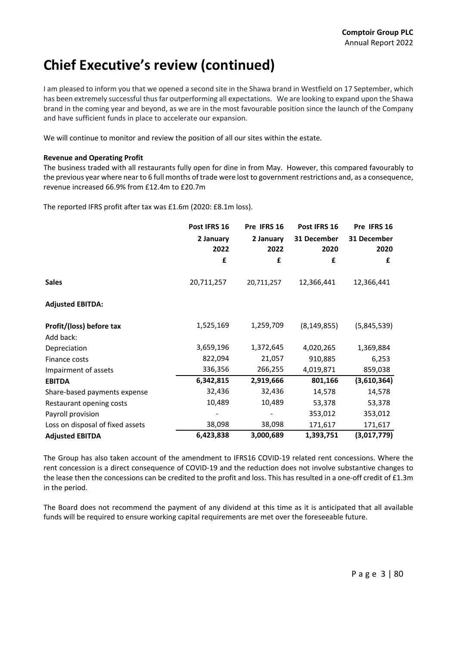## **Chief Executive's review (continued)**

I am pleased to inform you that we opened a second site in the Shawa brand in Westfield on 17 September, which has been extremely successful thus far outperforming all expectations. We are looking to expand upon the Shawa brand in the coming year and beyond, as we are in the most favourable position since the launch of the Company and have sufficient funds in place to accelerate our expansion.

We will continue to monitor and review the position of all our sites within the estate.

### **Revenue and Operating Profit**

The business traded with all restaurants fully open for dine in from May. However, this compared favourably to the previous year where near to 6 full months of trade were lost to government restrictions and, as a consequence, revenue increased 66.9% from £12.4m to £20.7m

The reported IFRS profit after tax was £1.6m (2020: £8.1m loss).

|                                  | Post IFRS 16      | Pre IFRS 16       | Post IFRS 16        | Pre IFRS 16         |
|----------------------------------|-------------------|-------------------|---------------------|---------------------|
|                                  | 2 January<br>2022 | 2 January<br>2022 | 31 December<br>2020 | 31 December<br>2020 |
|                                  | £                 | £                 | £                   | £                   |
| <b>Sales</b>                     | 20,711,257        | 20,711,257        | 12,366,441          | 12,366,441          |
| <b>Adjusted EBITDA:</b>          |                   |                   |                     |                     |
| Profit/(loss) before tax         | 1,525,169         | 1,259,709         | (8, 149, 855)       | (5,845,539)         |
| Add back:                        |                   |                   |                     |                     |
| Depreciation                     | 3,659,196         | 1,372,645         | 4,020,265           | 1,369,884           |
| Finance costs                    | 822,094           | 21,057            | 910,885             | 6,253               |
| Impairment of assets             | 336,356           | 266,255           | 4,019,871           | 859,038             |
| <b>EBITDA</b>                    | 6,342,815         | 2,919,666         | 801,166             | (3,610,364)         |
| Share-based payments expense     | 32,436            | 32,436            | 14,578              | 14,578              |
| Restaurant opening costs         | 10,489            | 10,489            | 53,378              | 53,378              |
| Payroll provision                |                   |                   | 353,012             | 353,012             |
| Loss on disposal of fixed assets | 38,098            | 38,098            | 171,617             | 171,617             |
| <b>Adjusted EBITDA</b>           | 6,423,838         | 3,000,689         | 1,393,751           | (3,017,779)         |

The Group has also taken account of the amendment to IFRS16 COVID‐19 related rent concessions. Where the rent concession is a direct consequence of COVID‐19 and the reduction does not involve substantive changes to the lease then the concessions can be credited to the profit and loss. This has resulted in a one-off credit of £1.3m in the period.

The Board does not recommend the payment of any dividend at this time as it is anticipated that all available funds will be required to ensure working capital requirements are met over the foreseeable future.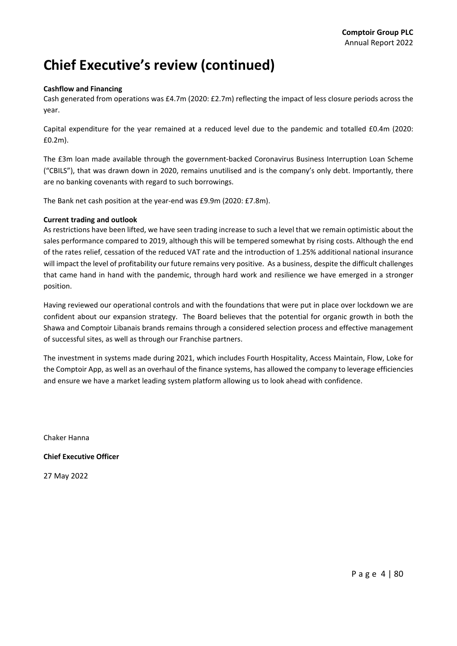## **Chief Executive's review (continued)**

### **Cashflow and Financing**

Cash generated from operations was £4.7m (2020: £2.7m) reflecting the impact of less closure periods across the year.

Capital expenditure for the year remained at a reduced level due to the pandemic and totalled £0.4m (2020: £0.2m).

The £3m loan made available through the government-backed Coronavirus Business Interruption Loan Scheme ("CBILS"), that was drawn down in 2020, remains unutilised and is the company's only debt. Importantly, there are no banking covenants with regard to such borrowings.

The Bank net cash position at the year-end was £9.9m (2020: £7.8m).

### **Current trading and outlook**

As restrictions have been lifted, we have seen trading increase to such a level that we remain optimistic about the sales performance compared to 2019, although this will be tempered somewhat by rising costs. Although the end of the rates relief, cessation of the reduced VAT rate and the introduction of 1.25% additional national insurance will impact the level of profitability our future remains very positive. As a business, despite the difficult challenges that came hand in hand with the pandemic, through hard work and resilience we have emerged in a stronger position.

Having reviewed our operational controls and with the foundations that were put in place over lockdown we are confident about our expansion strategy. The Board believes that the potential for organic growth in both the Shawa and Comptoir Libanais brands remains through a considered selection process and effective management of successful sites, as well as through our Franchise partners.

The investment in systems made during 2021, which includes Fourth Hospitality, Access Maintain, Flow, Loke for the Comptoir App, as well as an overhaul of the finance systems, has allowed the company to leverage efficiencies and ensure we have a market leading system platform allowing us to look ahead with confidence.

Chaker Hanna

**Chief Executive Officer**

27 May 2022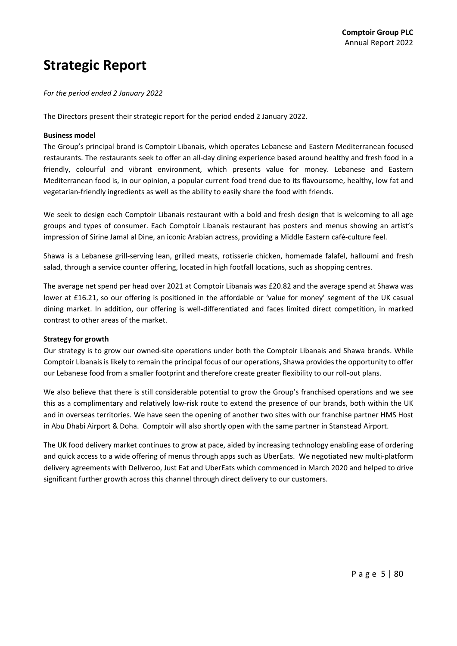### **Strategic Report**

*For the period ended 2 January 2022*

The Directors present their strategic report for the period ended 2 January 2022.

#### **Business model**

The Group's principal brand is Comptoir Libanais, which operates Lebanese and Eastern Mediterranean focused restaurants. The restaurants seek to offer an all-day dining experience based around healthy and fresh food in a friendly, colourful and vibrant environment, which presents value for money. Lebanese and Eastern Mediterranean food is, in our opinion, a popular current food trend due to its flavoursome, healthy, low fat and vegetarian‐friendly ingredients as well as the ability to easily share the food with friends.

We seek to design each Comptoir Libanais restaurant with a bold and fresh design that is welcoming to all age groups and types of consumer. Each Comptoir Libanais restaurant has posters and menus showing an artist's impression of Sirine Jamal al Dine, an iconic Arabian actress, providing a Middle Eastern café‐culture feel.

Shawa is a Lebanese grill‐serving lean, grilled meats, rotisserie chicken, homemade falafel, halloumi and fresh salad, through a service counter offering, located in high footfall locations, such as shopping centres.

The average net spend per head over 2021 at Comptoir Libanais was £20.82 and the average spend at Shawa was lower at £16.21, so our offering is positioned in the affordable or 'value for money' segment of the UK casual dining market. In addition, our offering is well-differentiated and faces limited direct competition, in marked contrast to other areas of the market.

### **Strategy for growth**

Our strategy is to grow our owned‐site operations under both the Comptoir Libanais and Shawa brands. While Comptoir Libanais is likely to remain the principal focus of our operations, Shawa provides the opportunity to offer our Lebanese food from a smaller footprint and therefore create greater flexibility to our roll-out plans.

We also believe that there is still considerable potential to grow the Group's franchised operations and we see this as a complimentary and relatively low‐risk route to extend the presence of our brands, both within the UK and in overseas territories. We have seen the opening of another two sites with our franchise partner HMS Host in Abu Dhabi Airport & Doha. Comptoir will also shortly open with the same partner in Stanstead Airport.

The UK food delivery market continues to grow at pace, aided by increasing technology enabling ease of ordering and quick access to a wide offering of menus through apps such as UberEats. We negotiated new multi-platform delivery agreements with Deliveroo, Just Eat and UberEats which commenced in March 2020 and helped to drive significant further growth across this channel through direct delivery to our customers.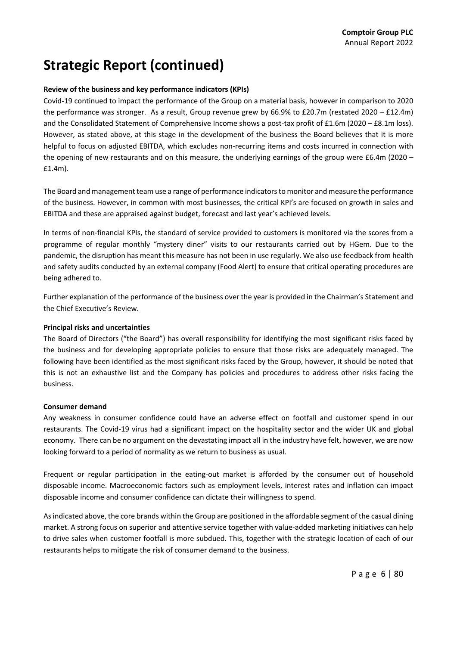### **Review of the business and key performance indicators (KPIs)**

Covid‐19 continued to impact the performance of the Group on a material basis, however in comparison to 2020 the performance was stronger. As a result, Group revenue grew by 66.9% to £20.7m (restated 2020 – £12.4m) and the Consolidated Statement of Comprehensive Income shows a post-tax profit of £1.6m (2020 – £8.1m loss). However, as stated above, at this stage in the development of the business the Board believes that it is more helpful to focus on adjusted EBITDA, which excludes non-recurring items and costs incurred in connection with the opening of new restaurants and on this measure, the underlying earnings of the group were £6.4m (2020 – £1.4m).

The Board and managementteam use a range of performance indicatorsto monitor and measure the performance of the business. However, in common with most businesses, the critical KPI's are focused on growth in sales and EBITDA and these are appraised against budget, forecast and last year's achieved levels.

In terms of non-financial KPIs, the standard of service provided to customers is monitored via the scores from a programme of regular monthly "mystery diner" visits to our restaurants carried out by HGem. Due to the pandemic, the disruption has meant this measure has not been in use regularly. We also use feedback from health and safety audits conducted by an external company (Food Alert) to ensure that critical operating procedures are being adhered to.

Further explanation of the performance of the business over the year is provided in the Chairman's Statement and the Chief Executive's Review.

### **Principal risks and uncertainties**

The Board of Directors ("the Board") has overall responsibility for identifying the most significant risks faced by the business and for developing appropriate policies to ensure that those risks are adequately managed. The following have been identified as the most significant risks faced by the Group, however, it should be noted that this is not an exhaustive list and the Company has policies and procedures to address other risks facing the business.

### **Consumer demand**

Any weakness in consumer confidence could have an adverse effect on footfall and customer spend in our restaurants. The Covid‐19 virus had a significant impact on the hospitality sector and the wider UK and global economy. There can be no argument on the devastating impact all in the industry have felt, however, we are now looking forward to a period of normality as we return to business as usual.

Frequent or regular participation in the eating‐out market is afforded by the consumer out of household disposable income. Macroeconomic factors such as employment levels, interest rates and inflation can impact disposable income and consumer confidence can dictate their willingness to spend.

Asindicated above, the core brands within the Group are positioned in the affordable segment of the casual dining market. A strong focus on superior and attentive service together with value‐added marketing initiatives can help to drive sales when customer footfall is more subdued. This, together with the strategic location of each of our restaurants helps to mitigate the risk of consumer demand to the business.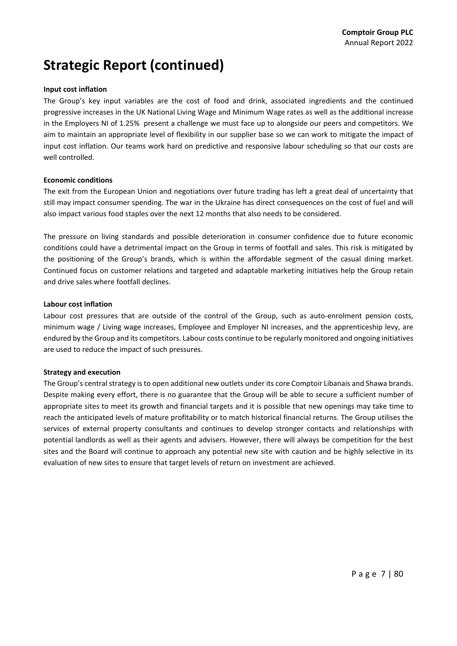### **Input cost inflation**

The Group's key input variables are the cost of food and drink, associated ingredients and the continued progressive increases in the UK National Living Wage and Minimum Wage rates as well as the additional increase in the Employers NI of 1.25% present a challenge we must face up to alongside our peers and competitors. We aim to maintain an appropriate level of flexibility in our supplier base so we can work to mitigate the impact of input cost inflation. Our teams work hard on predictive and responsive labour scheduling so that our costs are well controlled.

### **Economic conditions**

The exit from the European Union and negotiations over future trading has left a great deal of uncertainty that still may impact consumer spending. The war in the Ukraine has direct consequences on the cost of fuel and will also impact various food staples over the next 12 months that also needs to be considered.

The pressure on living standards and possible deterioration in consumer confidence due to future economic conditions could have a detrimental impact on the Group in terms of footfall and sales. This risk is mitigated by the positioning of the Group's brands, which is within the affordable segment of the casual dining market. Continued focus on customer relations and targeted and adaptable marketing initiatives help the Group retain and drive sales where footfall declines.

### **Labour cost inflation**

Labour cost pressures that are outside of the control of the Group, such as auto-enrolment pension costs, minimum wage / Living wage increases, Employee and Employer NI increases, and the apprenticeship levy, are endured by the Group and its competitors. Labour costs continue to be regularly monitored and ongoing initiatives are used to reduce the impact of such pressures.

### **Strategy and execution**

The Group's central strategy is to open additional new outlets under its core Comptoir Libanais and Shawa brands. Despite making every effort, there is no guarantee that the Group will be able to secure a sufficient number of appropriate sites to meet its growth and financial targets and it is possible that new openings may take time to reach the anticipated levels of mature profitability or to match historical financial returns. The Group utilises the services of external property consultants and continues to develop stronger contacts and relationships with potential landlords as well as their agents and advisers. However, there will always be competition for the best sites and the Board will continue to approach any potential new site with caution and be highly selective in its evaluation of new sites to ensure that target levels of return on investment are achieved.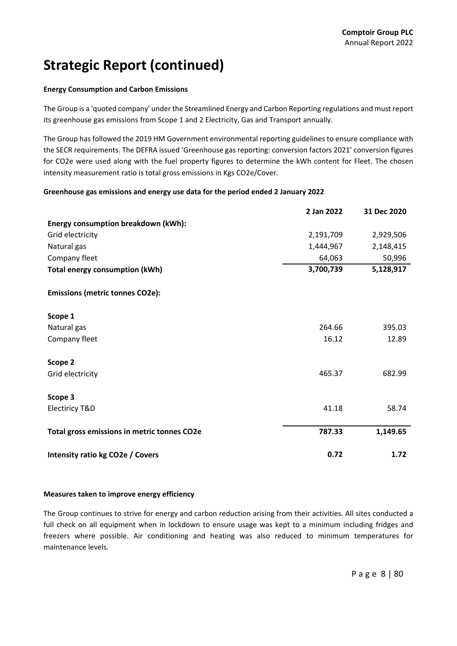### **Energy Consumption and Carbon Emissions**

The Group is a 'quoted company' under the Streamlined Energy and Carbon Reporting regulations and must report its greenhouse gas emissions from Scope 1 and 2 Electricity, Gas and Transport annually.

The Group has followed the 2019 HM Government environmental reporting guidelines to ensure compliance with the SECR requirements. The DEFRA issued 'Greenhouse gas reporting: conversion factors 2021' conversion figures for CO2e were used along with the fuel property figures to determine the kWh content for Fleet. The chosen intensity measurement ratio is total gross emissions in Kgs CO2e/Cover.

### **Greenhouse gas emissions and energy use data for the period ended 2 January 2022**

|                                             | 2 Jan 2022 | 31 Dec 2020 |
|---------------------------------------------|------------|-------------|
| Energy consumption breakdown (kWh):         |            |             |
| Grid electricity                            | 2,191,709  | 2,929,506   |
| Natural gas                                 | 1,444,967  | 2,148,415   |
| Company fleet                               | 64,063     | 50,996      |
| <b>Total energy consumption (kWh)</b>       | 3,700,739  | 5,128,917   |
| <b>Emissions (metric tonnes CO2e):</b>      |            |             |
| Scope 1                                     |            |             |
| Natural gas                                 | 264.66     | 395.03      |
| Company fleet                               | 16.12      | 12.89       |
| Scope 2                                     |            |             |
| Grid electricity                            | 465.37     | 682.99      |
| Scope 3                                     |            |             |
| <b>Electiricy T&amp;D</b>                   | 41.18      | 58.74       |
| Total gross emissions in metric tonnes CO2e | 787.33     | 1,149.65    |
| Intensity ratio kg CO2e / Covers            | 0.72       | 1.72        |

### **Measures taken to improve energy efficiency**

The Group continues to strive for energy and carbon reduction arising from their activities. All sites conducted a full check on all equipment when in lockdown to ensure usage was kept to a minimum including fridges and freezers where possible. Air conditioning and heating was also reduced to minimum temperatures for maintenance levels.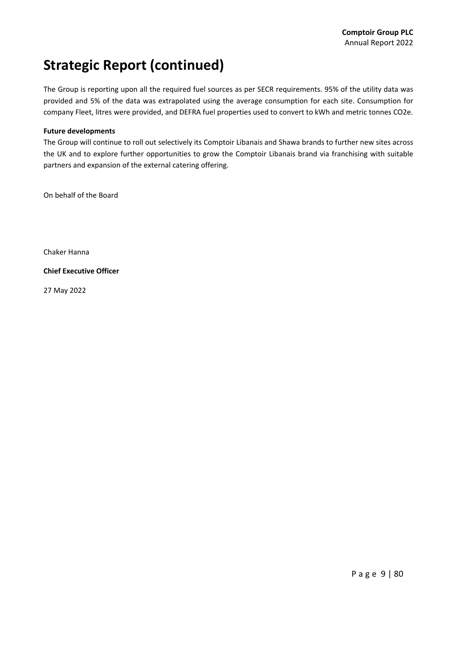The Group is reporting upon all the required fuel sources as per SECR requirements. 95% of the utility data was provided and 5% of the data was extrapolated using the average consumption for each site. Consumption for company Fleet, litres were provided, and DEFRA fuel properties used to convert to kWh and metric tonnes CO2e.

### **Future developments**

The Group will continue to roll out selectively its Comptoir Libanais and Shawa brands to further new sites across the UK and to explore further opportunities to grow the Comptoir Libanais brand via franchising with suitable partners and expansion of the external catering offering.

On behalf of the Board

Chaker Hanna

**Chief Executive Officer**

27 May 2022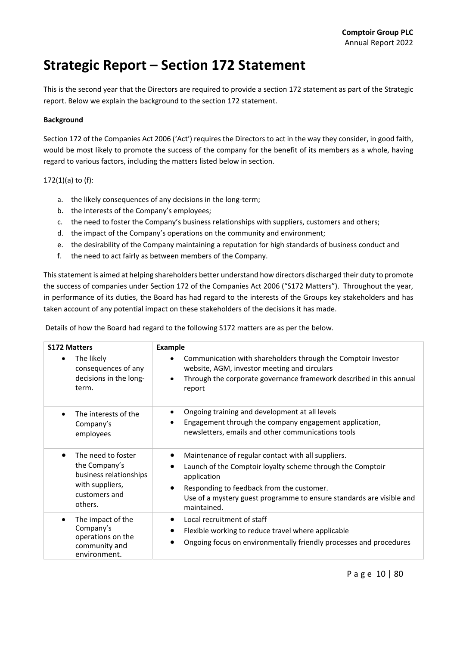## **Strategic Report – Section 172 Statement**

This is the second year that the Directors are required to provide a section 172 statement as part of the Strategic report. Below we explain the background to the section 172 statement.

### **Background**

Section 172 of the Companies Act 2006 ('Act') requires the Directors to act in the way they consider, in good faith, would be most likely to promote the success of the company for the benefit of its members as a whole, having regard to various factors, including the matters listed below in section.

### 172(1)(a) to (f):

- a. the likely consequences of any decisions in the long-term;
- b. the interests of the Company's employees;
- c. the need to foster the Company's business relationships with suppliers, customers and others;
- d. the impact of the Company's operations on the community and environment;
- e. the desirability of the Company maintaining a reputation for high standards of business conduct and
- f. the need to act fairly as between members of the Company.

Thisstatement is aimed at helping shareholders better understand how directors discharged their duty to promote the success of companies under Section 172 of the Companies Act 2006 ("S172 Matters"). Throughout the year, in performance of its duties, the Board has had regard to the interests of the Groups key stakeholders and has taken account of any potential impact on these stakeholders of the decisions it has made.

| Details of how the Board had regard to the following S172 matters are as per the below. |  |  |
|-----------------------------------------------------------------------------------------|--|--|
|                                                                                         |  |  |

| <b>S172 Matters</b>                                                                                          | Example                                                                                                                                                                                                                                                                          |
|--------------------------------------------------------------------------------------------------------------|----------------------------------------------------------------------------------------------------------------------------------------------------------------------------------------------------------------------------------------------------------------------------------|
| The likely<br>consequences of any<br>decisions in the long-<br>term.                                         | Communication with shareholders through the Comptoir Investor<br>$\bullet$<br>website, AGM, investor meeting and circulars<br>Through the corporate governance framework described in this annual<br>$\bullet$<br>report                                                         |
| The interests of the<br>Company's<br>employees                                                               | Ongoing training and development at all levels<br>Engagement through the company engagement application,<br>$\bullet$<br>newsletters, emails and other communications tools                                                                                                      |
| The need to foster<br>the Company's<br>business relationships<br>with suppliers,<br>customers and<br>others. | Maintenance of regular contact with all suppliers.<br>Launch of the Comptoir loyalty scheme through the Comptoir<br>application<br>Responding to feedback from the customer.<br>$\bullet$<br>Use of a mystery guest programme to ensure standards are visible and<br>maintained. |
| The impact of the<br>Company's<br>operations on the<br>community and<br>environment.                         | Local recruitment of staff<br>Flexible working to reduce travel where applicable<br>Ongoing focus on environmentally friendly processes and procedures                                                                                                                           |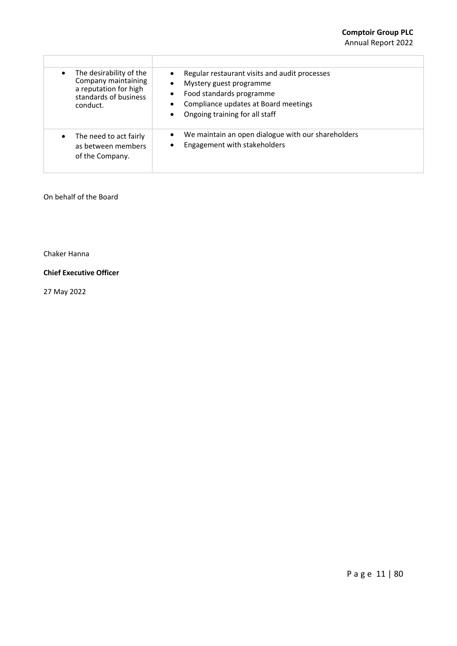| The desirability of the<br>Company maintaining<br>a reputation for high<br>standards of business<br>conduct. | Regular restaurant visits and audit processes<br>$\bullet$<br>Mystery guest programme<br>$\bullet$<br>Food standards programme<br>Compliance updates at Board meetings<br>Ongoing training for all staff<br>$\bullet$ |
|--------------------------------------------------------------------------------------------------------------|-----------------------------------------------------------------------------------------------------------------------------------------------------------------------------------------------------------------------|
| The need to act fairly<br>as between members<br>of the Company.                                              | We maintain an open dialogue with our shareholders<br>$\bullet$<br>Engagement with stakeholders                                                                                                                       |

### On behalf of the Board

Chaker Hanna

### **Chief Executive Officer**

27 May 2022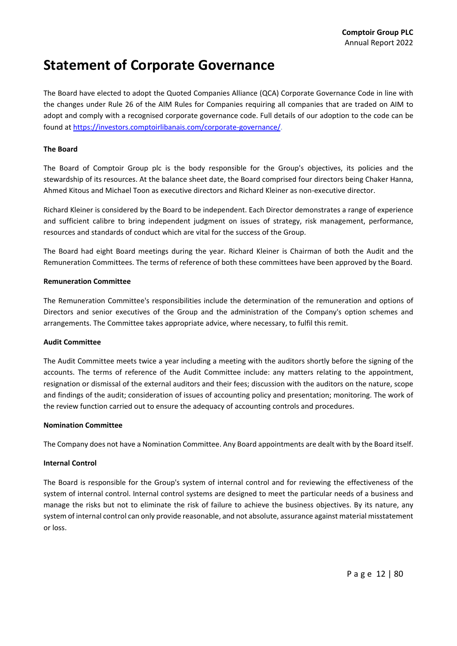### **Statement of Corporate Governance**

The Board have elected to adopt the Quoted Companies Alliance (QCA) Corporate Governance Code in line with the changes under Rule 26 of the AIM Rules for Companies requiring all companies that are traded on AIM to adopt and comply with a recognised corporate governance code. Full details of our adoption to the code can be found at https://investors.comptoirlibanais.com/corporate‐governance/.

### **The Board**

The Board of Comptoir Group plc is the body responsible for the Group's objectives, its policies and the stewardship of its resources. At the balance sheet date, the Board comprised four directors being Chaker Hanna, Ahmed Kitous and Michael Toon as executive directors and Richard Kleiner as non‐executive director.

Richard Kleiner is considered by the Board to be independent. Each Director demonstrates a range of experience and sufficient calibre to bring independent judgment on issues of strategy, risk management, performance, resources and standards of conduct which are vital for the success of the Group.

The Board had eight Board meetings during the year. Richard Kleiner is Chairman of both the Audit and the Remuneration Committees. The terms of reference of both these committees have been approved by the Board.

### **Remuneration Committee**

The Remuneration Committee's responsibilities include the determination of the remuneration and options of Directors and senior executives of the Group and the administration of the Company's option schemes and arrangements. The Committee takes appropriate advice, where necessary, to fulfil this remit.

### **Audit Committee**

The Audit Committee meets twice a year including a meeting with the auditors shortly before the signing of the accounts. The terms of reference of the Audit Committee include: any matters relating to the appointment, resignation or dismissal of the external auditors and their fees; discussion with the auditors on the nature, scope and findings of the audit; consideration of issues of accounting policy and presentation; monitoring. The work of the review function carried out to ensure the adequacy of accounting controls and procedures.

### **Nomination Committee**

The Company does not have a Nomination Committee. Any Board appointments are dealt with by the Board itself.

### **Internal Control**

The Board is responsible for the Group's system of internal control and for reviewing the effectiveness of the system of internal control. Internal control systems are designed to meet the particular needs of a business and manage the risks but not to eliminate the risk of failure to achieve the business objectives. By its nature, any system of internal control can only provide reasonable, and not absolute, assurance against material misstatement or loss.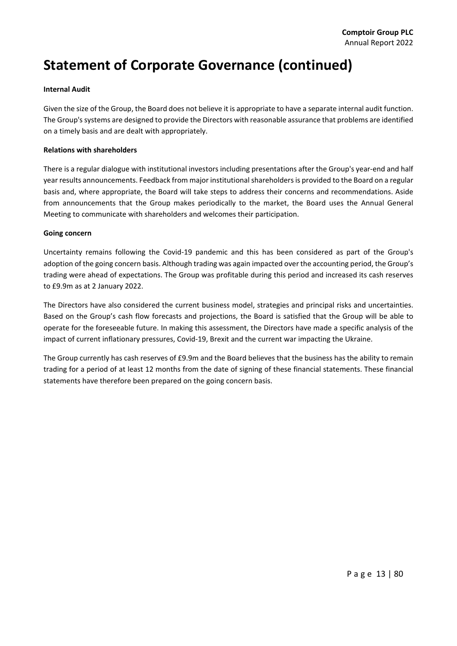## **Statement of Corporate Governance (continued)**

### **Internal Audit**

Given the size of the Group, the Board does not believe it is appropriate to have a separate internal audit function. The Group's systems are designed to provide the Directors with reasonable assurance that problems are identified on a timely basis and are dealt with appropriately.

### **Relations with shareholders**

There is a regular dialogue with institutional investors including presentations after the Group's year‐end and half year results announcements. Feedback from major institutionalshareholdersis provided to the Board on a regular basis and, where appropriate, the Board will take steps to address their concerns and recommendations. Aside from announcements that the Group makes periodically to the market, the Board uses the Annual General Meeting to communicate with shareholders and welcomes their participation.

### **Going concern**

Uncertainty remains following the Covid‐19 pandemic and this has been considered as part of the Group's adoption of the going concern basis. Although trading was again impacted over the accounting period, the Group's trading were ahead of expectations. The Group was profitable during this period and increased its cash reserves to £9.9m as at 2 January 2022.

The Directors have also considered the current business model, strategies and principal risks and uncertainties. Based on the Group's cash flow forecasts and projections, the Board is satisfied that the Group will be able to operate for the foreseeable future. In making this assessment, the Directors have made a specific analysis of the impact of current inflationary pressures, Covid‐19, Brexit and the current war impacting the Ukraine.

The Group currently has cash reserves of £9.9m and the Board believes that the business has the ability to remain trading for a period of at least 12 months from the date of signing of these financial statements. These financial statements have therefore been prepared on the going concern basis.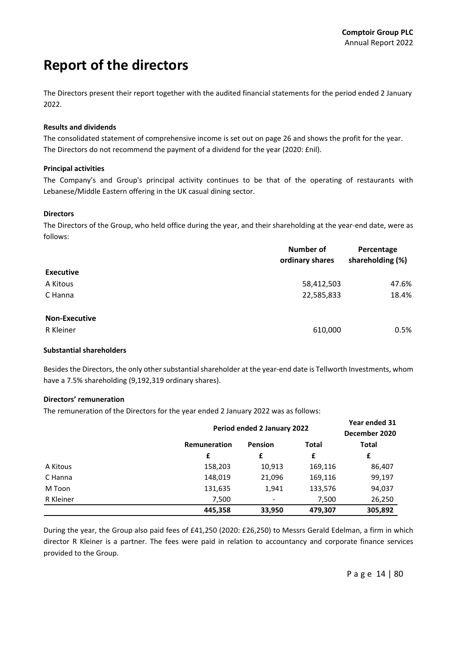## **Report of the directors**

The Directors present their report together with the audited financial statements for the period ended 2 January 2022.

### **Results and dividends**

The consolidated statement of comprehensive income is set out on page 26 and shows the profit for the year. The Directors do not recommend the payment of a dividend for the year (2020: £nil).

### **Principal activities**

The Company's and Group's principal activity continues to be that of the operating of restaurants with Lebanese/Middle Eastern offering in the UK casual dining sector.

### **Directors**

The Directors of the Group, who held office during the year, and their shareholding at the year‐end date, were as follows:

|                      | <b>Number of</b> | Percentage       |  |
|----------------------|------------------|------------------|--|
|                      | ordinary shares  | shareholding (%) |  |
| <b>Executive</b>     |                  |                  |  |
| A Kitous             | 58,412,503       | 47.6%            |  |
| C Hanna              | 22,585,833       | 18.4%            |  |
|                      |                  |                  |  |
| <b>Non-Executive</b> |                  |                  |  |
| R Kleiner            | 610,000          | 0.5%             |  |

### **Substantial shareholders**

Besides the Directors, the only other substantial shareholder at the year-end date is Tellworth Investments, whom have a 7.5% shareholding (9,192,319 ordinary shares).

### **Directors' remuneration**

The remuneration of the Directors for the year ended 2 January 2022 was as follows:

|           |              | Period ended 2 January 2022 |              |         |
|-----------|--------------|-----------------------------|--------------|---------|
|           | Remuneration | Pension                     | <b>Total</b> | Total   |
|           | £            | £                           | £            | £       |
| A Kitous  | 158,203      | 10,913                      | 169,116      | 86,407  |
| C Hanna   | 148,019      | 21,096                      | 169,116      | 99,197  |
| M Toon    | 131,635      | 1,941                       | 133,576      | 94,037  |
| R Kleiner | 7,500        | $\overline{\phantom{a}}$    | 7,500        | 26,250  |
|           | 445,358      | 33,950                      | 479,307      | 305,892 |

During the year, the Group also paid fees of £41,250 (2020: £26,250) to Messrs Gerald Edelman, a firm in which director R Kleiner is a partner. The fees were paid in relation to accountancy and corporate finance services provided to the Group.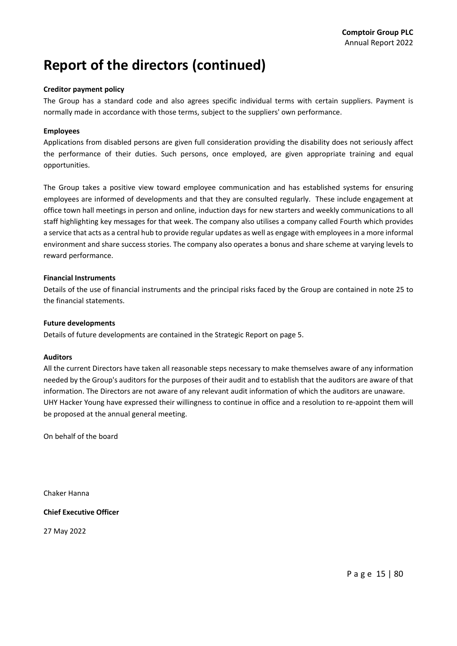## **Report of the directors (continued)**

### **Creditor payment policy**

The Group has a standard code and also agrees specific individual terms with certain suppliers. Payment is normally made in accordance with those terms, subject to the suppliers' own performance.

### **Employees**

Applications from disabled persons are given full consideration providing the disability does not seriously affect the performance of their duties. Such persons, once employed, are given appropriate training and equal opportunities.

The Group takes a positive view toward employee communication and has established systems for ensuring employees are informed of developments and that they are consulted regularly. These include engagement at office town hall meetings in person and online, induction days for new starters and weekly communications to all staff highlighting key messages for that week. The company also utilises a company called Fourth which provides a service that acts as a central hub to provide regular updates as well as engage with employeesin a more informal environment and share success stories. The company also operates a bonus and share scheme at varying levels to reward performance.

### **Financial Instruments**

Details of the use of financial instruments and the principal risks faced by the Group are contained in note 25 to the financial statements.

### **Future developments**

Details of future developments are contained in the Strategic Report on page 5.

### **Auditors**

All the current Directors have taken all reasonable steps necessary to make themselves aware of any information needed by the Group's auditors for the purposes of their audit and to establish that the auditors are aware of that information. The Directors are not aware of any relevant audit information of which the auditors are unaware. UHY Hacker Young have expressed their willingness to continue in office and a resolution to re‐appoint them will be proposed at the annual general meeting.

On behalf of the board

Chaker Hanna

**Chief Executive Officer**

27 May 2022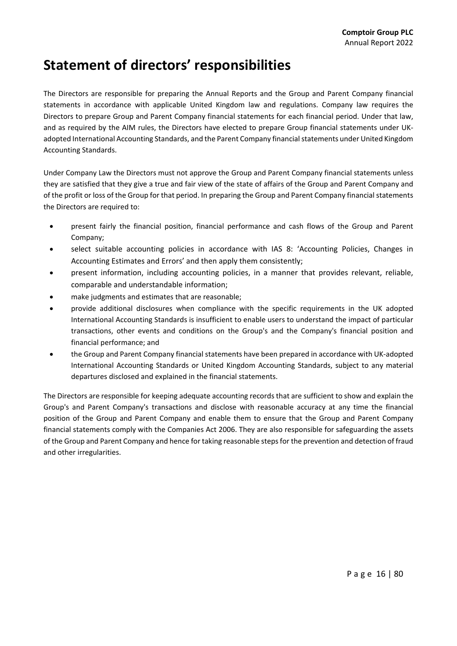## **Statement of directors' responsibilities**

The Directors are responsible for preparing the Annual Reports and the Group and Parent Company financial statements in accordance with applicable United Kingdom law and regulations. Company law requires the Directors to prepare Group and Parent Company financial statements for each financial period. Under that law, and as required by the AIM rules, the Directors have elected to prepare Group financial statements under UK‐ adopted International Accounting Standards, and the Parent Company financialstatements under United Kingdom Accounting Standards.

Under Company Law the Directors must not approve the Group and Parent Company financial statements unless they are satisfied that they give a true and fair view of the state of affairs of the Group and Parent Company and of the profit or loss of the Group for that period. In preparing the Group and Parent Company financial statements the Directors are required to:

- present fairly the financial position, financial performance and cash flows of the Group and Parent Company;
- select suitable accounting policies in accordance with IAS 8: 'Accounting Policies, Changes in Accounting Estimates and Errors' and then apply them consistently;
- present information, including accounting policies, in a manner that provides relevant, reliable, comparable and understandable information;
- make judgments and estimates that are reasonable;
- provide additional disclosures when compliance with the specific requirements in the UK adopted International Accounting Standards is insufficient to enable users to understand the impact of particular transactions, other events and conditions on the Group's and the Company's financial position and financial performance; and
- the Group and Parent Company financial statements have been prepared in accordance with UK‐adopted International Accounting Standards or United Kingdom Accounting Standards, subject to any material departures disclosed and explained in the financial statements.

The Directors are responsible for keeping adequate accounting records that are sufficient to show and explain the Group's and Parent Company's transactions and disclose with reasonable accuracy at any time the financial position of the Group and Parent Company and enable them to ensure that the Group and Parent Company financial statements comply with the Companies Act 2006. They are also responsible for safeguarding the assets of the Group and Parent Company and hence for taking reasonable steps for the prevention and detection of fraud and other irregularities.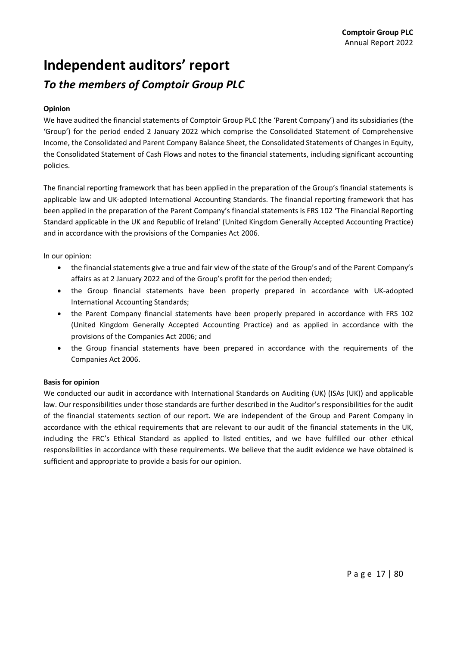## **Independent auditors' report** *To the members of Comptoir Group PLC*

### **Opinion**

We have audited the financial statements of Comptoir Group PLC (the 'Parent Company') and its subsidiaries (the 'Group') for the period ended 2 January 2022 which comprise the Consolidated Statement of Comprehensive Income, the Consolidated and Parent Company Balance Sheet, the Consolidated Statements of Changes in Equity, the Consolidated Statement of Cash Flows and notes to the financial statements, including significant accounting policies.

The financial reporting framework that has been applied in the preparation of the Group's financial statements is applicable law and UK‐adopted International Accounting Standards. The financial reporting framework that has been applied in the preparation of the Parent Company's financial statements is FRS 102 'The Financial Reporting Standard applicable in the UK and Republic of Ireland' (United Kingdom Generally Accepted Accounting Practice) and in accordance with the provisions of the Companies Act 2006.

In our opinion:

- the financial statements give a true and fair view of the state of the Group's and of the Parent Company's affairs as at 2 January 2022 and of the Group's profit for the period then ended;
- the Group financial statements have been properly prepared in accordance with UK‐adopted International Accounting Standards;
- the Parent Company financial statements have been properly prepared in accordance with FRS 102 (United Kingdom Generally Accepted Accounting Practice) and as applied in accordance with the provisions of the Companies Act 2006; and
- the Group financial statements have been prepared in accordance with the requirements of the Companies Act 2006.

### **Basis for opinion**

We conducted our audit in accordance with International Standards on Auditing (UK) (ISAs (UK)) and applicable law. Our responsibilities under those standards are further described in the Auditor's responsibilities for the audit of the financial statements section of our report. We are independent of the Group and Parent Company in accordance with the ethical requirements that are relevant to our audit of the financial statements in the UK, including the FRC's Ethical Standard as applied to listed entities, and we have fulfilled our other ethical responsibilities in accordance with these requirements. We believe that the audit evidence we have obtained is sufficient and appropriate to provide a basis for our opinion.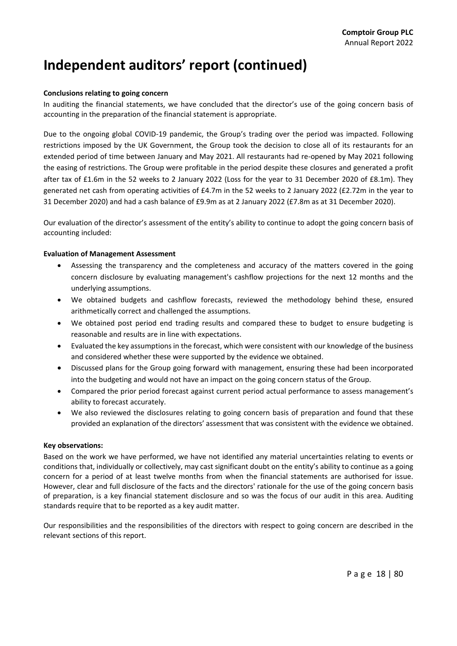### **Conclusions relating to going concern**

In auditing the financial statements, we have concluded that the director's use of the going concern basis of accounting in the preparation of the financial statement is appropriate.

Due to the ongoing global COVID‐19 pandemic, the Group's trading over the period was impacted. Following restrictions imposed by the UK Government, the Group took the decision to close all of its restaurants for an extended period of time between January and May 2021. All restaurants had re‐opened by May 2021 following the easing of restrictions. The Group were profitable in the period despite these closures and generated a profit after tax of £1.6m in the 52 weeks to 2 January 2022 (Loss for the year to 31 December 2020 of £8.1m). They generated net cash from operating activities of £4.7m in the 52 weeks to 2 January 2022 (£2.72m in the year to 31 December 2020) and had a cash balance of £9.9m as at 2 January 2022 (£7.8m as at 31 December 2020).

Our evaluation of the director's assessment of the entity's ability to continue to adopt the going concern basis of accounting included:

### **Evaluation of Management Assessment**

- Assessing the transparency and the completeness and accuracy of the matters covered in the going concern disclosure by evaluating management's cashflow projections for the next 12 months and the underlying assumptions.
- We obtained budgets and cashflow forecasts, reviewed the methodology behind these, ensured arithmetically correct and challenged the assumptions.
- We obtained post period end trading results and compared these to budget to ensure budgeting is reasonable and results are in line with expectations.
- Evaluated the key assumptions in the forecast, which were consistent with our knowledge of the business and considered whether these were supported by the evidence we obtained.
- Discussed plans for the Group going forward with management, ensuring these had been incorporated into the budgeting and would not have an impact on the going concern status of the Group.
- Compared the prior period forecast against current period actual performance to assess management's ability to forecast accurately.
- We also reviewed the disclosures relating to going concern basis of preparation and found that these provided an explanation of the directors' assessment that was consistent with the evidence we obtained.

### **Key observations:**

Based on the work we have performed, we have not identified any material uncertainties relating to events or conditions that, individually or collectively, may cast significant doubt on the entity's ability to continue as a going concern for a period of at least twelve months from when the financial statements are authorised for issue. However, clear and full disclosure of the facts and the directors' rationale for the use of the going concern basis of preparation, is a key financial statement disclosure and so was the focus of our audit in this area. Auditing standards require that to be reported as a key audit matter.

Our responsibilities and the responsibilities of the directors with respect to going concern are described in the relevant sections of this report.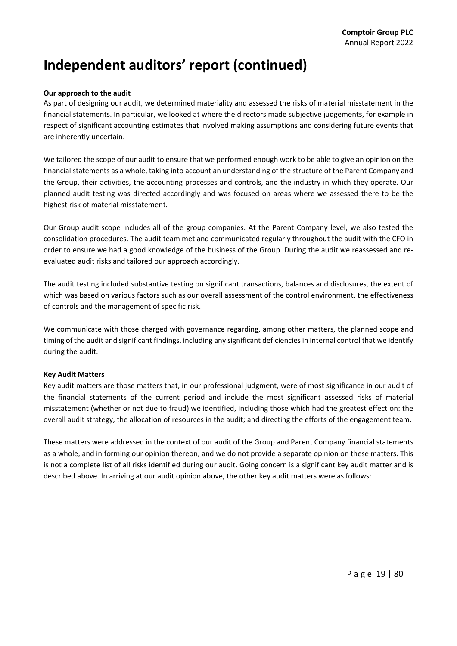### **Our approach to the audit**

As part of designing our audit, we determined materiality and assessed the risks of material misstatement in the financial statements. In particular, we looked at where the directors made subjective judgements, for example in respect of significant accounting estimates that involved making assumptions and considering future events that are inherently uncertain.

We tailored the scope of our audit to ensure that we performed enough work to be able to give an opinion on the financial statements as a whole, taking into account an understanding of the structure of the Parent Company and the Group, their activities, the accounting processes and controls, and the industry in which they operate. Our planned audit testing was directed accordingly and was focused on areas where we assessed there to be the highest risk of material misstatement.

Our Group audit scope includes all of the group companies. At the Parent Company level, we also tested the consolidation procedures. The audit team met and communicated regularly throughout the audit with the CFO in order to ensure we had a good knowledge of the business of the Group. During the audit we reassessed and re‐ evaluated audit risks and tailored our approach accordingly.

The audit testing included substantive testing on significant transactions, balances and disclosures, the extent of which was based on various factors such as our overall assessment of the control environment, the effectiveness of controls and the management of specific risk.

We communicate with those charged with governance regarding, among other matters, the planned scope and timing of the audit and significant findings, including any significant deficienciesin internal control that we identify during the audit.

### **Key Audit Matters**

Key audit matters are those matters that, in our professional judgment, were of most significance in our audit of the financial statements of the current period and include the most significant assessed risks of material misstatement (whether or not due to fraud) we identified, including those which had the greatest effect on: the overall audit strategy, the allocation of resources in the audit; and directing the efforts of the engagement team.

These matters were addressed in the context of our audit of the Group and Parent Company financial statements as a whole, and in forming our opinion thereon, and we do not provide a separate opinion on these matters. This is not a complete list of all risks identified during our audit. Going concern is a significant key audit matter and is described above. In arriving at our audit opinion above, the other key audit matters were as follows: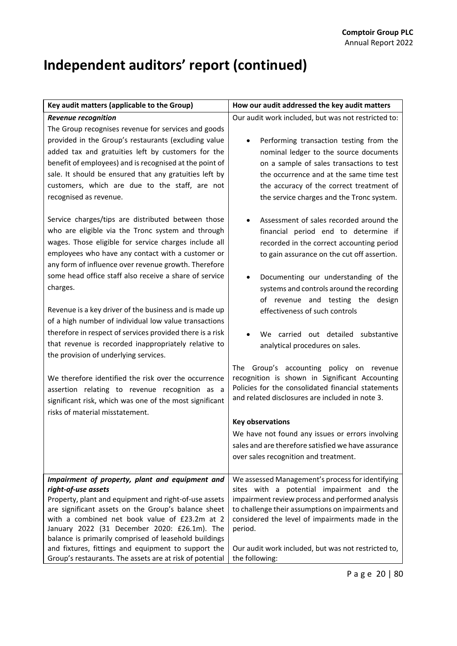| Key audit matters (applicable to the Group)                                                                                                                                                                                                                                                                                                                                                                                                                                                                                                                                                                                                                                                                                                                                                                                                                                                                                                                                                                                                                                                                                                                                                                                                      | How our audit addressed the key audit matters                                                                                                                                                                                                                                                                                                                                                                                                                                                                                                                                                                                                                                                                                                                                                                                                                                                                                                                                                                                                                                                                                                                   |  |
|--------------------------------------------------------------------------------------------------------------------------------------------------------------------------------------------------------------------------------------------------------------------------------------------------------------------------------------------------------------------------------------------------------------------------------------------------------------------------------------------------------------------------------------------------------------------------------------------------------------------------------------------------------------------------------------------------------------------------------------------------------------------------------------------------------------------------------------------------------------------------------------------------------------------------------------------------------------------------------------------------------------------------------------------------------------------------------------------------------------------------------------------------------------------------------------------------------------------------------------------------|-----------------------------------------------------------------------------------------------------------------------------------------------------------------------------------------------------------------------------------------------------------------------------------------------------------------------------------------------------------------------------------------------------------------------------------------------------------------------------------------------------------------------------------------------------------------------------------------------------------------------------------------------------------------------------------------------------------------------------------------------------------------------------------------------------------------------------------------------------------------------------------------------------------------------------------------------------------------------------------------------------------------------------------------------------------------------------------------------------------------------------------------------------------------|--|
| <b>Revenue recognition</b><br>The Group recognises revenue for services and goods<br>provided in the Group's restaurants (excluding value<br>added tax and gratuities left by customers for the<br>benefit of employees) and is recognised at the point of<br>sale. It should be ensured that any gratuities left by<br>customers, which are due to the staff, are not<br>recognised as revenue.<br>Service charges/tips are distributed between those<br>who are eligible via the Tronc system and through<br>wages. Those eligible for service charges include all<br>employees who have any contact with a customer or<br>any form of influence over revenue growth. Therefore<br>some head office staff also receive a share of service<br>charges.<br>Revenue is a key driver of the business and is made up<br>of a high number of individual low value transactions<br>therefore in respect of services provided there is a risk<br>that revenue is recorded inappropriately relative to<br>the provision of underlying services.<br>We therefore identified the risk over the occurrence<br>assertion relating to revenue recognition as a<br>significant risk, which was one of the most significant<br>risks of material misstatement. | Our audit work included, but was not restricted to:<br>Performing transaction testing from the<br>$\bullet$<br>nominal ledger to the source documents<br>on a sample of sales transactions to test<br>the occurrence and at the same time test<br>the accuracy of the correct treatment of<br>the service charges and the Tronc system.<br>Assessment of sales recorded around the<br>$\bullet$<br>financial period end to determine if<br>recorded in the correct accounting period<br>to gain assurance on the cut off assertion.<br>Documenting our understanding of the<br>systems and controls around the recording<br>of revenue and testing the design<br>effectiveness of such controls<br>We carried out detailed substantive<br>analytical procedures on sales.<br>The Group's accounting policy on revenue<br>recognition is shown in Significant Accounting<br>Policies for the consolidated financial statements<br>and related disclosures are included in note 3.<br><b>Key observations</b><br>We have not found any issues or errors involving<br>sales and are therefore satisfied we have assurance<br>over sales recognition and treatment. |  |
| Impairment of property, plant and equipment and<br>right-of-use assets<br>Property, plant and equipment and right-of-use assets<br>are significant assets on the Group's balance sheet<br>with a combined net book value of £23.2m at 2<br>January 2022 (31 December 2020: £26.1m). The<br>balance is primarily comprised of leasehold buildings<br>and fixtures, fittings and equipment to support the<br>Group's restaurants. The assets are at risk of potential                                                                                                                                                                                                                                                                                                                                                                                                                                                                                                                                                                                                                                                                                                                                                                              | We assessed Management's process for identifying<br>sites with a potential impairment and the<br>impairment review process and performed analysis<br>to challenge their assumptions on impairments and<br>considered the level of impairments made in the<br>period.<br>Our audit work included, but was not restricted to,<br>the following:                                                                                                                                                                                                                                                                                                                                                                                                                                                                                                                                                                                                                                                                                                                                                                                                                   |  |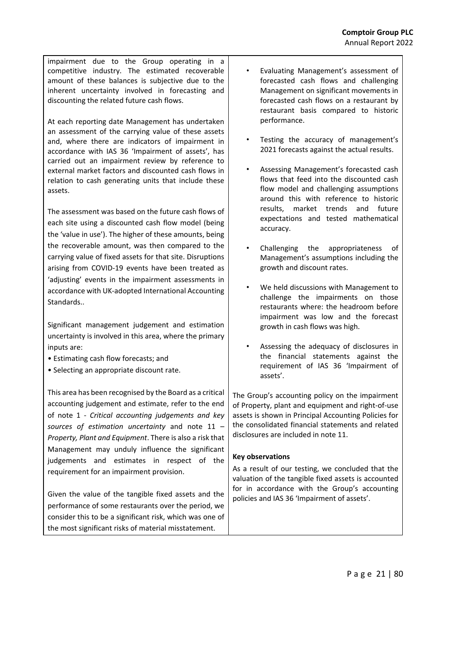impairment due to the Group operating in a competitive industry. The estimated recoverable amount of these balances is subjective due to the inherent uncertainty involved in forecasting and discounting the related future cash flows.

At each reporting date Management has undertaken an assessment of the carrying value of these assets and, where there are indicators of impairment in accordance with IAS 36 'Impairment of assets', has carried out an impairment review by reference to external market factors and discounted cash flows in relation to cash generating units that include these assets.

The assessment was based on the future cash flows of each site using a discounted cash flow model (being the 'value in use'). The higher of these amounts, being the recoverable amount, was then compared to the carrying value of fixed assets for that site. Disruptions arising from COVID‐19 events have been treated as 'adjusting' events in the impairment assessments in accordance with UK‐adopted International Accounting **Standards** 

Significant management judgement and estimation uncertainty is involved in this area, where the primary inputs are:

- Estimating cash flow forecasts; and
- Selecting an appropriate discount rate.

This area has been recognised by the Board as a critical accounting judgement and estimate, refer to the end of note 1 ‐ *Critical accounting judgements and key sources of estimation uncertainty* and note 11 – *Property, Plant and Equipment*. There is also a risk that Management may unduly influence the significant judgements and estimates in respect of the requirement for an impairment provision.

Given the value of the tangible fixed assets and the performance of some restaurants over the period, we consider this to be a significant risk, which was one of the most significant risks of material misstatement.

- Evaluating Management's assessment of forecasted cash flows and challenging Management on significant movements in forecasted cash flows on a restaurant by restaurant basis compared to historic performance.
- Testing the accuracy of management's 2021 forecasts against the actual results.
- Assessing Management's forecasted cash flows that feed into the discounted cash flow model and challenging assumptions around this with reference to historic results, market trends and future expectations and tested mathematical accuracy.
- Challenging the appropriateness of Management's assumptions including the growth and discount rates.
- We held discussions with Management to challenge the impairments on those restaurants where: the headroom before impairment was low and the forecast growth in cash flows was high.
- Assessing the adequacy of disclosures in the financial statements against the requirement of IAS 36 'Impairment of assets'.

The Group's accounting policy on the impairment of Property, plant and equipment and right‐of‐use assets is shown in Principal Accounting Policies for the consolidated financial statements and related disclosures are included in note 11.

### **Key observations**

As a result of our testing, we concluded that the valuation of the tangible fixed assets is accounted for in accordance with the Group's accounting policies and IAS 36 'Impairment of assets'.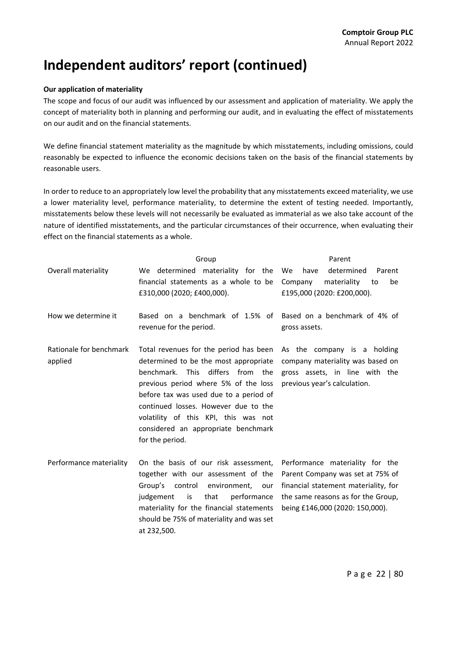### **Our application of materiality**

The scope and focus of our audit was influenced by our assessment and application of materiality. We apply the concept of materiality both in planning and performing our audit, and in evaluating the effect of misstatements on our audit and on the financial statements.

We define financial statement materiality as the magnitude by which misstatements, including omissions, could reasonably be expected to influence the economic decisions taken on the basis of the financial statements by reasonable users.

In order to reduce to an appropriately low level the probability that any misstatements exceed materiality, we use a lower materiality level, performance materiality, to determine the extent of testing needed. Importantly, misstatements below these levels will not necessarily be evaluated as immaterial as we also take account of the nature of identified misstatements, and the particular circumstances of their occurrence, when evaluating their effect on the financial statements as a whole.

|                                    | Group                                                                                                                                                                                                                                                                                                                                           | Parent                                                                                                                                                                               |  |
|------------------------------------|-------------------------------------------------------------------------------------------------------------------------------------------------------------------------------------------------------------------------------------------------------------------------------------------------------------------------------------------------|--------------------------------------------------------------------------------------------------------------------------------------------------------------------------------------|--|
| Overall materiality                | We determined materiality for the<br>financial statements as a whole to be<br>£310,000 (2020; £400,000).                                                                                                                                                                                                                                        | determined<br>Parent<br>We<br>have<br>Company<br>materiality<br>be<br>to<br>£195,000 (2020: £200,000).                                                                               |  |
| How we determine it                | Based on a benchmark of 1.5% of<br>revenue for the period.                                                                                                                                                                                                                                                                                      | Based on a benchmark of 4% of<br>gross assets.                                                                                                                                       |  |
| Rationale for benchmark<br>applied | Total revenues for the period has been<br>determined to be the most appropriate<br>benchmark. This differs from the<br>previous period where 5% of the loss<br>before tax was used due to a period of<br>continued losses. However due to the<br>volatility of this KPI, this was not<br>considered an appropriate benchmark<br>for the period. | As the company is a holding<br>company materiality was based on<br>gross assets, in line with the<br>previous year's calculation.                                                    |  |
| Performance materiality            | On the basis of our risk assessment,<br>together with our assessment of the<br>Group's<br>control<br>environment, our<br>is<br>that<br>performance<br>judgement<br>materiality for the financial statements<br>should be 75% of materiality and was set<br>at 232,500.                                                                          | Performance materiality for the<br>Parent Company was set at 75% of<br>financial statement materiality, for<br>the same reasons as for the Group,<br>being £146,000 (2020: 150,000). |  |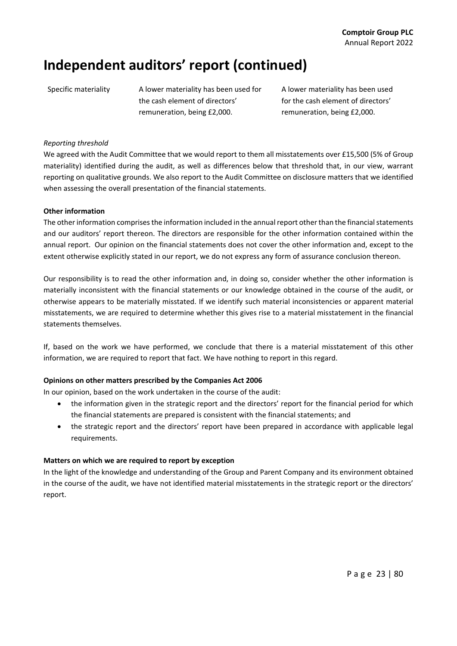Specific materiality A lower materiality has been used for the cash element of directors' remuneration, being £2,000.

A lower materiality has been used for the cash element of directors' remuneration, being £2,000.

### *Reporting threshold*

We agreed with the Audit Committee that we would report to them all misstatements over £15,500 (5% of Group materiality) identified during the audit, as well as differences below that threshold that, in our view, warrant reporting on qualitative grounds. We also report to the Audit Committee on disclosure matters that we identified when assessing the overall presentation of the financial statements.

### **Other information**

The other information comprises the information included in the annual report other than the financial statements and our auditors' report thereon. The directors are responsible for the other information contained within the annual report. Our opinion on the financial statements does not cover the other information and, except to the extent otherwise explicitly stated in our report, we do not express any form of assurance conclusion thereon.

Our responsibility is to read the other information and, in doing so, consider whether the other information is materially inconsistent with the financial statements or our knowledge obtained in the course of the audit, or otherwise appears to be materially misstated. If we identify such material inconsistencies or apparent material misstatements, we are required to determine whether this gives rise to a material misstatement in the financial statements themselves.

If, based on the work we have performed, we conclude that there is a material misstatement of this other information, we are required to report that fact. We have nothing to report in this regard.

### **Opinions on other matters prescribed by the Companies Act 2006**

In our opinion, based on the work undertaken in the course of the audit:

- the information given in the strategic report and the directors' report for the financial period for which the financial statements are prepared is consistent with the financial statements; and
- the strategic report and the directors' report have been prepared in accordance with applicable legal requirements.

### **Matters on which we are required to report by exception**

In the light of the knowledge and understanding of the Group and Parent Company and its environment obtained in the course of the audit, we have not identified material misstatements in the strategic report or the directors' report.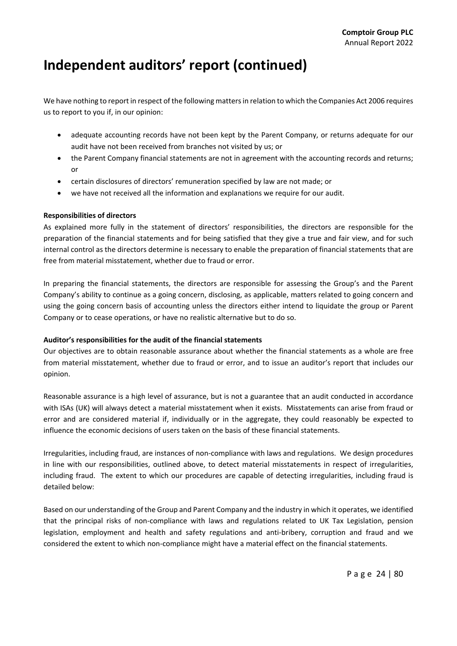We have nothing to report in respect of the following matters in relation to which the Companies Act 2006 requires us to report to you if, in our opinion:

- adequate accounting records have not been kept by the Parent Company, or returns adequate for our audit have not been received from branches not visited by us; or
- the Parent Company financial statements are not in agreement with the accounting records and returns; or
- certain disclosures of directors' remuneration specified by law are not made; or
- we have not received all the information and explanations we require for our audit.

### **Responsibilities of directors**

As explained more fully in the statement of directors' responsibilities, the directors are responsible for the preparation of the financial statements and for being satisfied that they give a true and fair view, and for such internal control as the directors determine is necessary to enable the preparation of financial statements that are free from material misstatement, whether due to fraud or error.

In preparing the financial statements, the directors are responsible for assessing the Group's and the Parent Company's ability to continue as a going concern, disclosing, as applicable, matters related to going concern and using the going concern basis of accounting unless the directors either intend to liquidate the group or Parent Company or to cease operations, or have no realistic alternative but to do so.

### **Auditor's responsibilities for the audit of the financial statements**

Our objectives are to obtain reasonable assurance about whether the financial statements as a whole are free from material misstatement, whether due to fraud or error, and to issue an auditor's report that includes our opinion.

Reasonable assurance is a high level of assurance, but is not a guarantee that an audit conducted in accordance with ISAs (UK) will always detect a material misstatement when it exists. Misstatements can arise from fraud or error and are considered material if, individually or in the aggregate, they could reasonably be expected to influence the economic decisions of users taken on the basis of these financial statements.

Irregularities, including fraud, are instances of non‐compliance with laws and regulations. We design procedures in line with our responsibilities, outlined above, to detect material misstatements in respect of irregularities, including fraud. The extent to which our procedures are capable of detecting irregularities, including fraud is detailed below:

Based on our understanding of the Group and Parent Company and the industry in which it operates, we identified that the principal risks of non‐compliance with laws and regulations related to UK Tax Legislation, pension legislation, employment and health and safety regulations and anti-bribery, corruption and fraud and we considered the extent to which non‐compliance might have a material effect on the financial statements.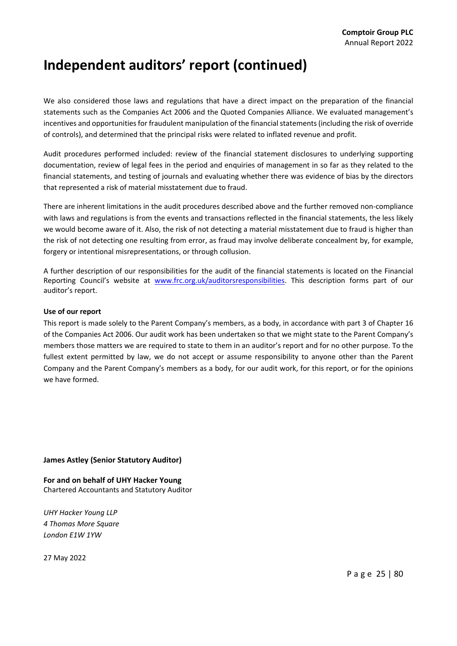We also considered those laws and regulations that have a direct impact on the preparation of the financial statements such as the Companies Act 2006 and the Quoted Companies Alliance. We evaluated management's incentives and opportunities for fraudulent manipulation of the financial statements (including the risk of override of controls), and determined that the principal risks were related to inflated revenue and profit.

Audit procedures performed included: review of the financial statement disclosures to underlying supporting documentation, review of legal fees in the period and enquiries of management in so far as they related to the financial statements, and testing of journals and evaluating whether there was evidence of bias by the directors that represented a risk of material misstatement due to fraud.

There are inherent limitations in the audit procedures described above and the further removed non‐compliance with laws and regulations is from the events and transactions reflected in the financial statements, the less likely we would become aware of it. Also, the risk of not detecting a material misstatement due to fraud is higher than the risk of not detecting one resulting from error, as fraud may involve deliberate concealment by, for example, forgery or intentional misrepresentations, or through collusion.

A further description of our responsibilities for the audit of the financial statements is located on the Financial Reporting Council's website at www.frc.org.uk/auditorsresponsibilities. This description forms part of our auditor's report.

### **Use of our report**

This report is made solely to the Parent Company's members, as a body, in accordance with part 3 of Chapter 16 of the Companies Act 2006. Our audit work has been undertaken so that we might state to the Parent Company's members those matters we are required to state to them in an auditor's report and for no other purpose. To the fullest extent permitted by law, we do not accept or assume responsibility to anyone other than the Parent Company and the Parent Company's members as a body, for our audit work, for this report, or for the opinions we have formed.

### **James Astley (Senior Statutory Auditor)**

**For and on behalf of UHY Hacker Young** Chartered Accountants and Statutory Auditor

*UHY Hacker Young LLP 4 Thomas More Square London E1W 1YW*

27 May 2022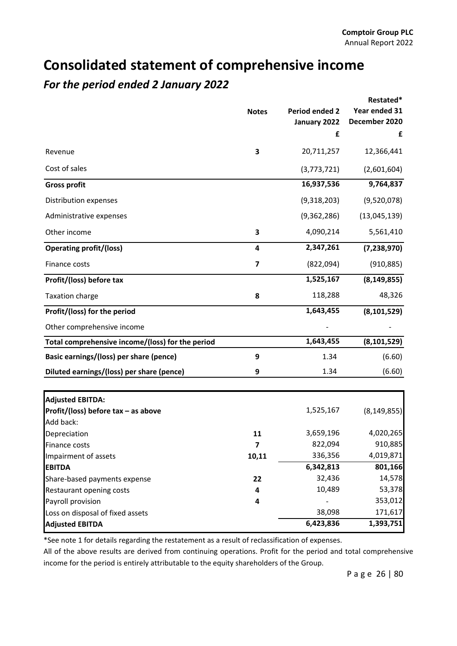### **Consolidated statement of comprehensive income**

### *For the period ended 2 January 2022*

|                                                  |              |                | Restated*     |  |
|--------------------------------------------------|--------------|----------------|---------------|--|
|                                                  | <b>Notes</b> | Period ended 2 | Year ended 31 |  |
|                                                  |              | January 2022   | December 2020 |  |
|                                                  |              | £              | £             |  |
| Revenue                                          | 3            | 20,711,257     | 12,366,441    |  |
| Cost of sales                                    |              | (3,773,721)    | (2,601,604)   |  |
| <b>Gross profit</b>                              |              | 16,937,536     | 9,764,837     |  |
| Distribution expenses                            |              | (9,318,203)    | (9,520,078)   |  |
| Administrative expenses                          |              | (9,362,286)    | (13,045,139)  |  |
| Other income                                     | 3            | 4,090,214      | 5,561,410     |  |
| <b>Operating profit/(loss)</b>                   | 4            | 2,347,261      | (7, 238, 970) |  |
| Finance costs                                    | 7            | (822,094)      | (910, 885)    |  |
| Profit/(loss) before tax                         |              | 1,525,167      | (8, 149, 855) |  |
| <b>Taxation charge</b>                           | 8            | 118,288        | 48,326        |  |
| Profit/(loss) for the period                     |              | 1,643,455      | (8, 101, 529) |  |
| Other comprehensive income                       |              |                |               |  |
| Total comprehensive income/(loss) for the period |              | 1,643,455      | (8, 101, 529) |  |
| Basic earnings/(loss) per share (pence)          | 9            | 1.34           | (6.60)        |  |
| Diluted earnings/(loss) per share (pence)        | 9            | 1.34           | (6.60)        |  |
| <b>Adjusted EBITDA:</b>                          |              |                |               |  |
| Profit/(loss) before tax - as above              |              | 1,525,167      | (8, 149, 855) |  |
| Add back:                                        |              |                |               |  |
| Depreciation                                     | 11           | 3,659,196      | 4,020,265     |  |
| <b>Finance costs</b>                             | 7            | 822,094        | 910,885       |  |
| Impairment of assets                             | 10,11        | 336,356        | 4,019,871     |  |
| <b>EBITDA</b>                                    |              | 6,342,813      | 801,166       |  |
| Share-based payments expense                     | 22           | 32,436         | 14,578        |  |
| Restaurant opening costs                         | 4            | 10,489         | 53,378        |  |
| Payroll provision                                | 4            |                | 353,012       |  |
| Loss on disposal of fixed assets                 |              | 38,098         | 171,617       |  |
| <b>Adjusted EBITDA</b>                           |              | 6,423,836      | 1,393,751     |  |

\*See note 1 for details regarding the restatement as a result of reclassification of expenses.

All of the above results are derived from continuing operations. Profit for the period and total comprehensive income for the period is entirely attributable to the equity shareholders of the Group.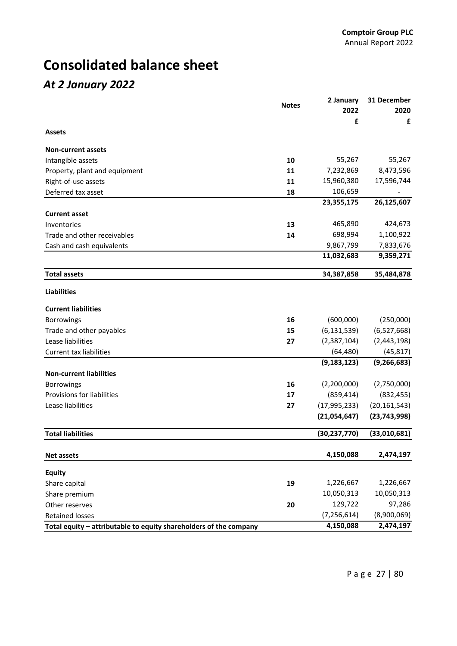## **Consolidated balance sheet**

### *At 2 January 2022*

|                                                                   | <b>Notes</b> | 2 January      | 31 December    |
|-------------------------------------------------------------------|--------------|----------------|----------------|
|                                                                   |              | 2022           | 2020           |
| <b>Assets</b>                                                     |              | £              | £              |
| <b>Non-current assets</b>                                         |              |                |                |
| Intangible assets                                                 | 10           | 55,267         | 55,267         |
| Property, plant and equipment                                     | 11           | 7,232,869      | 8,473,596      |
| Right-of-use assets                                               | 11           | 15,960,380     | 17,596,744     |
| Deferred tax asset                                                | 18           | 106,659        |                |
|                                                                   |              | 23,355,175     | 26,125,607     |
| <b>Current asset</b>                                              |              |                |                |
| Inventories                                                       | 13           | 465,890        | 424,673        |
| Trade and other receivables                                       | 14           | 698,994        | 1,100,922      |
| Cash and cash equivalents                                         |              | 9,867,799      | 7,833,676      |
|                                                                   |              | 11,032,683     | 9,359,271      |
| <b>Total assets</b>                                               |              | 34,387,858     | 35,484,878     |
| <b>Liabilities</b>                                                |              |                |                |
| <b>Current liabilities</b>                                        |              |                |                |
| <b>Borrowings</b>                                                 | 16           | (600,000)      | (250,000)      |
| Trade and other payables                                          | 15           | (6, 131, 539)  | (6,527,668)    |
| Lease liabilities                                                 | 27           | (2,387,104)    | (2,443,198)    |
| <b>Current tax liabilities</b>                                    |              | (64, 480)      | (45, 817)      |
|                                                                   |              | (9, 183, 123)  | (9, 266, 683)  |
| <b>Non-current liabilities</b>                                    |              |                |                |
| <b>Borrowings</b>                                                 | 16           | (2,200,000)    | (2,750,000)    |
| Provisions for liabilities                                        | 17           | (859, 414)     | (832, 455)     |
| Lease liabilities                                                 | 27           | (17, 995, 233) | (20, 161, 543) |
|                                                                   |              | (21,054,647)   | (23, 743, 998) |
| <b>Total liabilities</b>                                          |              | (30, 237, 770) | (33,010,681)   |
| <b>Net assets</b>                                                 |              | 4,150,088      | 2,474,197      |
| Equity                                                            |              |                |                |
| Share capital                                                     | 19           | 1,226,667      | 1,226,667      |
| Share premium                                                     |              | 10,050,313     | 10,050,313     |
| Other reserves                                                    | 20           | 129,722        | 97,286         |
| <b>Retained losses</b>                                            |              | (7, 256, 614)  | (8,900,069)    |
| Total equity - attributable to equity shareholders of the company |              | 4,150,088      | 2,474,197      |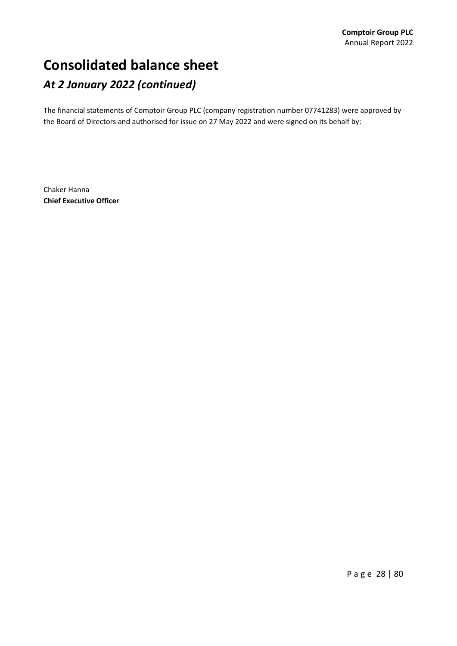## **Consolidated balance sheet** *At 2 January 2022 (continued)*

The financial statements of Comptoir Group PLC (company registration number 07741283) were approved by the Board of Directors and authorised for issue on 27 May 2022 and were signed on its behalf by:

Chaker Hanna **Chief Executive Officer**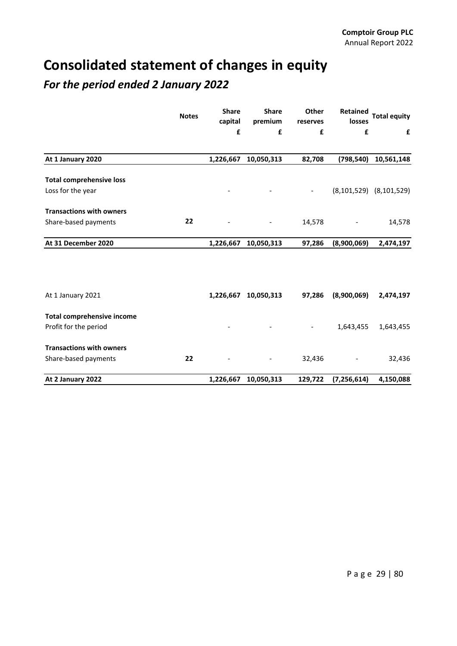## **Consolidated statement of changes in equity**

### *For the period ended 2 January 2022*

|                                   | <b>Notes</b> | <b>Share</b><br>capital | <b>Share</b><br>premium | Other<br>reserves        | Retained<br>losses | <b>Total equity</b>             |
|-----------------------------------|--------------|-------------------------|-------------------------|--------------------------|--------------------|---------------------------------|
|                                   |              | £                       | £                       | £                        | £                  | £                               |
| At 1 January 2020                 |              | 1,226,667               | 10,050,313              | 82,708                   | (798, 540)         | 10,561,148                      |
| <b>Total comprehensive loss</b>   |              |                         |                         |                          |                    |                                 |
| Loss for the year                 |              |                         |                         | $\overline{\phantom{a}}$ |                    | $(8, 101, 529)$ $(8, 101, 529)$ |
| <b>Transactions with owners</b>   |              |                         |                         |                          |                    |                                 |
| Share-based payments              | 22           |                         |                         | 14,578                   |                    | 14,578                          |
| At 31 December 2020               |              | 1,226,667               | 10,050,313              | 97,286                   | (8,900,069)        | 2,474,197                       |
|                                   |              |                         |                         |                          |                    |                                 |
|                                   |              |                         |                         |                          |                    |                                 |
| At 1 January 2021                 |              | 1,226,667               | 10,050,313              | 97,286                   | (8,900,069)        | 2,474,197                       |
| <b>Total comprehensive income</b> |              |                         |                         |                          |                    |                                 |
| Profit for the period             |              |                         |                         |                          | 1,643,455          | 1,643,455                       |
| <b>Transactions with owners</b>   |              |                         |                         |                          |                    |                                 |
| Share-based payments              | 22           |                         |                         | 32,436                   |                    | 32,436                          |
| At 2 January 2022                 |              | 1,226,667               | 10,050,313              | 129,722                  | (7, 256, 614)      | 4,150,088                       |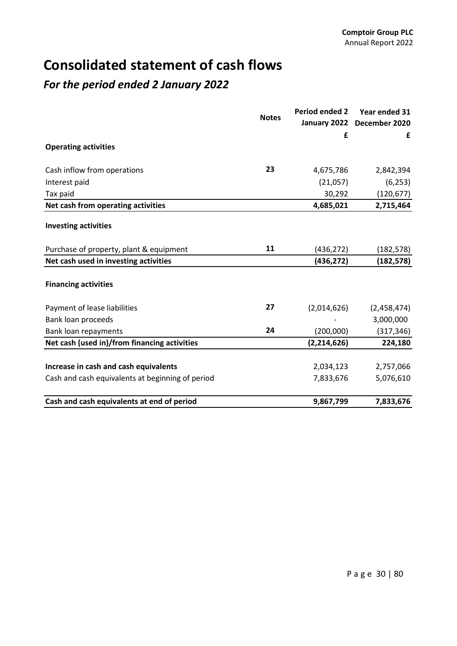## **Consolidated statement of cash flows**

### *For the period ended 2 January 2022*

|                                                  | <b>Notes</b> | <b>Period ended 2</b> | Year ended 31 |  |
|--------------------------------------------------|--------------|-----------------------|---------------|--|
|                                                  |              | January 2022          | December 2020 |  |
| <b>Operating activities</b>                      |              | £                     | £             |  |
|                                                  |              |                       |               |  |
| Cash inflow from operations                      | 23           | 4,675,786             | 2,842,394     |  |
| Interest paid                                    |              | (21,057)              | (6, 253)      |  |
| Tax paid                                         |              | 30,292                | (120, 677)    |  |
| Net cash from operating activities               |              | 4,685,021             | 2,715,464     |  |
| <b>Investing activities</b>                      |              |                       |               |  |
| Purchase of property, plant & equipment          | 11           | (436, 272)            | (182, 578)    |  |
| Net cash used in investing activities            |              | (436, 272)            | (182, 578)    |  |
| <b>Financing activities</b>                      |              |                       |               |  |
| Payment of lease liabilities                     | 27           | (2,014,626)           | (2,458,474)   |  |
| Bank loan proceeds                               |              |                       | 3,000,000     |  |
| Bank loan repayments                             | 24           | (200,000)             | (317, 346)    |  |
| Net cash (used in)/from financing activities     |              | (2, 214, 626)         | 224,180       |  |
|                                                  |              |                       |               |  |
| Increase in cash and cash equivalents            |              | 2,034,123             | 2,757,066     |  |
| Cash and cash equivalents at beginning of period |              | 7,833,676             | 5,076,610     |  |
| Cash and cash equivalents at end of period       |              | 9,867,799             | 7,833,676     |  |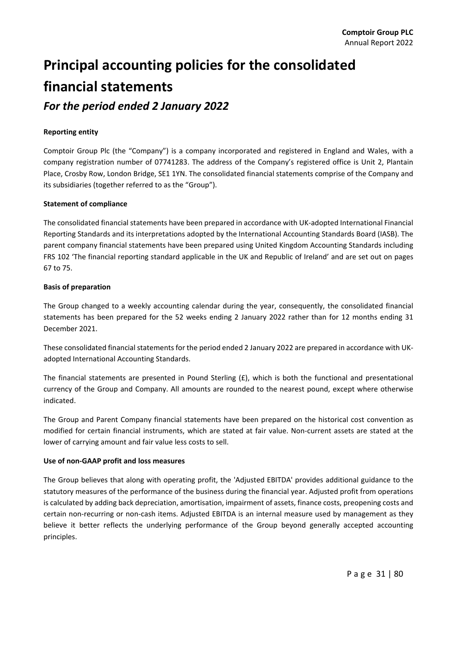# **Principal accounting policies for the consolidated financial statements**

*For the period ended 2 January 2022*

### **Reporting entity**

Comptoir Group Plc (the "Company") is a company incorporated and registered in England and Wales, with a company registration number of 07741283. The address of the Company's registered office is Unit 2, Plantain Place, Crosby Row, London Bridge, SE1 1YN. The consolidated financial statements comprise of the Company and its subsidiaries (together referred to as the "Group").

### **Statement of compliance**

The consolidated financial statements have been prepared in accordance with UK‐adopted International Financial Reporting Standards and its interpretations adopted by the International Accounting Standards Board (IASB). The parent company financial statements have been prepared using United Kingdom Accounting Standards including FRS 102 'The financial reporting standard applicable in the UK and Republic of Ireland' and are set out on pages 67 to 75.

### **Basis of preparation**

The Group changed to a weekly accounting calendar during the year, consequently, the consolidated financial statements has been prepared for the 52 weeks ending 2 January 2022 rather than for 12 months ending 31 December 2021.

These consolidated financial statements for the period ended 2 January 2022 are prepared in accordance with UKadopted International Accounting Standards.

The financial statements are presented in Pound Sterling (£), which is both the functional and presentational currency of the Group and Company. All amounts are rounded to the nearest pound, except where otherwise indicated.

The Group and Parent Company financial statements have been prepared on the historical cost convention as modified for certain financial instruments, which are stated at fair value. Non-current assets are stated at the lower of carrying amount and fair value less costs to sell.

### **Use of non‐GAAP profit and loss measures**

The Group believes that along with operating profit, the 'Adjusted EBITDA' provides additional guidance to the statutory measures of the performance of the business during the financial year. Adjusted profit from operations is calculated by adding back depreciation, amortisation, impairment of assets, finance costs, preopening costs and certain non-recurring or non-cash items. Adjusted EBITDA is an internal measure used by management as they believe it better reflects the underlying performance of the Group beyond generally accepted accounting principles.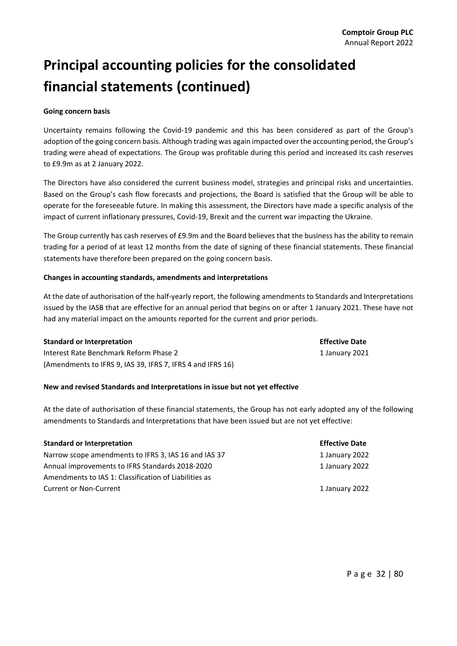# **Principal accounting policies for the consolidated financial statements (continued)**

### **Going concern basis**

Uncertainty remains following the Covid‐19 pandemic and this has been considered as part of the Group's adoption of the going concern basis. Although trading was again impacted over the accounting period, the Group's trading were ahead of expectations. The Group was profitable during this period and increased its cash reserves to £9.9m as at 2 January 2022.

The Directors have also considered the current business model, strategies and principal risks and uncertainties. Based on the Group's cash flow forecasts and projections, the Board is satisfied that the Group will be able to operate for the foreseeable future. In making this assessment, the Directors have made a specific analysis of the impact of current inflationary pressures, Covid‐19, Brexit and the current war impacting the Ukraine.

The Group currently has cash reserves of £9.9m and the Board believes that the business has the ability to remain trading for a period of at least 12 months from the date of signing of these financial statements. These financial statements have therefore been prepared on the going concern basis.

### **Changes in accounting standards, amendments and interpretations**

At the date of authorisation of the half‐yearly report, the following amendments to Standards and Interpretations issued by the IASB that are effective for an annual period that begins on or after 1 January 2021. These have not had any material impact on the amounts reported for the current and prior periods.

### **Standard or Interpretation Effective Date**

Interest Rate Benchmark Reform Phase 2 1 January 2021 (Amendments to IFRS 9, IAS 39, IFRS 7, IFRS 4 and IFRS 16)

### **New and revised Standards and Interpretations in issue but not yet effective**

At the date of authorisation of these financial statements, the Group has not early adopted any of the following amendments to Standards and Interpretations that have been issued but are not yet effective:

### **Standard or Interpretation Effective Date**

Narrow scope amendments to IFRS 3, IAS 16 and IAS 37 **11 answers 1988** 11 January 2022 Annual improvements to IFRS Standards 2018‐2020 1 January 2022 Amendments to IAS 1: Classification of Liabilities as Current or Non-Current **1** January 2022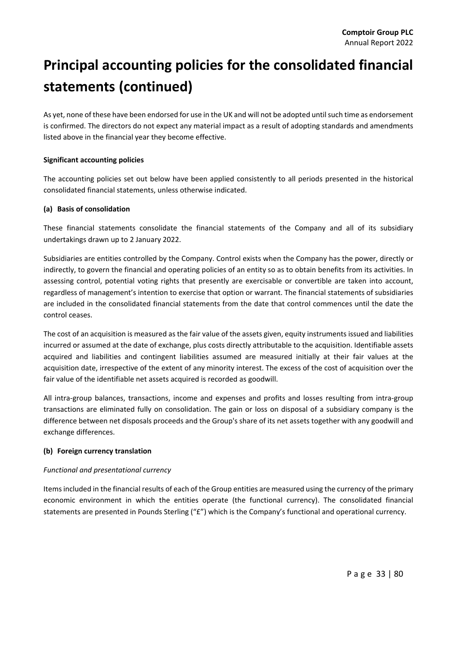# **Principal accounting policies for the consolidated financial statements (continued)**

As yet, none of these have been endorsed for use in the UK and will not be adopted until such time as endorsement is confirmed. The directors do not expect any material impact as a result of adopting standards and amendments listed above in the financial year they become effective.

### **Significant accounting policies**

The accounting policies set out below have been applied consistently to all periods presented in the historical consolidated financial statements, unless otherwise indicated.

### **(a) Basis of consolidation**

These financial statements consolidate the financial statements of the Company and all of its subsidiary undertakings drawn up to 2 January 2022.

Subsidiaries are entities controlled by the Company. Control exists when the Company has the power, directly or indirectly, to govern the financial and operating policies of an entity so as to obtain benefits from its activities. In assessing control, potential voting rights that presently are exercisable or convertible are taken into account, regardless of management's intention to exercise that option or warrant. The financial statements of subsidiaries are included in the consolidated financial statements from the date that control commences until the date the control ceases.

The cost of an acquisition is measured as the fair value of the assets given, equity instruments issued and liabilities incurred or assumed at the date of exchange, plus costs directly attributable to the acquisition. Identifiable assets acquired and liabilities and contingent liabilities assumed are measured initially at their fair values at the acquisition date, irrespective of the extent of any minority interest. The excess of the cost of acquisition over the fair value of the identifiable net assets acquired is recorded as goodwill.

All intra‐group balances, transactions, income and expenses and profits and losses resulting from intra‐group transactions are eliminated fully on consolidation. The gain or loss on disposal of a subsidiary company is the difference between net disposals proceeds and the Group's share of its net assets together with any goodwill and exchange differences.

### **(b) Foreign currency translation**

### *Functional and presentational currency*

Itemsincluded in the financial results of each of the Group entities are measured using the currency of the primary economic environment in which the entities operate (the functional currency). The consolidated financial statements are presented in Pounds Sterling ("£") which is the Company's functional and operational currency.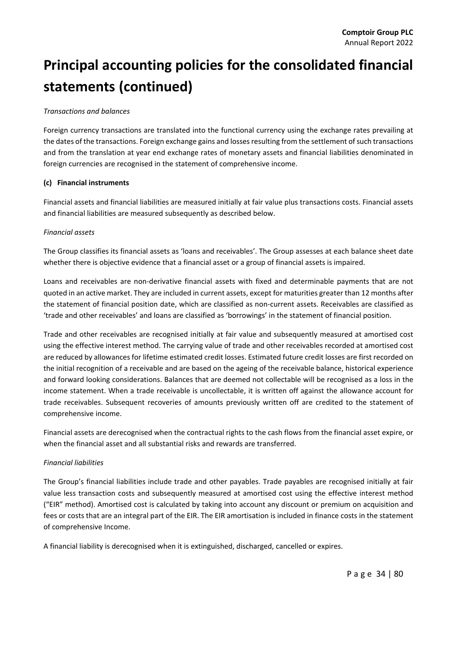#### *Transactions and balances*

Foreign currency transactions are translated into the functional currency using the exchange rates prevailing at the dates of the transactions. Foreign exchange gains and losses resulting from the settlement of such transactions and from the translation at year end exchange rates of monetary assets and financial liabilities denominated in foreign currencies are recognised in the statement of comprehensive income.

#### **(c) Financial instruments**

Financial assets and financial liabilities are measured initially at fair value plus transactions costs. Financial assets and financial liabilities are measured subsequently as described below.

#### *Financial assets*

The Group classifies its financial assets as 'loans and receivables'. The Group assesses at each balance sheet date whether there is objective evidence that a financial asset or a group of financial assets is impaired.

Loans and receivables are non‐derivative financial assets with fixed and determinable payments that are not quoted in an active market. They are included in current assets, except for maturities greater than 12 months after the statement of financial position date, which are classified as non‐current assets. Receivables are classified as 'trade and other receivables' and loans are classified as 'borrowings' in the statement of financial position.

Trade and other receivables are recognised initially at fair value and subsequently measured at amortised cost using the effective interest method. The carrying value of trade and other receivables recorded at amortised cost are reduced by allowances for lifetime estimated credit losses. Estimated future credit losses are first recorded on the initial recognition of a receivable and are based on the ageing of the receivable balance, historical experience and forward looking considerations. Balances that are deemed not collectable will be recognised as a loss in the income statement. When a trade receivable is uncollectable, it is written off against the allowance account for trade receivables. Subsequent recoveries of amounts previously written off are credited to the statement of comprehensive income.

Financial assets are derecognised when the contractual rights to the cash flows from the financial asset expire, or when the financial asset and all substantial risks and rewards are transferred.

#### *Financial liabilities*

The Group's financial liabilities include trade and other payables. Trade payables are recognised initially at fair value less transaction costs and subsequently measured at amortised cost using the effective interest method ("EIR" method). Amortised cost is calculated by taking into account any discount or premium on acquisition and fees or costs that are an integral part of the EIR. The EIR amortisation is included in finance costs in the statement of comprehensive Income.

A financial liability is derecognised when it is extinguished, discharged, cancelled or expires.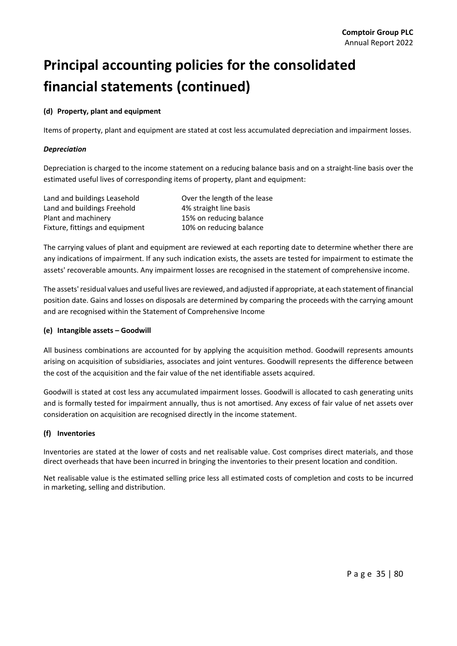#### **(d) Property, plant and equipment**

Items of property, plant and equipment are stated at cost less accumulated depreciation and impairment losses.

#### *Depreciation*

Depreciation is charged to the income statement on a reducing balance basis and on a straight‐line basis over the estimated useful lives of corresponding items of property, plant and equipment:

| Land and buildings Leasehold    | Over the length of the lease |
|---------------------------------|------------------------------|
| Land and buildings Freehold     | 4% straight line basis       |
| Plant and machinery             | 15% on reducing balance      |
| Fixture, fittings and equipment | 10% on reducing balance      |

The carrying values of plant and equipment are reviewed at each reporting date to determine whether there are any indications of impairment. If any such indication exists, the assets are tested for impairment to estimate the assets' recoverable amounts. Any impairment losses are recognised in the statement of comprehensive income.

The assets'residual values and useful lives are reviewed, and adjusted if appropriate, at each statement of financial position date. Gains and losses on disposals are determined by comparing the proceeds with the carrying amount and are recognised within the Statement of Comprehensive Income

#### **(e) Intangible assets – Goodwill**

All business combinations are accounted for by applying the acquisition method. Goodwill represents amounts arising on acquisition of subsidiaries, associates and joint ventures. Goodwill represents the difference between the cost of the acquisition and the fair value of the net identifiable assets acquired.

Goodwill is stated at cost less any accumulated impairment losses. Goodwill is allocated to cash generating units and is formally tested for impairment annually, thus is not amortised. Any excess of fair value of net assets over consideration on acquisition are recognised directly in the income statement.

#### **(f) Inventories**

Inventories are stated at the lower of costs and net realisable value. Cost comprises direct materials, and those direct overheads that have been incurred in bringing the inventories to their present location and condition.

Net realisable value is the estimated selling price less all estimated costs of completion and costs to be incurred in marketing, selling and distribution.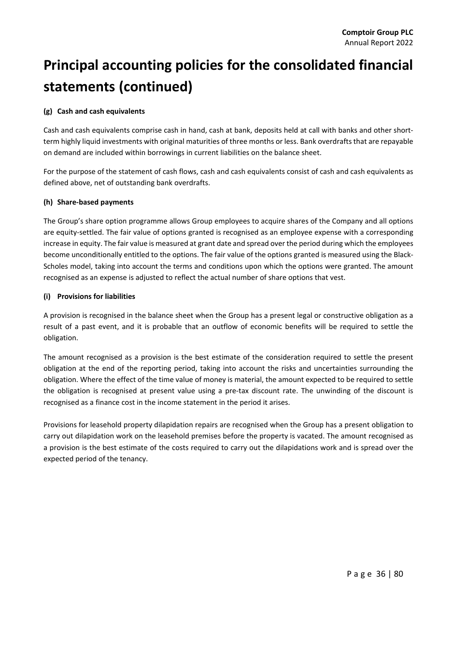#### **(g) Cash and cash equivalents**

Cash and cash equivalents comprise cash in hand, cash at bank, deposits held at call with banks and other short‐ term highly liquid investments with original maturities of three months or less. Bank overdrafts that are repayable on demand are included within borrowings in current liabilities on the balance sheet.

For the purpose of the statement of cash flows, cash and cash equivalents consist of cash and cash equivalents as defined above, net of outstanding bank overdrafts.

#### **(h) Share‐based payments**

The Group's share option programme allows Group employees to acquire shares of the Company and all options are equity‐settled. The fair value of options granted is recognised as an employee expense with a corresponding increase in equity. The fair value is measured at grant date and spread over the period during which the employees become unconditionally entitled to the options. The fair value of the options granted is measured using the Black‐ Scholes model, taking into account the terms and conditions upon which the options were granted. The amount recognised as an expense is adjusted to reflect the actual number of share options that vest.

#### **(i) Provisions for liabilities**

A provision is recognised in the balance sheet when the Group has a present legal or constructive obligation as a result of a past event, and it is probable that an outflow of economic benefits will be required to settle the obligation.

The amount recognised as a provision is the best estimate of the consideration required to settle the present obligation at the end of the reporting period, taking into account the risks and uncertainties surrounding the obligation. Where the effect of the time value of money is material, the amount expected to be required to settle the obligation is recognised at present value using a pre‐tax discount rate. The unwinding of the discount is recognised as a finance cost in the income statement in the period it arises.

Provisions for leasehold property dilapidation repairs are recognised when the Group has a present obligation to carry out dilapidation work on the leasehold premises before the property is vacated. The amount recognised as a provision is the best estimate of the costs required to carry out the dilapidations work and is spread over the expected period of the tenancy.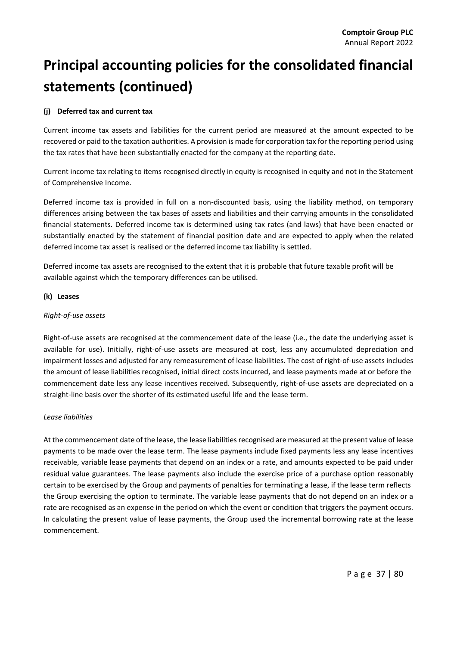#### **(j) Deferred tax and current tax**

Current income tax assets and liabilities for the current period are measured at the amount expected to be recovered or paid to the taxation authorities. A provision is made for corporation tax for the reporting period using the tax rates that have been substantially enacted for the company at the reporting date.

Current income tax relating to items recognised directly in equity is recognised in equity and not in the Statement of Comprehensive Income.

Deferred income tax is provided in full on a non-discounted basis, using the liability method, on temporary differences arising between the tax bases of assets and liabilities and their carrying amounts in the consolidated financial statements. Deferred income tax is determined using tax rates (and laws) that have been enacted or substantially enacted by the statement of financial position date and are expected to apply when the related deferred income tax asset is realised or the deferred income tax liability is settled.

Deferred income tax assets are recognised to the extent that it is probable that future taxable profit will be available against which the temporary differences can be utilised.

#### **(k) Leases**

#### *Right‐of‐use assets*

Right-of-use assets are recognised at the commencement date of the lease (i.e., the date the underlying asset is available for use). Initially, right-of-use assets are measured at cost, less any accumulated depreciation and impairment losses and adjusted for any remeasurement of lease liabilities. The cost of right‐of‐use assets includes the amount of lease liabilities recognised, initial direct costs incurred, and lease payments made at or before the commencement date less any lease incentives received. Subsequently, right‐of‐use assets are depreciated on a straight‐line basis over the shorter of its estimated useful life and the lease term.

#### *Lease liabilities*

At the commencement date of the lease, the lease liabilities recognised are measured at the present value of lease payments to be made over the lease term. The lease payments include fixed payments less any lease incentives receivable, variable lease payments that depend on an index or a rate, and amounts expected to be paid under residual value guarantees. The lease payments also include the exercise price of a purchase option reasonably certain to be exercised by the Group and payments of penalties for terminating a lease, if the lease term reflects the Group exercising the option to terminate. The variable lease payments that do not depend on an index or a rate are recognised as an expense in the period on which the event or condition that triggers the payment occurs. In calculating the present value of lease payments, the Group used the incremental borrowing rate at the lease commencement.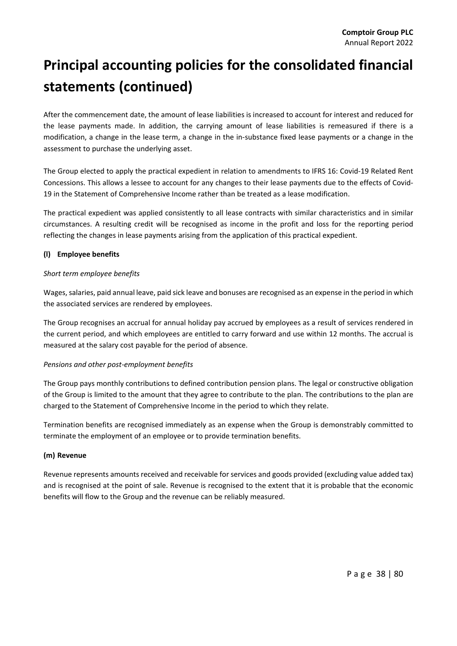After the commencement date, the amount of lease liabilities is increased to account for interest and reduced for the lease payments made. In addition, the carrying amount of lease liabilities is remeasured if there is a modification, a change in the lease term, a change in the in‐substance fixed lease payments or a change in the assessment to purchase the underlying asset.

The Group elected to apply the practical expedient in relation to amendments to IFRS 16: Covid‐19 Related Rent Concessions. This allows a lessee to account for any changes to their lease payments due to the effects of Covid‐ 19 in the Statement of Comprehensive Income rather than be treated as a lease modification.

The practical expedient was applied consistently to all lease contracts with similar characteristics and in similar circumstances. A resulting credit will be recognised as income in the profit and loss for the reporting period reflecting the changes in lease payments arising from the application of this practical expedient.

#### **(l) Employee benefits**

#### *Short term employee benefits*

Wages, salaries, paid annual leave, paid sick leave and bonuses are recognised as an expense in the period in which the associated services are rendered by employees.

The Group recognises an accrual for annual holiday pay accrued by employees as a result of services rendered in the current period, and which employees are entitled to carry forward and use within 12 months. The accrual is measured at the salary cost payable for the period of absence.

#### *Pensions and other post‐employment benefits*

The Group pays monthly contributions to defined contribution pension plans. The legal or constructive obligation of the Group is limited to the amount that they agree to contribute to the plan. The contributions to the plan are charged to the Statement of Comprehensive Income in the period to which they relate.

Termination benefits are recognised immediately as an expense when the Group is demonstrably committed to terminate the employment of an employee or to provide termination benefits.

#### **(m) Revenue**

Revenue represents amounts received and receivable for services and goods provided (excluding value added tax) and is recognised at the point of sale. Revenue is recognised to the extent that it is probable that the economic benefits will flow to the Group and the revenue can be reliably measured.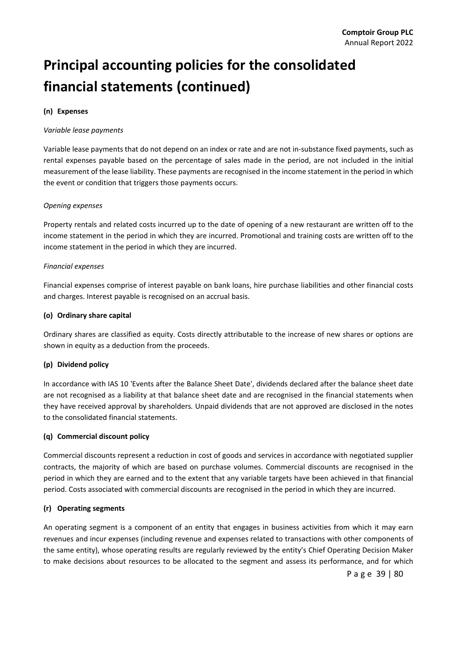#### **(n) Expenses**

#### *Variable lease payments*

Variable lease payments that do not depend on an index or rate and are not in‐substance fixed payments, such as rental expenses payable based on the percentage of sales made in the period, are not included in the initial measurement of the lease liability. These payments are recognised in the income statement in the period in which the event or condition that triggers those payments occurs.

#### *Opening expenses*

Property rentals and related costs incurred up to the date of opening of a new restaurant are written off to the income statement in the period in which they are incurred. Promotional and training costs are written off to the income statement in the period in which they are incurred.

#### *Financial expenses*

Financial expenses comprise of interest payable on bank loans, hire purchase liabilities and other financial costs and charges. Interest payable is recognised on an accrual basis.

#### **(o) Ordinary share capital**

Ordinary shares are classified as equity. Costs directly attributable to the increase of new shares or options are shown in equity as a deduction from the proceeds.

#### **(p) Dividend policy**

In accordance with IAS 10 'Events after the Balance Sheet Date', dividends declared after the balance sheet date are not recognised as a liability at that balance sheet date and are recognised in the financial statements when they have received approval by shareholders*.* Unpaid dividends that are not approved are disclosed in the notes to the consolidated financial statements.

#### **(q) Commercial discount policy**

Commercial discounts represent a reduction in cost of goods and services in accordance with negotiated supplier contracts, the majority of which are based on purchase volumes. Commercial discounts are recognised in the period in which they are earned and to the extent that any variable targets have been achieved in that financial period. Costs associated with commercial discounts are recognised in the period in which they are incurred.

#### **(r) Operating segments**

An operating segment is a component of an entity that engages in business activities from which it may earn revenues and incur expenses (including revenue and expenses related to transactions with other components of the same entity), whose operating results are regularly reviewed by the entity's Chief Operating Decision Maker to make decisions about resources to be allocated to the segment and assess its performance, and for which

Page 39 | 80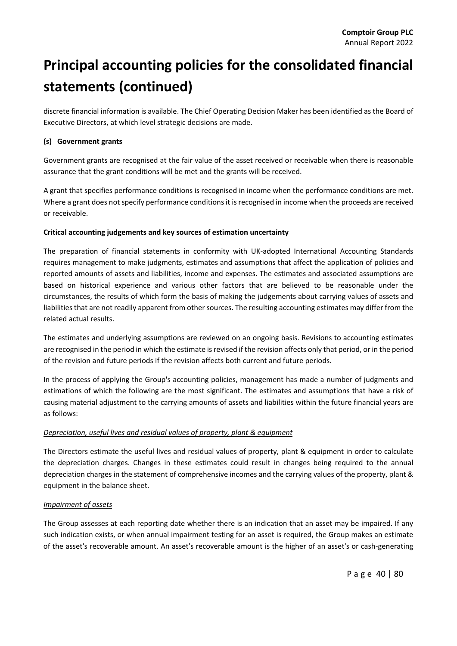discrete financial information is available. The Chief Operating Decision Maker has been identified as the Board of Executive Directors, at which level strategic decisions are made.

#### **(s) Government grants**

Government grants are recognised at the fair value of the asset received or receivable when there is reasonable assurance that the grant conditions will be met and the grants will be received.

A grant that specifies performance conditions is recognised in income when the performance conditions are met. Where a grant does not specify performance conditions it is recognised in income when the proceeds are received or receivable.

#### **Critical accounting judgements and key sources of estimation uncertainty**

The preparation of financial statements in conformity with UK‐adopted International Accounting Standards requires management to make judgments, estimates and assumptions that affect the application of policies and reported amounts of assets and liabilities, income and expenses. The estimates and associated assumptions are based on historical experience and various other factors that are believed to be reasonable under the circumstances, the results of which form the basis of making the judgements about carrying values of assets and liabilities that are not readily apparent from other sources. The resulting accounting estimates may differ from the related actual results.

The estimates and underlying assumptions are reviewed on an ongoing basis. Revisions to accounting estimates are recognised in the period in which the estimate is revised if the revision affects only that period, or in the period of the revision and future periods if the revision affects both current and future periods.

In the process of applying the Group's accounting policies, management has made a number of judgments and estimations of which the following are the most significant. The estimates and assumptions that have a risk of causing material adjustment to the carrying amounts of assets and liabilities within the future financial years are as follows:

#### *Depreciation, useful lives and residual values of property, plant & equipment*

The Directors estimate the useful lives and residual values of property, plant & equipment in order to calculate the depreciation charges. Changes in these estimates could result in changes being required to the annual depreciation charges in the statement of comprehensive incomes and the carrying values of the property, plant & equipment in the balance sheet.

#### *Impairment of assets*

The Group assesses at each reporting date whether there is an indication that an asset may be impaired. If any such indication exists, or when annual impairment testing for an asset is required, the Group makes an estimate of the asset's recoverable amount. An asset's recoverable amount is the higher of an asset's or cash‐generating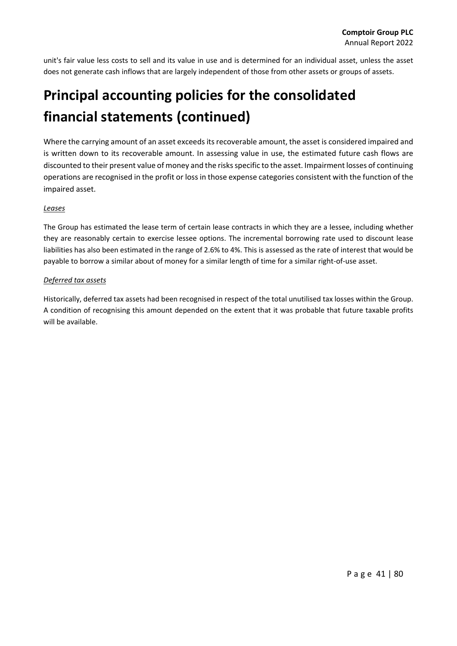unit's fair value less costs to sell and its value in use and is determined for an individual asset, unless the asset does not generate cash inflows that are largely independent of those from other assets or groups of assets.

### **Principal accounting policies for the consolidated financial statements (continued)**

Where the carrying amount of an asset exceeds its recoverable amount, the asset is considered impaired and is written down to its recoverable amount. In assessing value in use, the estimated future cash flows are discounted to their present value of money and the risks specific to the asset. Impairment losses of continuing operations are recognised in the profit or loss in those expense categories consistent with the function of the impaired asset.

#### *Leases*

The Group has estimated the lease term of certain lease contracts in which they are a lessee, including whether they are reasonably certain to exercise lessee options. The incremental borrowing rate used to discount lease liabilities has also been estimated in the range of 2.6% to 4%. This is assessed as the rate of interest that would be payable to borrow a similar about of money for a similar length of time for a similar right‐of‐use asset.

#### *Deferred tax assets*

Historically, deferred tax assets had been recognised in respect of the total unutilised tax losses within the Group. A condition of recognising this amount depended on the extent that it was probable that future taxable profits will be available.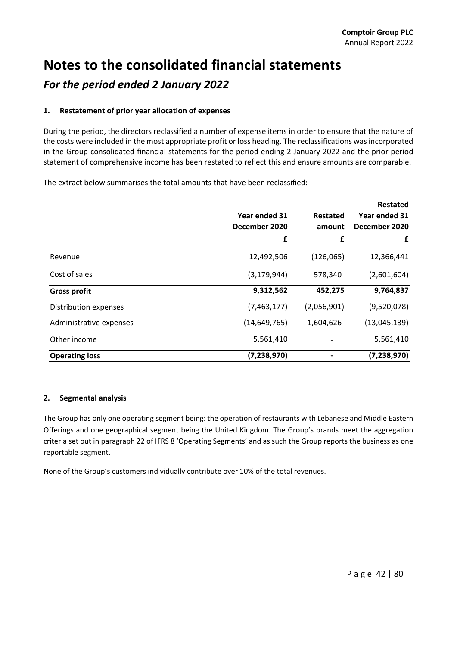### **Notes to the consolidated financial statements** *For the period ended 2 January 2022*

#### **1. Restatement of prior year allocation of expenses**

During the period, the directors reclassified a number of expense items in order to ensure that the nature of the costs were included in the most appropriate profit or loss heading. The reclassifications wasincorporated in the Group consolidated financial statements for the period ending 2 January 2022 and the prior period statement of comprehensive income has been restated to reflect this and ensure amounts are comparable.

The extract below summarises the total amounts that have been reclassified:

|                         | Year ended 31<br>December 2020<br>£ | <b>Restated</b><br>amount<br>£ | <b>Restated</b><br>Year ended 31<br>December 2020<br>£ |
|-------------------------|-------------------------------------|--------------------------------|--------------------------------------------------------|
| Revenue                 | 12,492,506                          | (126,065)                      | 12,366,441                                             |
| Cost of sales           | (3, 179, 944)                       | 578,340                        | (2,601,604)                                            |
| <b>Gross profit</b>     | 9,312,562                           | 452,275                        | 9,764,837                                              |
| Distribution expenses   | (7,463,177)                         | (2,056,901)                    | (9,520,078)                                            |
| Administrative expenses | (14, 649, 765)                      | 1,604,626                      | (13,045,139)                                           |
| Other income            | 5,561,410                           |                                | 5,561,410                                              |
| <b>Operating loss</b>   | (7, 238, 970)                       |                                | (7, 238, 970)                                          |

#### **2. Segmental analysis**

The Group has only one operating segment being: the operation of restaurants with Lebanese and Middle Eastern Offerings and one geographical segment being the United Kingdom. The Group's brands meet the aggregation criteria set out in paragraph 22 of IFRS 8 'Operating Segments' and as such the Group reports the business as one reportable segment.

None of the Group's customers individually contribute over 10% of the total revenues.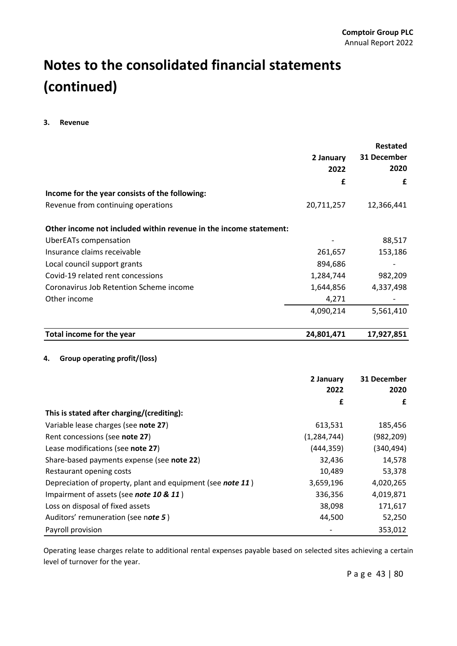#### **3. Revenue**

|                                                                   |               | <b>Restated</b> |
|-------------------------------------------------------------------|---------------|-----------------|
|                                                                   | 2 January     | 31 December     |
|                                                                   | 2022          | 2020            |
|                                                                   | £             | £               |
| Income for the year consists of the following:                    |               |                 |
| Revenue from continuing operations                                | 20,711,257    | 12,366,441      |
| Other income not included within revenue in the income statement: |               |                 |
| <b>UberEATs compensation</b>                                      |               | 88,517          |
| Insurance claims receivable                                       | 261,657       | 153,186         |
| Local council support grants                                      | 894,686       |                 |
| Covid-19 related rent concessions                                 | 1,284,744     | 982,209         |
| Coronavirus Job Retention Scheme income                           | 1,644,856     | 4,337,498       |
| Other income                                                      | 4,271         |                 |
|                                                                   | 4,090,214     | 5,561,410       |
| Total income for the year                                         | 24,801,471    | 17,927,851      |
| 4.<br><b>Group operating profit/(loss)</b>                        | 2 January     | 31 December     |
|                                                                   | 2022          | 2020            |
|                                                                   | £             | £               |
| This is stated after charging/(crediting):                        |               |                 |
| Variable lease charges (see note 27)                              | 613,531       | 185,456         |
| Rent concessions (see note 27)                                    | (1, 284, 744) | (982, 209)      |
| Lease modifications (see note 27)                                 | (444, 359)    | (340, 494)      |
| Share-based payments expense (see note 22)                        | 32,436        | 14,578          |
| Restaurant opening costs                                          | 10,489        | 53,378          |
| Depreciation of property, plant and equipment (see note 11)       | 3,659,196     | 4,020,265       |
| Impairment of assets (see note 10 & 11)                           | 336,356       | 4,019,871       |
| Loss on disposal of fixed assets                                  | 38,098        | 171,617         |
| Auditors' remuneration (see note 5)                               | 44,500        | 52,250          |
| Payroll provision                                                 |               | 353,012         |

Operating lease charges relate to additional rental expenses payable based on selected sites achieving a certain level of turnover for the year.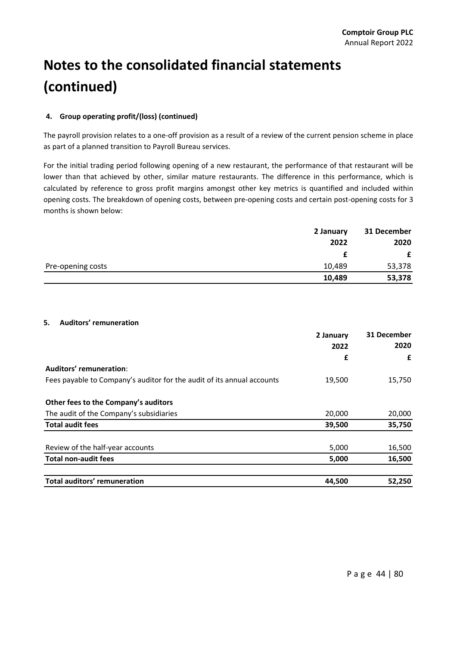#### **4. Group operating profit/(loss) (continued)**

The payroll provision relates to a one‐off provision as a result of a review of the current pension scheme in place as part of a planned transition to Payroll Bureau services.

For the initial trading period following opening of a new restaurant, the performance of that restaurant will be lower than that achieved by other, similar mature restaurants. The difference in this performance, which is calculated by reference to gross profit margins amongst other key metrics is quantified and included within opening costs. The breakdown of opening costs, between pre‐opening costs and certain post‐opening costs for 3 months is shown below:

|                   | 2 January | 31 December |
|-------------------|-----------|-------------|
|                   | 2022      | 2020        |
|                   |           | £           |
| Pre-opening costs | 10,489    | 53,378      |
|                   | 10,489    | 53,378      |

#### **5. Auditors' remuneration**

|                                                                        | 2 January<br>2022 | 31 December<br>2020<br>£ |
|------------------------------------------------------------------------|-------------------|--------------------------|
|                                                                        | £                 |                          |
| Auditors' remuneration:                                                |                   |                          |
| Fees payable to Company's auditor for the audit of its annual accounts | 19,500            | 15,750                   |
| Other fees to the Company's auditors                                   |                   |                          |
| The audit of the Company's subsidiaries                                | 20,000            | 20,000                   |
| <b>Total audit fees</b>                                                | 39,500            | 35,750                   |
| Review of the half-year accounts                                       | 5,000             | 16,500                   |
| <b>Total non-audit fees</b>                                            | 5,000             | 16,500                   |
| Total auditors' remuneration                                           | 44,500            | 52,250                   |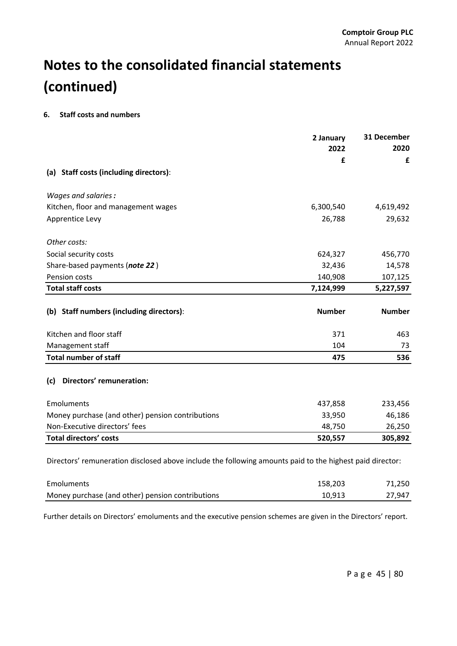#### **6. Staff costs and numbers**

|                                                                                                                        | 2 January<br>2022 | 31 December<br>2020 |
|------------------------------------------------------------------------------------------------------------------------|-------------------|---------------------|
|                                                                                                                        | £                 | £                   |
| (a) Staff costs (including directors):                                                                                 |                   |                     |
| Wages and salaries:                                                                                                    |                   |                     |
| Kitchen, floor and management wages                                                                                    | 6,300,540         | 4,619,492           |
| Apprentice Levy                                                                                                        | 26,788            | 29,632              |
| Other costs:                                                                                                           |                   |                     |
| Social security costs                                                                                                  | 624,327           | 456,770             |
| Share-based payments (note 22)                                                                                         | 32,436            | 14,578              |
| Pension costs                                                                                                          | 140,908           | 107,125             |
| <b>Total staff costs</b>                                                                                               | 7,124,999         | 5,227,597           |
| (b) Staff numbers (including directors):                                                                               | <b>Number</b>     | <b>Number</b>       |
| Kitchen and floor staff                                                                                                | 371               | 463                 |
| Management staff                                                                                                       | 104               | 73                  |
| <b>Total number of staff</b>                                                                                           | 475               | 536                 |
| Directors' remuneration:<br>(c)                                                                                        |                   |                     |
| Emoluments                                                                                                             | 437,858           | 233,456             |
| Money purchase (and other) pension contributions                                                                       | 33,950            | 46,186              |
| Non-Executive directors' fees                                                                                          | 48,750            | 26,250              |
| <b>Total directors' costs</b>                                                                                          | 520,557           | 305,892             |
| Directors' remuneration disclosed above include the following amounts paid to the highest paid director:<br>Emoluments | 158,203           | 71,250              |

Further details on Directors' emoluments and the executive pension schemes are given in the Directors' report.

Money purchase (and other) pension contributions 10,913 10,913 27,947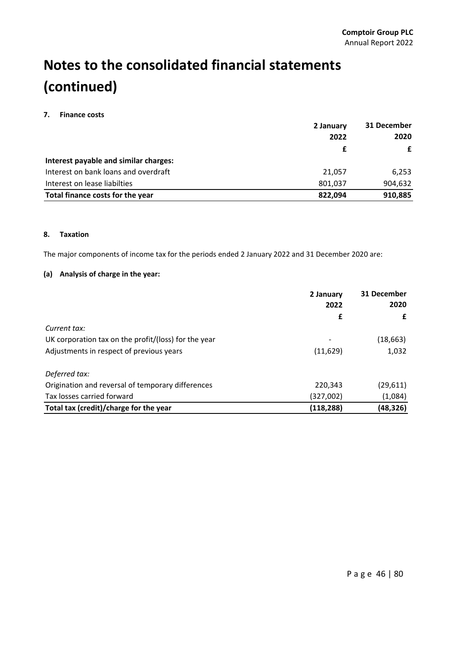#### **7. Finance costs**

|                                       | 2 January<br>2022 | 31 December<br>2020 |
|---------------------------------------|-------------------|---------------------|
|                                       |                   |                     |
|                                       |                   | £                   |
| Interest payable and similar charges: |                   |                     |
| Interest on bank loans and overdraft  | 21.057            | 6,253               |
| Interest on lease liabilties          | 801,037           | 904,632             |
| Total finance costs for the year      | 822.094           | 910,885             |

#### **8. Taxation**

The major components of income tax for the periods ended 2 January 2022 and 31 December 2020 are:

#### **(a) Analysis of charge in the year:**

|                                                      | 2 January  | 31 December |  |
|------------------------------------------------------|------------|-------------|--|
|                                                      | 2022       | 2020        |  |
|                                                      | £          | £           |  |
| Current tax:                                         |            |             |  |
| UK corporation tax on the profit/(loss) for the year |            | (18, 663)   |  |
| Adjustments in respect of previous years             | (11, 629)  | 1,032       |  |
| Deferred tax:                                        |            |             |  |
| Origination and reversal of temporary differences    | 220,343    | (29, 611)   |  |
| Tax losses carried forward                           | (327,002)  | (1,084)     |  |
| Total tax (credit)/charge for the year               | (118, 288) | (48,326)    |  |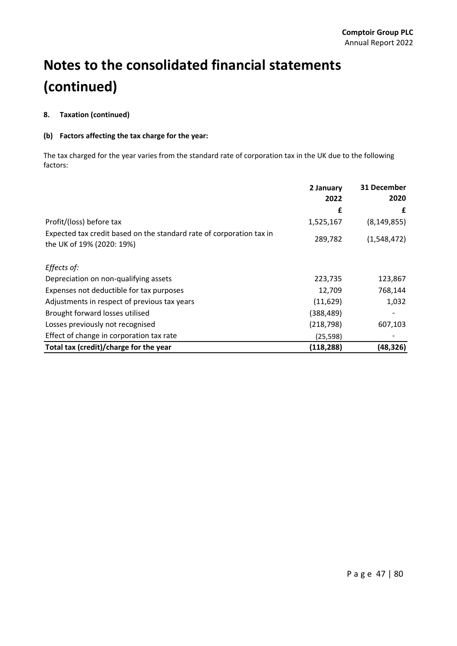#### **8. Taxation (continued)**

#### **(b) Factors affecting the tax charge for the year:**

The tax charged for the year varies from the standard rate of corporation tax in the UK due to the following factors:

|                                                                                                   | 2 January<br>2022 | 31 December<br>2020 |
|---------------------------------------------------------------------------------------------------|-------------------|---------------------|
|                                                                                                   | £                 | £                   |
| Profit/(loss) before tax                                                                          | 1,525,167         | (8, 149, 855)       |
| Expected tax credit based on the standard rate of corporation tax in<br>the UK of 19% (2020: 19%) | 289,782           | (1,548,472)         |
| Effects of:                                                                                       |                   |                     |
| Depreciation on non-qualifying assets                                                             | 223,735           | 123,867             |
| Expenses not deductible for tax purposes                                                          | 12,709            | 768,144             |
| Adjustments in respect of previous tax years                                                      | (11, 629)         | 1,032               |
| Brought forward losses utilised                                                                   | (388, 489)        |                     |
| Losses previously not recognised                                                                  | (218, 798)        | 607,103             |
| Effect of change in corporation tax rate                                                          | (25, 598)         |                     |
| Total tax (credit)/charge for the year                                                            | (118, 288)        | (48,326)            |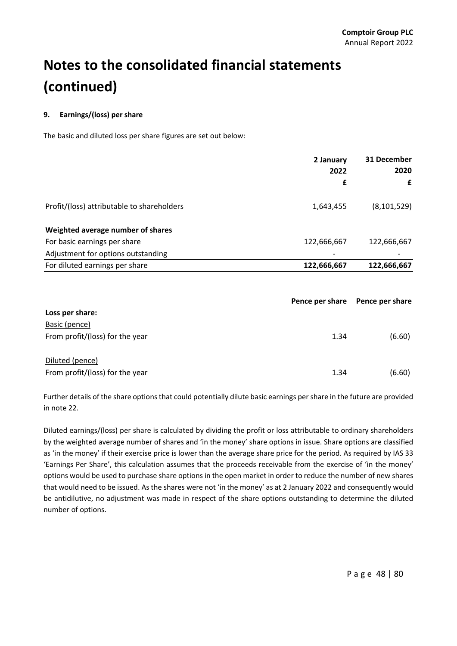#### **9. Earnings/(loss) per share**

The basic and diluted loss per share figures are set out below:

|                                            | 2 January<br>2022 | 31 December<br>2020 |
|--------------------------------------------|-------------------|---------------------|
|                                            | £                 | £                   |
| Profit/(loss) attributable to shareholders | 1,643,455         | (8, 101, 529)       |
| Weighted average number of shares          |                   |                     |
| For basic earnings per share               | 122,666,667       | 122,666,667         |
| Adjustment for options outstanding         |                   |                     |
| For diluted earnings per share             | 122,666,667       | 122,666,667         |

|                                 | Pence per share | Pence per share |
|---------------------------------|-----------------|-----------------|
| Loss per share:                 |                 |                 |
| Basic (pence)                   |                 |                 |
| From profit/(loss) for the year | 1.34            | (6.60)          |
| Diluted (pence)                 |                 |                 |
| From profit/(loss) for the year | 1.34            | (6.60)          |

Further details of the share options that could potentially dilute basic earnings per share in the future are provided in note 22.

Diluted earnings/(loss) per share is calculated by dividing the profit or loss attributable to ordinary shareholders by the weighted average number of shares and 'in the money' share options in issue. Share options are classified as 'in the money' if their exercise price is lower than the average share price for the period. As required by IAS 33 'Earnings Per Share', this calculation assumes that the proceeds receivable from the exercise of 'in the money' options would be used to purchase share options in the open market in order to reduce the number of new shares that would need to be issued. As the shares were not 'in the money' as at 2 January 2022 and consequently would be antidilutive, no adjustment was made in respect of the share options outstanding to determine the diluted number of options.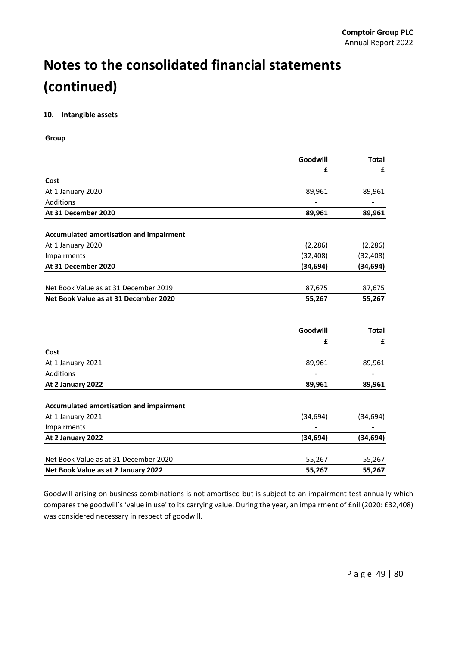#### **10. Intangible assets**

**Group**

|                                                | Goodwill  | <b>Total</b> |
|------------------------------------------------|-----------|--------------|
|                                                | £         | £            |
| Cost                                           |           |              |
| At 1 January 2020                              | 89,961    | 89,961       |
| Additions                                      |           |              |
| At 31 December 2020                            | 89,961    | 89,961       |
|                                                |           |              |
| Accumulated amortisation and impairment        |           |              |
| At 1 January 2020                              | (2, 286)  | (2, 286)     |
| Impairments                                    | (32, 408) | (32,408)     |
| At 31 December 2020                            | (34, 694) | (34, 694)    |
|                                                |           |              |
| Net Book Value as at 31 December 2019          | 87,675    | 87,675       |
| Net Book Value as at 31 December 2020          | 55,267    | 55,267       |
|                                                |           |              |
|                                                | Goodwill  | <b>Total</b> |
|                                                | £         | £            |
| Cost                                           |           |              |
| At 1 January 2021                              | 89,961    | 89,961       |
| Additions                                      |           |              |
| At 2 January 2022                              | 89,961    | 89,961       |
|                                                |           |              |
| <b>Accumulated amortisation and impairment</b> |           |              |
| At 1 January 2021                              | (34, 694) | (34, 694)    |
| Impairments                                    |           |              |
| At 2 January 2022                              | (34, 694) | (34, 694)    |
| Net Book Value as at 31 December 2020          | 55,267    | 55,267       |
| Net Book Value as at 2 January 2022            | 55,267    | 55,267       |

Goodwill arising on business combinations is not amortised but is subject to an impairment test annually which compares the goodwill's 'value in use' to its carrying value. During the year, an impairment of £nil (2020: £32,408) was considered necessary in respect of goodwill.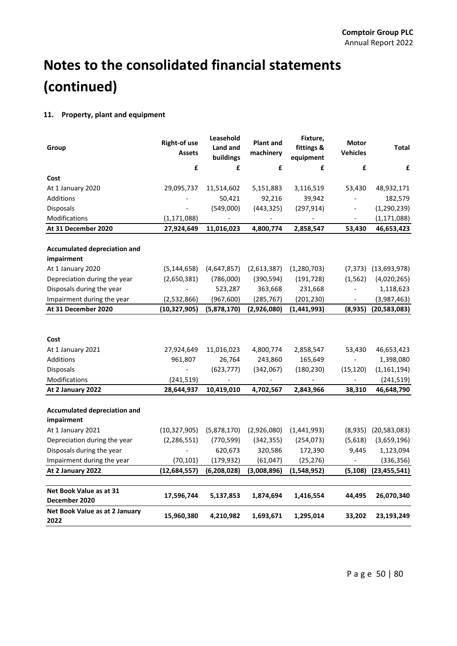#### **11. Property, plant and equipment**

| Group                                             | <b>Right-of use</b><br><b>Assets</b> | Leasehold<br>Land and<br>buildings | <b>Plant and</b><br>machinery | Fixture,<br>fittings &<br>equipment | Motor<br><b>Vehicles</b> | <b>Total</b>             |
|---------------------------------------------------|--------------------------------------|------------------------------------|-------------------------------|-------------------------------------|--------------------------|--------------------------|
|                                                   | £                                    | £                                  | £                             | £                                   | £                        | £                        |
| Cost                                              |                                      |                                    |                               |                                     |                          |                          |
| At 1 January 2020                                 | 29,095,737                           | 11,514,602                         | 5,151,883                     | 3,116,519                           | 53,430                   | 48,932,171               |
| <b>Additions</b>                                  |                                      | 50,421                             | 92,216                        | 39,942                              |                          | 182,579                  |
| Disposals                                         | $\overline{\phantom{a}}$             | (549,000)                          | (443, 325)                    | (297, 914)                          | $\overline{\phantom{a}}$ | (1, 290, 239)            |
| Modifications                                     | (1, 171, 088)                        | $\overline{\phantom{a}}$           |                               |                                     | $\overline{\phantom{a}}$ | (1, 171, 088)            |
| At 31 December 2020                               | 27,924,649                           | 11,016,023                         | 4,800,774                     | 2,858,547                           | 53,430                   | 46,653,423               |
|                                                   |                                      |                                    |                               |                                     |                          |                          |
| <b>Accumulated depreciation and</b><br>impairment |                                      |                                    |                               |                                     |                          |                          |
| At 1 January 2020                                 | (5, 144, 658)                        | (4,647,857)                        | (2,613,387)                   | (1, 280, 703)                       |                          | $(7,373)$ $(13,693,978)$ |
| Depreciation during the year                      | (2,650,381)                          | (786,000)                          | (390, 594)                    | (191, 728)                          | (1, 562)                 | (4,020,265)              |
| Disposals during the year                         |                                      | 523,287                            | 363,668                       | 231,668                             |                          | 1,118,623                |
| Impairment during the year                        | (2,532,866)                          | (967, 600)                         | (285,767)                     | (201, 230)                          |                          | (3,987,463)              |
| At 31 December 2020                               | (10, 327, 905)                       | (5,878,170)                        | (2,926,080)                   | (1,441,993)                         | (8,935)                  | (20, 583, 083)           |
|                                                   |                                      |                                    |                               |                                     |                          |                          |
| Cost                                              |                                      |                                    |                               |                                     |                          |                          |
| At 1 January 2021                                 | 27,924,649                           | 11,016,023                         | 4,800,774                     | 2,858,547                           | 53,430                   | 46,653,423               |
| Additions                                         | 961,807                              | 26,764                             | 243,860                       | 165,649                             | $\overline{\phantom{a}}$ | 1,398,080                |
| Disposals                                         | $\overline{\phantom{a}}$             | (623, 777)                         | (342,067)                     | (180, 230)                          | (15, 120)                | (1, 161, 194)            |
| Modifications                                     | (241, 519)                           | $\overline{\phantom{a}}$           | $\blacksquare$                | $\overline{\phantom{m}}$            | $\overline{\phantom{a}}$ | (241, 519)               |
| At 2 January 2022                                 | 28,644,937                           | 10,419,010                         | 4,702,567                     | 2,843,966                           | 38,310                   | 46,648,790               |
| <b>Accumulated depreciation and</b><br>impairment |                                      |                                    |                               |                                     |                          |                          |
| At 1 January 2021                                 | (10, 327, 905)                       | (5,878,170)                        | (2,926,080)                   | (1,441,993)                         | (8,935)                  | (20, 583, 083)           |
| Depreciation during the year                      | (2, 286, 551)                        | (770, 599)                         | (342, 355)                    | (254, 073)                          | (5,618)                  | (3,659,196)              |
| Disposals during the year                         | $\blacksquare$                       | 620,673                            | 320,586                       | 172,390                             | 9,445                    | 1,123,094                |
| Impairment during the year                        | (70, 101)                            | (179, 932)                         | (61, 047)                     | (25, 276)                           | $\overline{\phantom{a}}$ | (336, 356)               |
| At 2 January 2022                                 | (12, 684, 557)                       | (6, 208, 028)                      | (3,008,896)                   | (1,548,952)                         | (5, 108)                 | (23, 455, 541)           |
|                                                   |                                      |                                    |                               |                                     |                          |                          |
| Net Book Value as at 31<br>December 2020          | 17,596,744                           | 5,137,853                          | 1,874,694                     | 1,416,554                           | 44,495                   | 26,070,340               |
| Net Book Value as at 2 January<br>2022            | 15,960,380                           | 4,210,982                          | 1,693,671                     | 1,295,014                           | 33,202                   | 23,193,249               |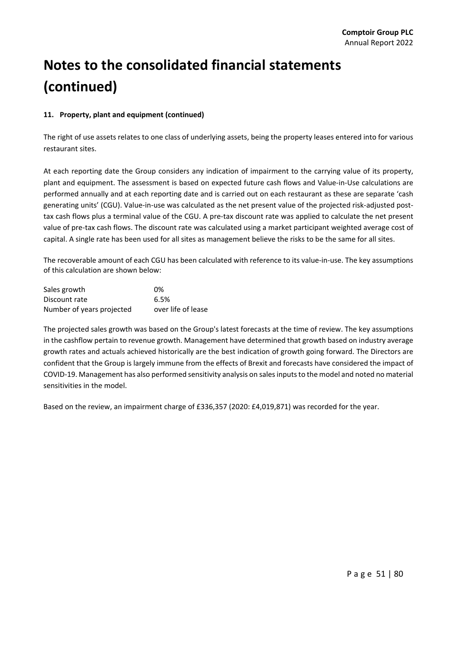#### **11. Property, plant and equipment (continued)**

The right of use assets relates to one class of underlying assets, being the property leases entered into for various restaurant sites.

At each reporting date the Group considers any indication of impairment to the carrying value of its property, plant and equipment. The assessment is based on expected future cash flows and Value‐in‐Use calculations are performed annually and at each reporting date and is carried out on each restaurant as these are separate 'cash generating units' (CGU). Value-in-use was calculated as the net present value of the projected risk-adjusted posttax cash flows plus a terminal value of the CGU. A pre-tax discount rate was applied to calculate the net present value of pre‐tax cash flows. The discount rate was calculated using a market participant weighted average cost of capital. A single rate has been used for all sites as management believe the risks to be the same for all sites.

The recoverable amount of each CGU has been calculated with reference to its value-in-use. The key assumptions of this calculation are shown below:

| Sales growth              | 0%                 |
|---------------------------|--------------------|
| Discount rate             | 6.5%               |
| Number of years projected | over life of lease |

The projected sales growth was based on the Group's latest forecasts at the time of review. The key assumptions in the cashflow pertain to revenue growth. Management have determined that growth based on industry average growth rates and actuals achieved historically are the best indication of growth going forward. The Directors are confident that the Group is largely immune from the effects of Brexit and forecasts have considered the impact of COVID‐19. Management has also performed sensitivity analysis on salesinputsto the model and noted no material sensitivities in the model.

Based on the review, an impairment charge of £336,357 (2020: £4,019,871) was recorded for the year.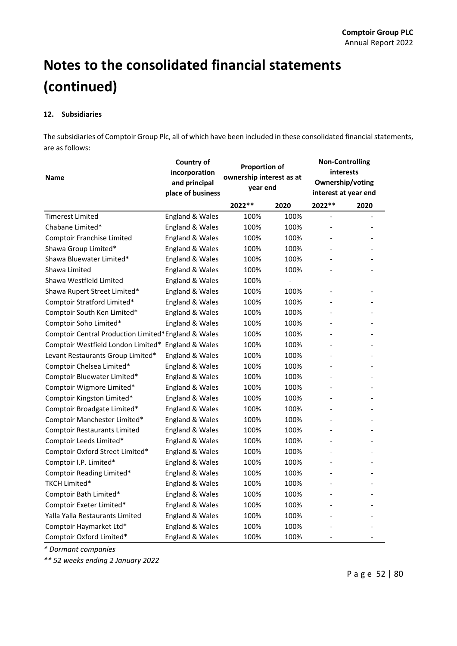#### **12. Subsidiaries**

The subsidiaries of Comptoir Group Plc, all of which have been included in these consolidated financial statements, are as follows:

| <b>Name</b>                                          | Country of<br>incorporation<br>and principal<br>place of business | <b>Proportion of</b><br>ownership interest as at<br>year end |                | <b>Non-Controlling</b><br><i>interests</i><br>Ownership/voting<br>interest at year end |                          |
|------------------------------------------------------|-------------------------------------------------------------------|--------------------------------------------------------------|----------------|----------------------------------------------------------------------------------------|--------------------------|
|                                                      |                                                                   | 2022 **                                                      | 2020           | 2022 **                                                                                | 2020                     |
| Timerest Limited                                     | England & Wales                                                   | 100%                                                         | 100%           |                                                                                        |                          |
| Chabane Limited*                                     | England & Wales                                                   | 100%                                                         | 100%           |                                                                                        |                          |
| Comptoir Franchise Limited                           | England & Wales                                                   | 100%                                                         | 100%           |                                                                                        |                          |
| Shawa Group Limited*                                 | England & Wales                                                   | 100%                                                         | 100%           |                                                                                        |                          |
| Shawa Bluewater Limited*                             | England & Wales                                                   | 100%                                                         | 100%           |                                                                                        |                          |
| Shawa Limited                                        | England & Wales                                                   | 100%                                                         | 100%           |                                                                                        |                          |
| Shawa Westfield Limited                              | England & Wales                                                   | 100%                                                         | $\blacksquare$ |                                                                                        |                          |
| Shawa Rupert Street Limited*                         | England & Wales                                                   | 100%                                                         | 100%           |                                                                                        |                          |
| Comptoir Stratford Limited*                          | England & Wales                                                   | 100%                                                         | 100%           |                                                                                        |                          |
| Comptoir South Ken Limited*                          | England & Wales                                                   | 100%                                                         | 100%           |                                                                                        |                          |
| Comptoir Soho Limited*                               | England & Wales                                                   | 100%                                                         | 100%           |                                                                                        |                          |
| Comptoir Central Production Limited* England & Wales |                                                                   | 100%                                                         | 100%           | $\overline{\phantom{0}}$                                                               |                          |
| Comptoir Westfield London Limited*                   | England & Wales                                                   | 100%                                                         | 100%           |                                                                                        |                          |
| Levant Restaurants Group Limited*                    | England & Wales                                                   | 100%                                                         | 100%           |                                                                                        |                          |
| Comptoir Chelsea Limited*                            | England & Wales                                                   | 100%                                                         | 100%           |                                                                                        |                          |
| Comptoir Bluewater Limited*                          | England & Wales                                                   | 100%                                                         | 100%           |                                                                                        |                          |
| Comptoir Wigmore Limited*                            | England & Wales                                                   | 100%                                                         | 100%           |                                                                                        |                          |
| Comptoir Kingston Limited*                           | England & Wales                                                   | 100%                                                         | 100%           |                                                                                        |                          |
| Comptoir Broadgate Limited*                          | England & Wales                                                   | 100%                                                         | 100%           | $\overline{\phantom{0}}$                                                               |                          |
| Comptoir Manchester Limited*                         | England & Wales                                                   | 100%                                                         | 100%           |                                                                                        |                          |
| <b>Comptoir Restaurants Limited</b>                  | England & Wales                                                   | 100%                                                         | 100%           | $\overline{\phantom{0}}$                                                               |                          |
| Comptoir Leeds Limited*                              | England & Wales                                                   | 100%                                                         | 100%           |                                                                                        |                          |
| Comptoir Oxford Street Limited*                      | England & Wales                                                   | 100%                                                         | 100%           |                                                                                        |                          |
| Comptoir I.P. Limited*                               | England & Wales                                                   | 100%                                                         | 100%           |                                                                                        |                          |
| Comptoir Reading Limited*                            | England & Wales                                                   | 100%                                                         | 100%           | ٠                                                                                      |                          |
| TKCH Limited*                                        | England & Wales                                                   | 100%                                                         | 100%           |                                                                                        |                          |
| Comptoir Bath Limited*                               | England & Wales                                                   | 100%                                                         | 100%           |                                                                                        |                          |
| Comptoir Exeter Limited*                             | England & Wales                                                   | 100%                                                         | 100%           |                                                                                        |                          |
| Yalla Yalla Restaurants Limited                      | England & Wales                                                   | 100%                                                         | 100%           |                                                                                        |                          |
| Comptoir Haymarket Ltd*                              | England & Wales                                                   | 100%                                                         | 100%           |                                                                                        |                          |
| Comptoir Oxford Limited*                             | <b>England &amp; Wales</b>                                        | 100%                                                         | 100%           | $\qquad \qquad \blacksquare$                                                           | $\overline{\phantom{a}}$ |

*\* Dormant companies*

*\*\* 52 weeks ending 2 January 2022*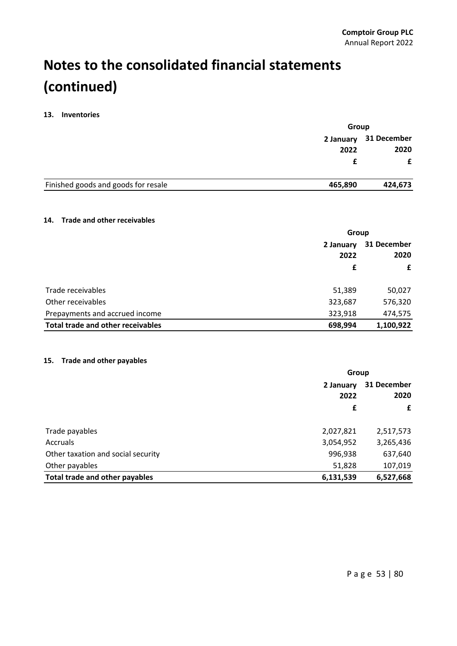#### **13. Inventories**

| 2 January<br>2022                              | Group |             |
|------------------------------------------------|-------|-------------|
|                                                |       | 31 December |
|                                                |       | 2020        |
|                                                |       | £           |
| Finished goods and goods for resale<br>465,890 |       | 424,673     |

#### **14. Trade and other receivables**

|                                   | Group     |             |  |
|-----------------------------------|-----------|-------------|--|
|                                   | 2 January | 31 December |  |
|                                   | 2022      | 2020        |  |
|                                   | £         | £           |  |
|                                   |           |             |  |
| Trade receivables                 | 51,389    | 50,027      |  |
| Other receivables                 | 323,687   | 576,320     |  |
| Prepayments and accrued income    | 323,918   | 474,575     |  |
| Total trade and other receivables | 698,994   | 1,100,922   |  |

#### **15. Trade and other payables**

|                                    | Group     |             |  |
|------------------------------------|-----------|-------------|--|
|                                    | 2 January | 31 December |  |
|                                    | 2022      | 2020        |  |
|                                    | £         | £           |  |
| Trade payables                     | 2,027,821 | 2,517,573   |  |
| Accruals                           | 3,054,952 | 3,265,436   |  |
| Other taxation and social security | 996,938   | 637,640     |  |
| Other payables                     | 51,828    | 107,019     |  |
| Total trade and other payables     | 6,131,539 | 6,527,668   |  |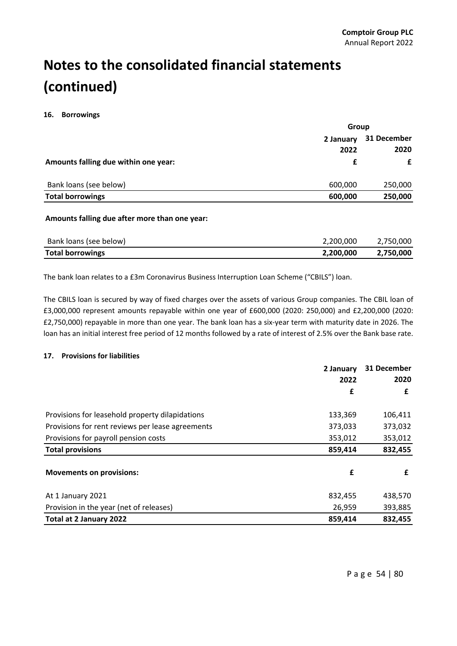#### **16. Borrowings**

|                                      | Group             |                     |  |
|--------------------------------------|-------------------|---------------------|--|
|                                      | 2 January<br>2022 | 31 December<br>2020 |  |
| Amounts falling due within one year: | f                 | £                   |  |
| Bank loans (see below)               | 600,000           | 250,000             |  |
| <b>Total borrowings</b>              | 600,000           | 250,000             |  |

#### **Amounts falling due after more than one year:**

| Bank loans (see below)  | 2,200,000 | 2.750.000 |
|-------------------------|-----------|-----------|
| <b>Total borrowings</b> | 2,200,000 | 2,750,000 |

The bank loan relates to a £3m Coronavirus Business Interruption Loan Scheme ("CBILS") loan.

The CBILS loan is secured by way of fixed charges over the assets of various Group companies. The CBIL loan of £3,000,000 represent amounts repayable within one year of £600,000 (2020: 250,000) and £2,200,000 (2020: £2,750,000) repayable in more than one year. The bank loan has a six‐year term with maturity date in 2026. The loan has an initial interest free period of 12 months followed by a rate of interest of 2.5% over the Bank base rate.

#### **17. Provisions for liabilities**

|                                                  | 2 January<br>2022 | 31 December<br>2020 |
|--------------------------------------------------|-------------------|---------------------|
|                                                  | £                 | £                   |
|                                                  |                   |                     |
| Provisions for leasehold property dilapidations  | 133,369           | 106,411             |
| Provisions for rent reviews per lease agreements | 373,033           | 373,032             |
| Provisions for payroll pension costs             | 353,012           | 353,012             |
| <b>Total provisions</b>                          | 859,414           | 832,455             |
| <b>Movements on provisions:</b>                  | £                 | £                   |
| At 1 January 2021                                | 832,455           | 438,570             |
| Provision in the year (net of releases)          | 26,959            | 393,885             |
| Total at 2 January 2022                          | 859,414           | 832,455             |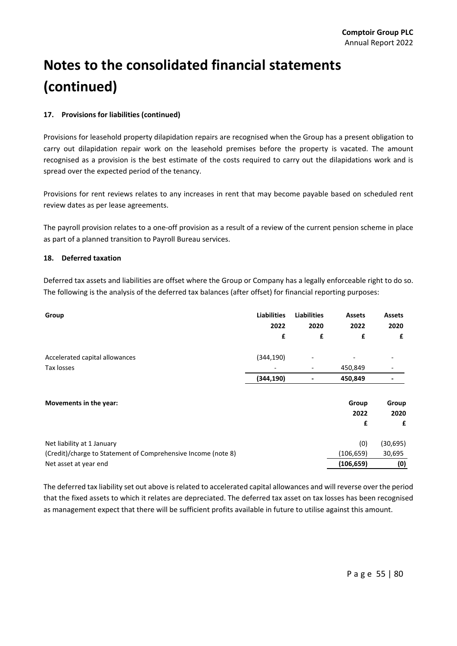#### **17. Provisions for liabilities (continued)**

Provisions for leasehold property dilapidation repairs are recognised when the Group has a present obligation to carry out dilapidation repair work on the leasehold premises before the property is vacated. The amount recognised as a provision is the best estimate of the costs required to carry out the dilapidations work and is spread over the expected period of the tenancy.

Provisions for rent reviews relates to any increases in rent that may become payable based on scheduled rent review dates as per lease agreements.

The payroll provision relates to a one‐off provision as a result of a review of the current pension scheme in place as part of a planned transition to Payroll Bureau services.

#### **18. Deferred taxation**

Deferred tax assets and liabilities are offset where the Group or Company has a legally enforceable right to do so. The following is the analysis of the deferred tax balances (after offset) for financial reporting purposes:

| Group                                                         | <b>Liabilities</b><br>2022<br>£ | <b>Liabilities</b><br>2020<br>£ | <b>Assets</b><br>2022<br>£ | <b>Assets</b><br>2020<br>£ |
|---------------------------------------------------------------|---------------------------------|---------------------------------|----------------------------|----------------------------|
| Accelerated capital allowances                                | (344, 190)                      |                                 |                            |                            |
| Tax losses                                                    |                                 |                                 | 450,849                    |                            |
|                                                               | (344, 190)                      |                                 | 450,849                    |                            |
| Movements in the year:                                        |                                 |                                 | Group                      | Group                      |
|                                                               |                                 |                                 | 2022                       | 2020                       |
|                                                               |                                 |                                 | £                          | £                          |
| Net liability at 1 January                                    |                                 |                                 | (0)                        | (30, 695)                  |
| (Credit)/charge to Statement of Comprehensive Income (note 8) |                                 |                                 | (106, 659)                 | 30,695                     |
| Net asset at year end                                         |                                 |                                 | (106, 659)                 | (0)                        |

The deferred tax liability set out above isrelated to accelerated capital allowances and will reverse over the period that the fixed assets to which it relates are depreciated. The deferred tax asset on tax losses has been recognised as management expect that there will be sufficient profits available in future to utilise against this amount.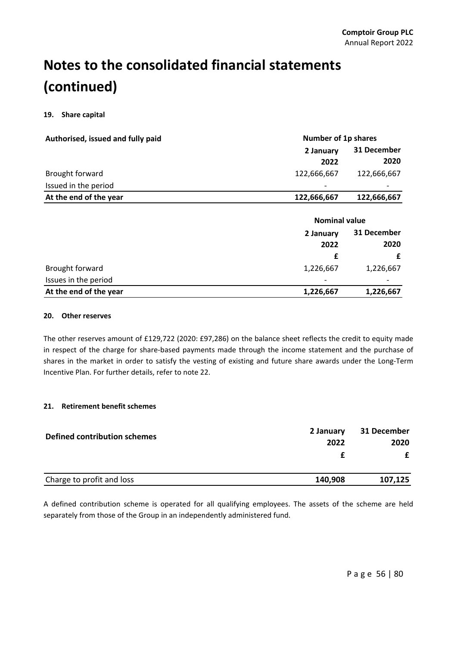#### **19. Share capital**

| Authorised, issued and fully paid | Number of 1p shares  |             |  |
|-----------------------------------|----------------------|-------------|--|
|                                   | 2 January            | 31 December |  |
|                                   | 2022                 | 2020        |  |
| Brought forward                   | 122,666,667          | 122,666,667 |  |
| Issued in the period              |                      |             |  |
| At the end of the year            | 122,666,667          | 122,666,667 |  |
|                                   |                      |             |  |
|                                   | <b>Nominal value</b> |             |  |
|                                   | 2 January            | 31 December |  |
|                                   | 2022                 | 2020        |  |
|                                   |                      |             |  |
|                                   | £                    | £           |  |
| Brought forward                   | 1,226,667            | 1,226,667   |  |
| Issues in the period              |                      |             |  |

#### **20. Other reserves**

The other reserves amount of £129,722 (2020: £97,286) on the balance sheet reflects the credit to equity made in respect of the charge for share‐based payments made through the income statement and the purchase of shares in the market in order to satisfy the vesting of existing and future share awards under the Long‐Term Incentive Plan. For further details, refer to note 22.

#### **21. Retirement benefit schemes**

| Defined contribution schemes | 2 January | 31 December |
|------------------------------|-----------|-------------|
|                              | 2022      | 2020        |
|                              |           |             |
| Charge to profit and loss    | 140,908   | 107,125     |

A defined contribution scheme is operated for all qualifying employees. The assets of the scheme are held separately from those of the Group in an independently administered fund.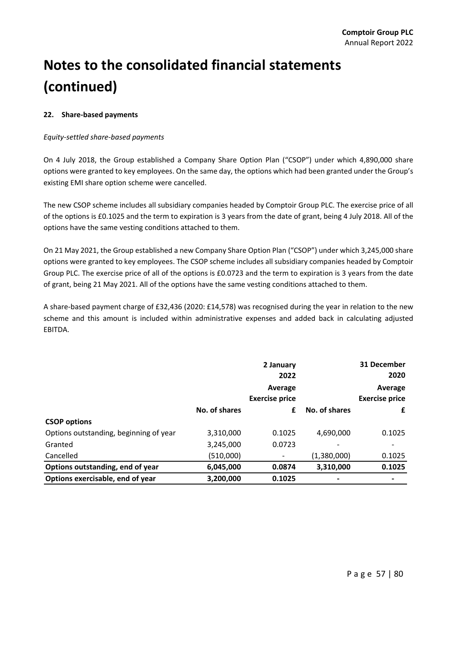#### **22. Share‐based payments**

#### *Equity‐settled share‐based payments*

On 4 July 2018, the Group established a Company Share Option Plan ("CSOP") under which 4,890,000 share options were granted to key employees. On the same day, the options which had been granted under the Group's existing EMI share option scheme were cancelled.

The new CSOP scheme includes all subsidiary companies headed by Comptoir Group PLC. The exercise price of all of the options is £0.1025 and the term to expiration is 3 years from the date of grant, being 4 July 2018. All of the options have the same vesting conditions attached to them.

On 21 May 2021, the Group established a new Company Share Option Plan ("CSOP") under which 3,245,000 share options were granted to key employees. The CSOP scheme includes all subsidiary companies headed by Comptoir Group PLC. The exercise price of all of the options is £0.0723 and the term to expiration is 3 years from the date of grant, being 21 May 2021. All of the options have the same vesting conditions attached to them.

A share‐based payment charge of £32,436 (2020: £14,578) was recognised during the year in relation to the new scheme and this amount is included within administrative expenses and added back in calculating adjusted EBITDA.

|                                        |               | 2 January<br>2022                |               | 31 December<br>2020              |
|----------------------------------------|---------------|----------------------------------|---------------|----------------------------------|
|                                        |               | Average<br><b>Exercise price</b> |               | Average<br><b>Exercise price</b> |
|                                        | No. of shares | £                                | No. of shares | £                                |
| <b>CSOP</b> options                    |               |                                  |               |                                  |
| Options outstanding, beginning of year | 3,310,000     | 0.1025                           | 4,690,000     | 0.1025                           |
| Granted                                | 3,245,000     | 0.0723                           |               |                                  |
| Cancelled                              | (510,000)     |                                  | (1,380,000)   | 0.1025                           |
| Options outstanding, end of year       | 6,045,000     | 0.0874                           | 3,310,000     | 0.1025                           |
| Options exercisable, end of year       | 3,200,000     | 0.1025                           |               |                                  |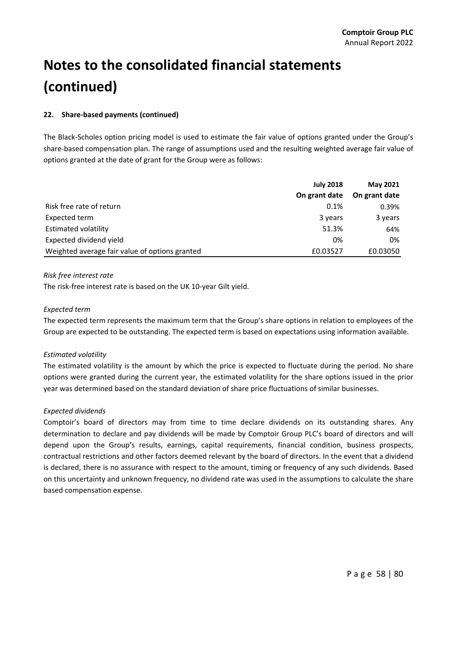#### **22. Share‐based payments (continued)**

The Black‐Scholes option pricing model is used to estimate the fair value of options granted under the Group's share‐based compensation plan. The range of assumptions used and the resulting weighted average fair value of options granted at the date of grant for the Group were as follows:

|                                                | <b>July 2018</b> | <b>May 2021</b> |
|------------------------------------------------|------------------|-----------------|
|                                                | On grant date    | On grant date   |
| Risk free rate of return                       | 0.1%             | 0.39%           |
| Expected term                                  | 3 years          | 3 years         |
| <b>Estimated volatility</b>                    | 51.3%            | 64%             |
| Expected dividend yield                        | 0%               | 0%              |
| Weighted average fair value of options granted | £0.03527         | £0.03050        |

*Risk free interest rate*

The risk‐free interest rate is based on the UK 10‐year Gilt yield.

#### *Expected term*

The expected term represents the maximum term that the Group's share options in relation to employees of the Group are expected to be outstanding. The expected term is based on expectations using information available.

#### *Estimated volatility*

The estimated volatility is the amount by which the price is expected to fluctuate during the period. No share options were granted during the current year, the estimated volatility for the share options issued in the prior year was determined based on the standard deviation of share price fluctuations of similar businesses.

#### *Expected dividends*

Comptoir's board of directors may from time to time declare dividends on its outstanding shares. Any determination to declare and pay dividends will be made by Comptoir Group PLC's board of directors and will depend upon the Group's results, earnings, capital requirements, financial condition, business prospects, contractual restrictions and other factors deemed relevant by the board of directors. In the event that a dividend is declared, there is no assurance with respect to the amount, timing or frequency of any such dividends. Based on this uncertainty and unknown frequency, no dividend rate was used in the assumptions to calculate the share based compensation expense.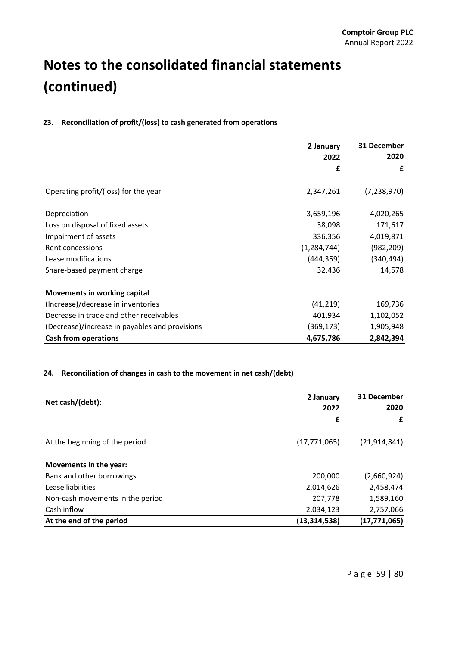#### **23. Reconciliation of profit/(loss) to cash generated from operations**

|                                                | 2 January<br>2022 | 31 December<br>2020 |
|------------------------------------------------|-------------------|---------------------|
|                                                |                   |                     |
|                                                | £                 | £                   |
| Operating profit/(loss) for the year           | 2,347,261         | (7,238,970)         |
| Depreciation                                   | 3,659,196         | 4,020,265           |
| Loss on disposal of fixed assets               | 38,098            | 171,617             |
| Impairment of assets                           | 336,356           | 4,019,871           |
| Rent concessions                               | (1, 284, 744)     | (982, 209)          |
| Lease modifications                            | (444, 359)        | (340, 494)          |
| Share-based payment charge                     | 32,436            | 14,578              |
| Movements in working capital                   |                   |                     |
| (Increase)/decrease in inventories             | (41, 219)         | 169,736             |
| Decrease in trade and other receivables        | 401,934           | 1,102,052           |
| (Decrease)/increase in payables and provisions | (369,173)         | 1,905,948           |
| <b>Cash from operations</b>                    | 4,675,786         | 2,842,394           |

#### **24. Reconciliation of changes in cash to the movement in net cash/(debt)**

| Net cash/(debt):                 | 2 January<br>2022 | 31 December<br>2020 |
|----------------------------------|-------------------|---------------------|
|                                  | £                 | £                   |
| At the beginning of the period   | (17, 771, 065)    | (21, 914, 841)      |
| Movements in the year:           |                   |                     |
| Bank and other borrowings        | 200,000           | (2,660,924)         |
| Lease liabilities                | 2,014,626         | 2,458,474           |
| Non-cash movements in the period | 207,778           | 1,589,160           |
| Cash inflow                      | 2,034,123         | 2,757,066           |
| At the end of the period         | (13, 314, 538)    | (17, 771, 065)      |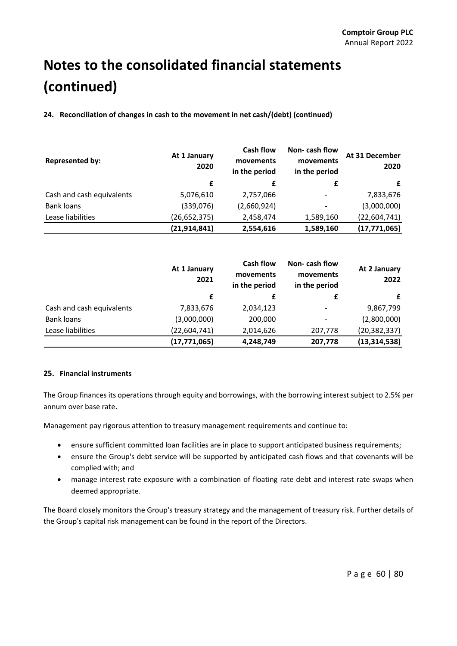**24. Reconciliation of changes in cash to the movement in net cash/(debt) (continued)**

| <b>Represented by:</b>    | At 1 January<br>2020 | <b>Cash flow</b><br>movements<br>in the period | Non-cash flow<br>movements<br>in the period | At 31 December<br>2020 |
|---------------------------|----------------------|------------------------------------------------|---------------------------------------------|------------------------|
|                           | £                    | £                                              | £                                           | £                      |
| Cash and cash equivalents | 5,076,610            | 2,757,066                                      | $\overline{\phantom{a}}$                    | 7,833,676              |
| <b>Bank loans</b>         | (339,076)            | (2,660,924)                                    | -                                           | (3,000,000)            |
| Lease liabilities         | (26, 652, 375)       | 2,458,474                                      | 1,589,160                                   | (22,604,741)           |
|                           | (21, 914, 841)       | 2,554,616                                      | 1,589,160                                   | (17, 771, 065)         |

|                           | At 1 January<br>2021 | <b>Cash flow</b><br>movements<br>in the period | Non-cash flow<br>movements<br>in the period | At 2 January<br>2022 |
|---------------------------|----------------------|------------------------------------------------|---------------------------------------------|----------------------|
|                           | £                    | £                                              | £                                           | £                    |
| Cash and cash equivalents | 7,833,676            | 2,034,123                                      |                                             | 9,867,799            |
| <b>Bank loans</b>         | (3,000,000)          | 200,000                                        | $\overline{\phantom{a}}$                    | (2,800,000)          |
| Lease liabilities         | (22,604,741)         | 2,014,626                                      | 207,778                                     | (20, 382, 337)       |
|                           | (17, 771, 065)       | 4,248,749                                      | 207,778                                     | (13, 314, 538)       |

#### **25. Financial instruments**

The Group finances its operations through equity and borrowings, with the borrowing interest subject to 2.5% per annum over base rate.

Management pay rigorous attention to treasury management requirements and continue to:

- ensure sufficient committed loan facilities are in place to support anticipated business requirements;
- ensure the Group's debt service will be supported by anticipated cash flows and that covenants will be complied with; and
- manage interest rate exposure with a combination of floating rate debt and interest rate swaps when deemed appropriate.

The Board closely monitors the Group's treasury strategy and the management of treasury risk. Further details of the Group's capital risk management can be found in the report of the Directors.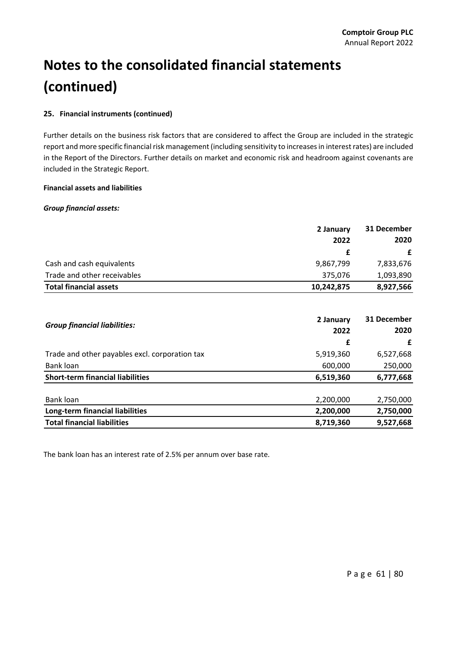#### **25. Financial instruments (continued)**

Further details on the business risk factors that are considered to affect the Group are included in the strategic report and more specific financial risk management (including sensitivity to increases in interest rates) are included in the Report of the Directors. Further details on market and economic risk and headroom against covenants are included in the Strategic Report.

#### **Financial assets and liabilities**

#### *Group financial assets:*

|                               | 2 January  | 31 December |
|-------------------------------|------------|-------------|
|                               | 2022       | 2020        |
|                               |            |             |
| Cash and cash equivalents     | 9,867,799  | 7,833,676   |
| Trade and other receivables   | 375,076    | 1,093,890   |
| <b>Total financial assets</b> | 10,242,875 | 8,927,566   |

| <b>Group financial liabilities:</b>            | 2 January<br>2022 | 31 December<br>2020 |
|------------------------------------------------|-------------------|---------------------|
|                                                | £                 | £                   |
| Trade and other payables excl. corporation tax | 5,919,360         | 6,527,668           |
| Bank loan                                      | 600,000           | 250,000             |
| <b>Short-term financial liabilities</b>        | 6,519,360         | 6,777,668           |
| Bank loan                                      | 2,200,000         | 2,750,000           |
| Long-term financial liabilities                | 2,200,000         | 2,750,000           |
| <b>Total financial liabilities</b>             | 8,719,360         | 9,527,668           |

The bank loan has an interest rate of 2.5% per annum over base rate.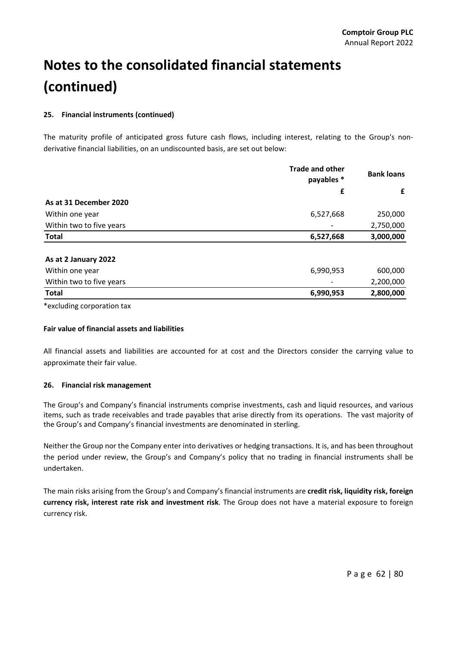#### **25. Financial instruments (continued)**

The maturity profile of anticipated gross future cash flows, including interest, relating to the Group's nonderivative financial liabilities, on an undiscounted basis, are set out below:

|                          | <b>Trade and other</b><br>payables * | <b>Bank loans</b> |
|--------------------------|--------------------------------------|-------------------|
|                          | £                                    | £                 |
| As at 31 December 2020   |                                      |                   |
| Within one year          | 6,527,668                            | 250,000           |
| Within two to five years |                                      | 2,750,000         |
| <b>Total</b>             | 6,527,668                            | 3,000,000         |
|                          |                                      |                   |
| As at 2 January 2022     |                                      |                   |
| Within one year          | 6,990,953                            | 600,000           |
| Within two to five years |                                      | 2,200,000         |
| <b>Total</b>             | 6,990,953                            | 2,800,000         |
|                          |                                      |                   |

\*excluding corporation tax

#### **Fair value of financial assets and liabilities**

All financial assets and liabilities are accounted for at cost and the Directors consider the carrying value to approximate their fair value.

#### **26. Financial risk management**

The Group's and Company's financial instruments comprise investments, cash and liquid resources, and various items, such as trade receivables and trade payables that arise directly from its operations. The vast majority of the Group's and Company's financial investments are denominated in sterling.

Neither the Group nor the Company enter into derivatives or hedging transactions. It is, and has been throughout the period under review, the Group's and Company's policy that no trading in financial instruments shall be undertaken.

The main risks arising from the Group's and Company's financial instruments are **credit risk, liquidity risk, foreign currency risk, interest rate risk and investment risk**. The Group does not have a material exposure to foreign currency risk.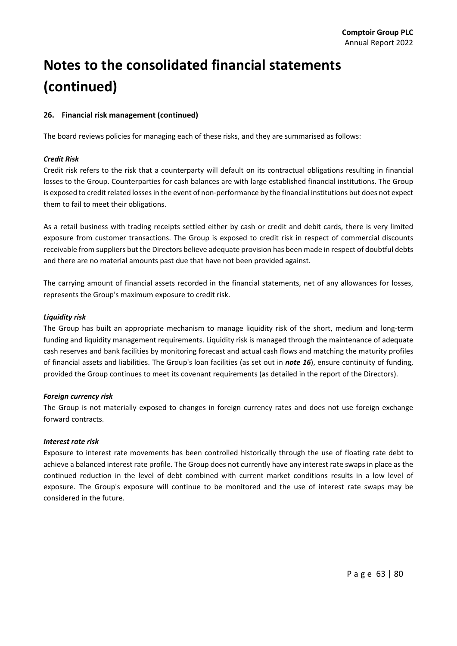#### **26. Financial risk management (continued)**

The board reviews policies for managing each of these risks, and they are summarised as follows:

#### *Credit Risk*

Credit risk refers to the risk that a counterparty will default on its contractual obligations resulting in financial losses to the Group. Counterparties for cash balances are with large established financial institutions. The Group is exposed to credit related losses in the event of non-performance by the financial institutions but does not expect them to fail to meet their obligations.

As a retail business with trading receipts settled either by cash or credit and debit cards, there is very limited exposure from customer transactions. The Group is exposed to credit risk in respect of commercial discounts receivable from suppliers but the Directors believe adequate provision has been made in respect of doubtful debts and there are no material amounts past due that have not been provided against.

The carrying amount of financial assets recorded in the financial statements, net of any allowances for losses, represents the Group's maximum exposure to credit risk.

#### *Liquidity risk*

The Group has built an appropriate mechanism to manage liquidity risk of the short, medium and long‐term funding and liquidity management requirements. Liquidity risk is managed through the maintenance of adequate cash reserves and bank facilities by monitoring forecast and actual cash flows and matching the maturity profiles of financial assets and liabilities. The Group's loan facilities (as set out in *note 16*), ensure continuity of funding, provided the Group continues to meet its covenant requirements (as detailed in the report of the Directors).

#### *Foreign currency risk*

The Group is not materially exposed to changes in foreign currency rates and does not use foreign exchange forward contracts.

#### *Interest rate risk*

Exposure to interest rate movements has been controlled historically through the use of floating rate debt to achieve a balanced interest rate profile. The Group does not currently have any interest rate swaps in place as the continued reduction in the level of debt combined with current market conditions results in a low level of exposure. The Group's exposure will continue to be monitored and the use of interest rate swaps may be considered in the future.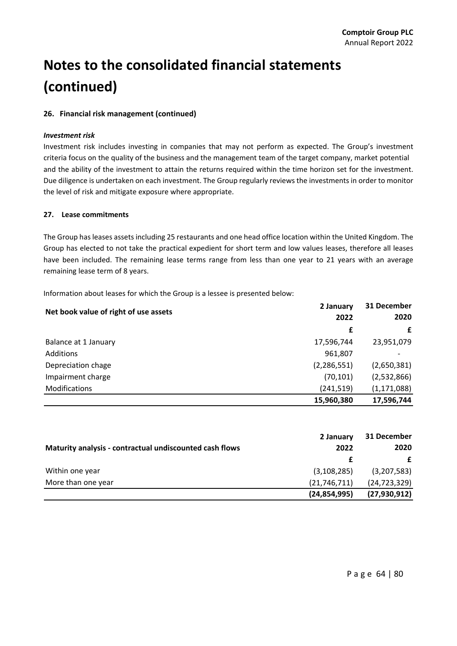#### **26. Financial risk management (continued)**

#### *Investment risk*

Investment risk includes investing in companies that may not perform as expected. The Group's investment criteria focus on the quality of the business and the management team of the target company, market potential and the ability of the investment to attain the returns required within the time horizon set for the investment. Due diligence is undertaken on each investment. The Group regularly reviews the investments in order to monitor the level of risk and mitigate exposure where appropriate.

#### **27. Lease commitments**

The Group has leases assets including 25 restaurants and one head office location within the United Kingdom. The Group has elected to not take the practical expedient for short term and low values leases, therefore all leases have been included. The remaining lease terms range from less than one year to 21 years with an average remaining lease term of 8 years.

Information about leases for which the Group is a lessee is presented below:

| Net book value of right of use assets | 2 January     | 31 December   |
|---------------------------------------|---------------|---------------|
|                                       | 2022          | 2020          |
|                                       | £             | £             |
| Balance at 1 January                  | 17,596,744    | 23,951,079    |
| <b>Additions</b>                      | 961,807       |               |
| Depreciation chage                    | (2, 286, 551) | (2,650,381)   |
| Impairment charge                     | (70, 101)     | (2,532,866)   |
| <b>Modifications</b>                  | (241, 519)    | (1, 171, 088) |
|                                       | 15,960,380    | 17,596,744    |

|                                                         | 2 January      | 31 December    |
|---------------------------------------------------------|----------------|----------------|
| Maturity analysis - contractual undiscounted cash flows | 2022           | 2020           |
|                                                         |                |                |
| Within one year                                         | (3, 108, 285)  | (3,207,583)    |
| More than one year                                      | (21,746,711)   | (24, 723, 329) |
|                                                         | (24, 854, 995) | (27, 930, 912) |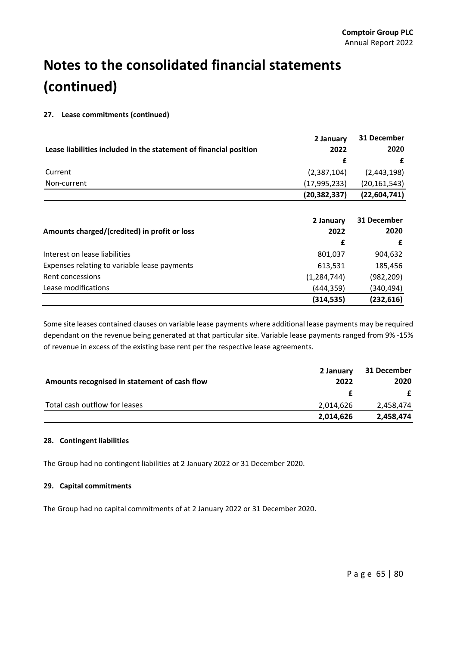#### **27. Lease commitments (continued)**

|                                                                   | 2 January      | 31 December    |
|-------------------------------------------------------------------|----------------|----------------|
| Lease liabilities included in the statement of financial position | 2022           | 2020           |
|                                                                   | £              | £              |
| Current                                                           | (2,387,104)    | (2,443,198)    |
| Non-current                                                       | (17, 995, 233) | (20, 161, 543) |
|                                                                   | (20, 382, 337) | (22, 604, 741) |
|                                                                   |                |                |
|                                                                   | 2 January      | 31 December    |
| Amounts charged/(credited) in profit or loss                      | 2022           | 2020           |
|                                                                   | £              | £              |
| Interest on lease liabilities                                     | 801,037        | 904,632        |
| Expenses relating to variable lease payments                      | 613,531        | 185,456        |
| Rent concessions                                                  | (1, 284, 744)  | (982,209)      |
| Lease modifications                                               | (444,359)      | (340,494)      |
|                                                                   | (314, 535)     | (232, 616)     |

Some site leases contained clauses on variable lease payments where additional lease payments may be required dependant on the revenue being generated at that particular site. Variable lease payments ranged from 9% ‐15% of revenue in excess of the existing base rent per the respective lease agreements.

|                                              | 2 January | 31 December |
|----------------------------------------------|-----------|-------------|
| Amounts recognised in statement of cash flow | 2022      | 2020        |
|                                              | Æ.        | £           |
| Total cash outflow for leases                | 2.014.626 | 2,458,474   |
|                                              | 2,014,626 | 2,458,474   |

#### **28. Contingent liabilities**

The Group had no contingent liabilities at 2 January 2022 or 31 December 2020.

#### **29. Capital commitments**

The Group had no capital commitments of at 2 January 2022 or 31 December 2020.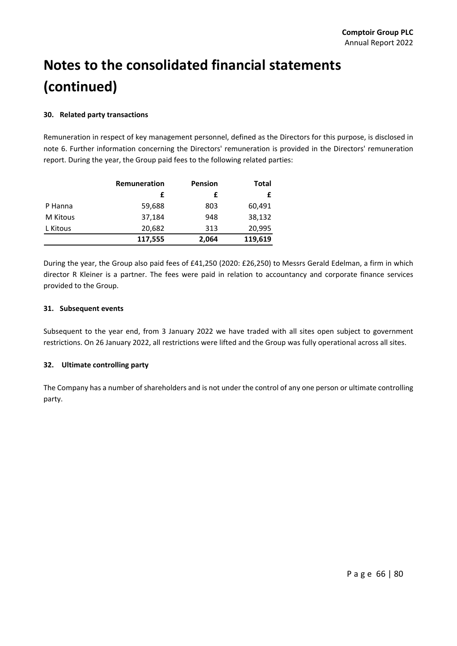#### **30. Related party transactions**

Remuneration in respect of key management personnel, defined as the Directors for this purpose, is disclosed in note 6. Further information concerning the Directors' remuneration is provided in the Directors' remuneration report. During the year, the Group paid fees to the following related parties:

|          | Remuneration | Pension | Total   |  |
|----------|--------------|---------|---------|--|
|          |              |         |         |  |
| P Hanna  | 59,688       | 803     | 60,491  |  |
| M Kitous | 37,184       | 948     | 38,132  |  |
| L Kitous | 20,682       | 313     | 20,995  |  |
|          | 117,555      | 2,064   | 119,619 |  |

During the year, the Group also paid fees of £41,250 (2020: £26,250) to Messrs Gerald Edelman, a firm in which director R Kleiner is a partner. The fees were paid in relation to accountancy and corporate finance services provided to the Group.

#### **31. Subsequent events**

Subsequent to the year end, from 3 January 2022 we have traded with all sites open subject to government restrictions. On 26 January 2022, all restrictions were lifted and the Group was fully operational across all sites.

#### **32. Ultimate controlling party**

The Company has a number of shareholders and is not under the control of any one person or ultimate controlling party.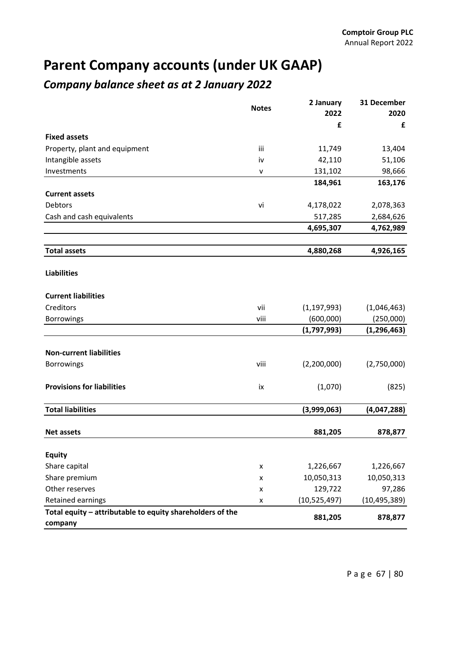### **Parent Company accounts (under UK GAAP)**

### *Company balance sheet as at 2 January 2022*

|                                                           | <b>Notes</b> | 2 January      | 31 December    |
|-----------------------------------------------------------|--------------|----------------|----------------|
|                                                           |              | 2022<br>£      | 2020<br>£      |
| <b>Fixed assets</b>                                       |              |                |                |
| Property, plant and equipment                             | iii          | 11,749         | 13,404         |
| Intangible assets                                         | iv           | 42,110         | 51,106         |
| Investments                                               | V            | 131,102        | 98,666         |
|                                                           |              | 184,961        | 163,176        |
| <b>Current assets</b>                                     |              |                |                |
| Debtors                                                   | vi           | 4,178,022      | 2,078,363      |
| Cash and cash equivalents                                 |              | 517,285        | 2,684,626      |
|                                                           |              | 4,695,307      | 4,762,989      |
|                                                           |              |                |                |
| <b>Total assets</b>                                       |              | 4,880,268      | 4,926,165      |
| <b>Liabilities</b>                                        |              |                |                |
| <b>Current liabilities</b>                                |              |                |                |
| Creditors                                                 | vii          | (1, 197, 993)  | (1,046,463)    |
| <b>Borrowings</b>                                         | viii         | (600,000)      | (250,000)      |
|                                                           |              | (1,797,993)    | (1, 296, 463)  |
| <b>Non-current liabilities</b>                            |              |                |                |
| <b>Borrowings</b>                                         | viii         | (2,200,000)    | (2,750,000)    |
|                                                           |              |                |                |
| <b>Provisions for liabilities</b>                         | iх           | (1,070)        | (825)          |
| <b>Total liabilities</b>                                  |              | (3,999,063)    | (4,047,288)    |
| <b>Net assets</b>                                         |              | 881,205        | 878,877        |
| <b>Equity</b>                                             |              |                |                |
| Share capital                                             | x            | 1,226,667      | 1,226,667      |
| Share premium                                             | x            | 10,050,313     | 10,050,313     |
| Other reserves                                            | x            | 129,722        | 97,286         |
| Retained earnings                                         | x            | (10, 525, 497) | (10, 495, 389) |
| Total equity - attributable to equity shareholders of the |              |                |                |
| company                                                   |              | 881,205        | 878,877        |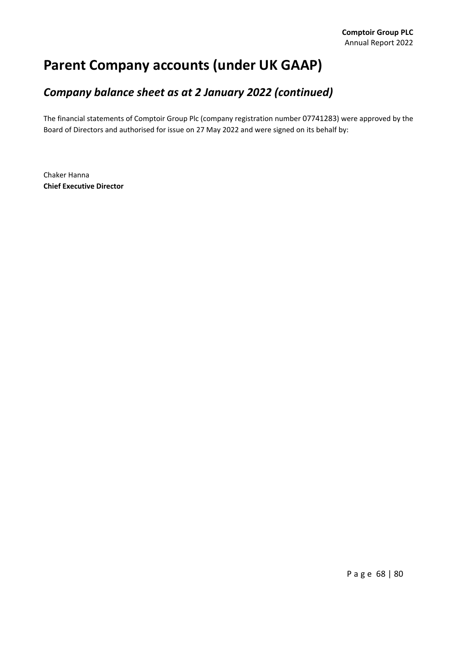### **Parent Company accounts (under UK GAAP)**

### *Company balance sheet as at 2 January 2022 (continued)*

The financial statements of Comptoir Group Plc (company registration number 07741283) were approved by the Board of Directors and authorised for issue on 27 May 2022 and were signed on its behalf by:

Chaker Hanna **Chief Executive Director**

Page 68 | 80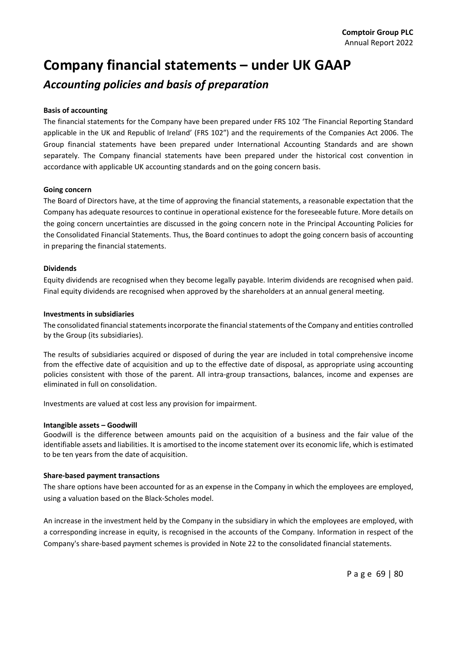### **Company financial statements – under UK GAAP**

### *Accounting policies and basis of preparation*

#### **Basis of accounting**

The financial statements for the Company have been prepared under FRS 102 'The Financial Reporting Standard applicable in the UK and Republic of Ireland' (FRS 102") and the requirements of the Companies Act 2006. The Group financial statements have been prepared under International Accounting Standards and are shown separately. The Company financial statements have been prepared under the historical cost convention in accordance with applicable UK accounting standards and on the going concern basis.

#### **Going concern**

The Board of Directors have, at the time of approving the financial statements, a reasonable expectation that the Company has adequate resources to continue in operational existence for the foreseeable future. More details on the going concern uncertainties are discussed in the going concern note in the Principal Accounting Policies for the Consolidated Financial Statements. Thus, the Board continues to adopt the going concern basis of accounting in preparing the financial statements.

#### **Dividends**

Equity dividends are recognised when they become legally payable. Interim dividends are recognised when paid. Final equity dividends are recognised when approved by the shareholders at an annual general meeting.

#### **Investments in subsidiaries**

The consolidated financial statements incorporate the financial statements of the Company and entities controlled by the Group (its subsidiaries).

The results of subsidiaries acquired or disposed of during the year are included in total comprehensive income from the effective date of acquisition and up to the effective date of disposal, as appropriate using accounting policies consistent with those of the parent. All intra‐group transactions, balances, income and expenses are eliminated in full on consolidation.

Investments are valued at cost less any provision for impairment.

#### **Intangible assets – Goodwill**

Goodwill is the difference between amounts paid on the acquisition of a business and the fair value of the identifiable assets and liabilities. It is amortised to the income statement over its economic life, which is estimated to be ten years from the date of acquisition.

#### **Share‐based payment transactions**

The share options have been accounted for as an expense in the Company in which the employees are employed, using a valuation based on the Black‐Scholes model.

An increase in the investment held by the Company in the subsidiary in which the employees are employed, with a corresponding increase in equity, is recognised in the accounts of the Company. Information in respect of the Company's share‐based payment schemes is provided in Note 22 to the consolidated financial statements.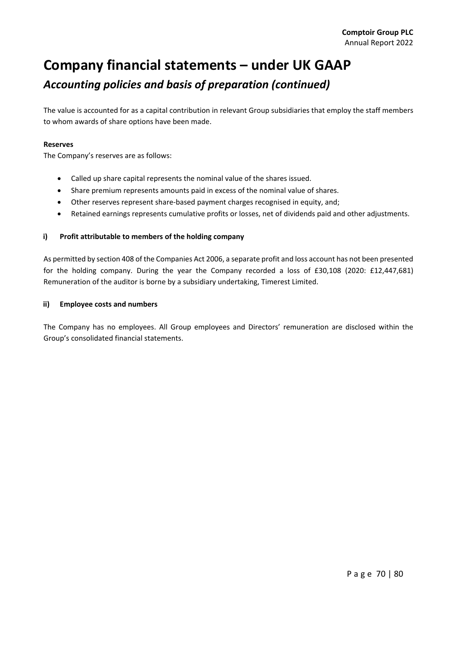# **Company financial statements – under UK GAAP** *Accounting policies and basis of preparation (continued)*

The value is accounted for as a capital contribution in relevant Group subsidiaries that employ the staff members to whom awards of share options have been made.

### **Reserves**

The Company's reserves are as follows:

- Called up share capital represents the nominal value of the shares issued.
- Share premium represents amounts paid in excess of the nominal value of shares.
- Other reserves represent share‐based payment charges recognised in equity, and;
- Retained earnings represents cumulative profits or losses, net of dividends paid and other adjustments.

### **i) Profit attributable to members of the holding company**

As permitted by section 408 of the Companies Act 2006, a separate profit and loss account has not been presented for the holding company. During the year the Company recorded a loss of £30,108 (2020: £12,447,681) Remuneration of the auditor is borne by a subsidiary undertaking, Timerest Limited.

#### **ii) Employee costs and numbers**

The Company has no employees. All Group employees and Directors' remuneration are disclosed within the Group's consolidated financial statements.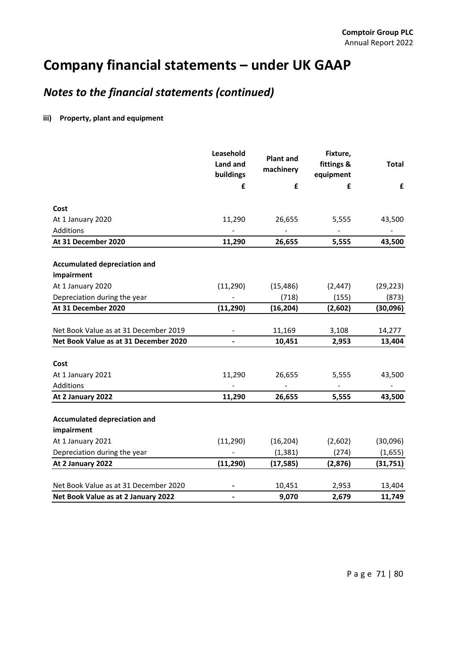## *Notes to the financial statements (continued)*

### **iii) Property, plant and equipment**

|                                       | Leasehold<br>Land and<br>buildings | <b>Plant and</b><br>machinery | Fixture,<br>fittings &<br>equipment | <b>Total</b> |  |
|---------------------------------------|------------------------------------|-------------------------------|-------------------------------------|--------------|--|
|                                       | £                                  | £                             | £                                   | £            |  |
| Cost                                  |                                    |                               |                                     |              |  |
| At 1 January 2020                     | 11,290                             | 26,655                        | 5,555                               | 43,500       |  |
| Additions                             |                                    |                               |                                     |              |  |
| At 31 December 2020                   | 11,290                             | 26,655                        | 5,555                               | 43,500       |  |
|                                       |                                    |                               |                                     |              |  |
| <b>Accumulated depreciation and</b>   |                                    |                               |                                     |              |  |
| impairment                            |                                    |                               |                                     |              |  |
| At 1 January 2020                     | (11, 290)                          | (15, 486)                     | (2, 447)                            | (29, 223)    |  |
| Depreciation during the year          | ÷,                                 | (718)                         | (155)                               | (873)        |  |
| At 31 December 2020                   | (11, 290)                          | (16, 204)                     | (2,602)                             | (30,096)     |  |
|                                       |                                    |                               |                                     |              |  |
| Net Book Value as at 31 December 2019 | $\blacksquare$                     | 11,169                        | 3,108                               | 14,277       |  |
| Net Book Value as at 31 December 2020 |                                    | 10,451                        | 2,953                               | 13,404       |  |
|                                       |                                    |                               |                                     |              |  |
| Cost                                  |                                    |                               |                                     |              |  |
| At 1 January 2021                     | 11,290                             | 26,655                        | 5,555                               | 43,500       |  |
| Additions                             |                                    |                               |                                     |              |  |
| At 2 January 2022                     | 11,290                             | 26,655                        | 5,555                               | 43,500       |  |
|                                       |                                    |                               |                                     |              |  |
| <b>Accumulated depreciation and</b>   |                                    |                               |                                     |              |  |
| impairment                            |                                    |                               |                                     |              |  |
| At 1 January 2021                     | (11, 290)                          | (16, 204)                     | (2,602)                             | (30,096)     |  |
| Depreciation during the year          |                                    | (1, 381)                      | (274)                               | (1,655)      |  |
| At 2 January 2022                     | (11, 290)                          | (17, 585)                     | (2,876)                             | (31, 751)    |  |
|                                       |                                    |                               |                                     |              |  |
| Net Book Value as at 31 December 2020 |                                    | 10,451                        | 2,953                               | 13,404       |  |
| Net Book Value as at 2 January 2022   | -                                  | 9,070                         | 2,679                               | 11,749       |  |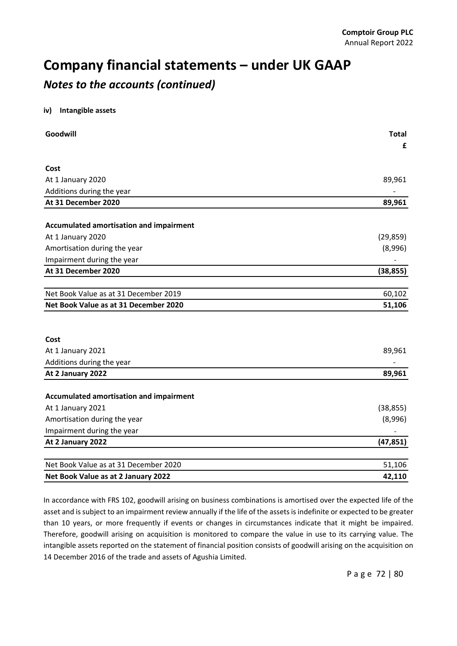### *Notes to the accounts (continued)*

### **iv) Intangible assets**

| Goodwill                                | <b>Total</b><br>£ |
|-----------------------------------------|-------------------|
|                                         |                   |
| Cost                                    |                   |
| At 1 January 2020                       | 89,961            |
| Additions during the year               |                   |
| At 31 December 2020                     | 89,961            |
| Accumulated amortisation and impairment |                   |
| At 1 January 2020                       | (29, 859)         |
| Amortisation during the year            | (8,996)           |
| Impairment during the year              |                   |
| At 31 December 2020                     | (38, 855)         |
|                                         |                   |
| Net Book Value as at 31 December 2019   | 60,102            |
| Net Book Value as at 31 December 2020   | 51,106            |
|                                         |                   |
| Cost                                    |                   |
|                                         | 89,961            |
| At 1 January 2021                       |                   |
| Additions during the year               |                   |
| At 2 January 2022                       | 89,961            |
| Accumulated amortisation and impairment |                   |
| At 1 January 2021                       | (38, 855)         |
| Amortisation during the year            | (8,996)           |
| Impairment during the year              |                   |
| At 2 January 2022                       | (47, 851)         |
|                                         |                   |
| Net Book Value as at 31 December 2020   | 51,106            |
| Net Book Value as at 2 January 2022     | 42,110            |

In accordance with FRS 102, goodwill arising on business combinations is amortised over the expected life of the asset and is subject to an impairment review annually if the life of the assets is indefinite or expected to be greater than 10 years, or more frequently if events or changes in circumstances indicate that it might be impaired. Therefore, goodwill arising on acquisition is monitored to compare the value in use to its carrying value. The intangible assets reported on the statement of financial position consists of goodwill arising on the acquisition on 14 December 2016 of the trade and assets of Agushia Limited.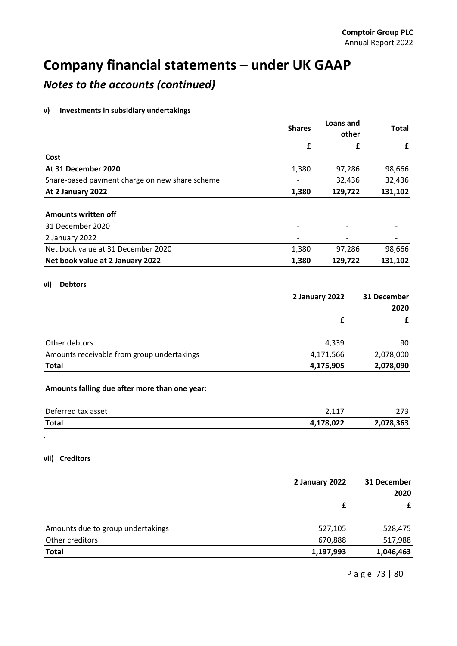## *Notes to the accounts (continued)*

### **v) Investments in subsidiary undertakings**

| £<br>£<br>£<br>Cost<br>At 31 December 2020<br>1,380<br>97,286<br>98,666<br>32,436<br>Share-based payment charge on new share scheme<br>32,436<br>1,380<br>129,722<br>131,102<br>At 2 January 2022<br><b>Amounts written off</b><br>31 December 2020<br>2 January 2022<br>Net book value at 31 December 2020<br>1,380<br>97,286<br>98,666<br>Net book value at 2 January 2022<br>1,380<br>129,722<br>131,102<br><b>Debtors</b><br>2 January 2022<br>31 December<br>2020<br>£<br>£<br>Other debtors<br>4,339<br>90<br>Amounts receivable from group undertakings<br>4,171,566<br>2,078,000<br>4,175,905<br>2,078,090<br><b>Total</b><br>Amounts falling due after more than one year:<br>Deferred tax asset<br>2,117<br>273<br>4,178,022<br>2,078,363<br><b>Total</b><br>2 January 2022<br>31 December<br>2020<br>£<br>£<br>Amounts due to group undertakings<br>527,105<br>528,475<br>Other creditors<br>670,888<br><b>Total</b><br>1,197,993<br>1,046,463 |                | <b>Shares</b> | Loans and<br>other | <b>Total</b> |
|-----------------------------------------------------------------------------------------------------------------------------------------------------------------------------------------------------------------------------------------------------------------------------------------------------------------------------------------------------------------------------------------------------------------------------------------------------------------------------------------------------------------------------------------------------------------------------------------------------------------------------------------------------------------------------------------------------------------------------------------------------------------------------------------------------------------------------------------------------------------------------------------------------------------------------------------------------------|----------------|---------------|--------------------|--------------|
| 517,988                                                                                                                                                                                                                                                                                                                                                                                                                                                                                                                                                                                                                                                                                                                                                                                                                                                                                                                                                   |                |               |                    |              |
|                                                                                                                                                                                                                                                                                                                                                                                                                                                                                                                                                                                                                                                                                                                                                                                                                                                                                                                                                           |                |               |                    |              |
|                                                                                                                                                                                                                                                                                                                                                                                                                                                                                                                                                                                                                                                                                                                                                                                                                                                                                                                                                           |                |               |                    |              |
|                                                                                                                                                                                                                                                                                                                                                                                                                                                                                                                                                                                                                                                                                                                                                                                                                                                                                                                                                           |                |               |                    |              |
|                                                                                                                                                                                                                                                                                                                                                                                                                                                                                                                                                                                                                                                                                                                                                                                                                                                                                                                                                           |                |               |                    |              |
|                                                                                                                                                                                                                                                                                                                                                                                                                                                                                                                                                                                                                                                                                                                                                                                                                                                                                                                                                           |                |               |                    |              |
|                                                                                                                                                                                                                                                                                                                                                                                                                                                                                                                                                                                                                                                                                                                                                                                                                                                                                                                                                           |                |               |                    |              |
|                                                                                                                                                                                                                                                                                                                                                                                                                                                                                                                                                                                                                                                                                                                                                                                                                                                                                                                                                           |                |               |                    |              |
|                                                                                                                                                                                                                                                                                                                                                                                                                                                                                                                                                                                                                                                                                                                                                                                                                                                                                                                                                           |                |               |                    |              |
|                                                                                                                                                                                                                                                                                                                                                                                                                                                                                                                                                                                                                                                                                                                                                                                                                                                                                                                                                           |                |               |                    |              |
|                                                                                                                                                                                                                                                                                                                                                                                                                                                                                                                                                                                                                                                                                                                                                                                                                                                                                                                                                           |                |               |                    |              |
|                                                                                                                                                                                                                                                                                                                                                                                                                                                                                                                                                                                                                                                                                                                                                                                                                                                                                                                                                           | vi)            |               |                    |              |
|                                                                                                                                                                                                                                                                                                                                                                                                                                                                                                                                                                                                                                                                                                                                                                                                                                                                                                                                                           |                |               |                    |              |
|                                                                                                                                                                                                                                                                                                                                                                                                                                                                                                                                                                                                                                                                                                                                                                                                                                                                                                                                                           |                |               |                    |              |
|                                                                                                                                                                                                                                                                                                                                                                                                                                                                                                                                                                                                                                                                                                                                                                                                                                                                                                                                                           |                |               |                    |              |
|                                                                                                                                                                                                                                                                                                                                                                                                                                                                                                                                                                                                                                                                                                                                                                                                                                                                                                                                                           |                |               |                    |              |
|                                                                                                                                                                                                                                                                                                                                                                                                                                                                                                                                                                                                                                                                                                                                                                                                                                                                                                                                                           |                |               |                    |              |
|                                                                                                                                                                                                                                                                                                                                                                                                                                                                                                                                                                                                                                                                                                                                                                                                                                                                                                                                                           |                |               |                    |              |
|                                                                                                                                                                                                                                                                                                                                                                                                                                                                                                                                                                                                                                                                                                                                                                                                                                                                                                                                                           |                |               |                    |              |
|                                                                                                                                                                                                                                                                                                                                                                                                                                                                                                                                                                                                                                                                                                                                                                                                                                                                                                                                                           |                |               |                    |              |
|                                                                                                                                                                                                                                                                                                                                                                                                                                                                                                                                                                                                                                                                                                                                                                                                                                                                                                                                                           |                |               |                    |              |
|                                                                                                                                                                                                                                                                                                                                                                                                                                                                                                                                                                                                                                                                                                                                                                                                                                                                                                                                                           |                |               |                    |              |
|                                                                                                                                                                                                                                                                                                                                                                                                                                                                                                                                                                                                                                                                                                                                                                                                                                                                                                                                                           | vii) Creditors |               |                    |              |
|                                                                                                                                                                                                                                                                                                                                                                                                                                                                                                                                                                                                                                                                                                                                                                                                                                                                                                                                                           |                |               |                    |              |
|                                                                                                                                                                                                                                                                                                                                                                                                                                                                                                                                                                                                                                                                                                                                                                                                                                                                                                                                                           |                |               |                    |              |
|                                                                                                                                                                                                                                                                                                                                                                                                                                                                                                                                                                                                                                                                                                                                                                                                                                                                                                                                                           |                |               |                    |              |
|                                                                                                                                                                                                                                                                                                                                                                                                                                                                                                                                                                                                                                                                                                                                                                                                                                                                                                                                                           |                |               |                    |              |
|                                                                                                                                                                                                                                                                                                                                                                                                                                                                                                                                                                                                                                                                                                                                                                                                                                                                                                                                                           |                |               |                    |              |
|                                                                                                                                                                                                                                                                                                                                                                                                                                                                                                                                                                                                                                                                                                                                                                                                                                                                                                                                                           |                |               |                    |              |

Page 73 | 80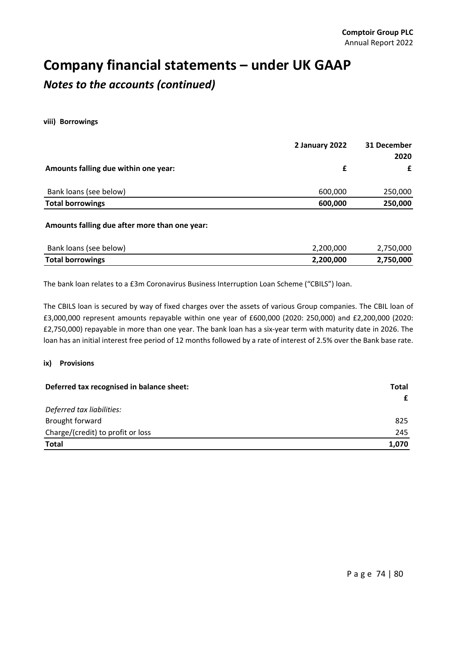## **Company financial statements – under UK GAAP** *Notes to the accounts (continued)*

**viii) Borrowings**

|         | £       |
|---------|---------|
| 600,000 | 250,000 |
| 600,000 | 250,000 |
|         |         |

#### **Amounts falling due after more than one year:**

| Bank loans (see below)  | 2,200,000 | 2,750,000 |
|-------------------------|-----------|-----------|
| <b>Total borrowings</b> | 2,200,000 | 2,750,000 |

The bank loan relates to a £3m Coronavirus Business Interruption Loan Scheme ("CBILS") loan.

The CBILS loan is secured by way of fixed charges over the assets of various Group companies. The CBIL loan of £3,000,000 represent amounts repayable within one year of £600,000 (2020: 250,000) and £2,200,000 (2020: £2,750,000) repayable in more than one year. The bank loan has a six‐year term with maturity date in 2026. The loan has an initial interest free period of 12 months followed by a rate of interest of 2.5% over the Bank base rate.

#### **ix) Provisions**

| Deferred tax recognised in balance sheet: | Total |
|-------------------------------------------|-------|
|                                           | £     |
| Deferred tax liabilities:                 |       |
| Brought forward                           | 825   |
| Charge/(credit) to profit or loss         | 245   |
| <b>Total</b>                              | 1,070 |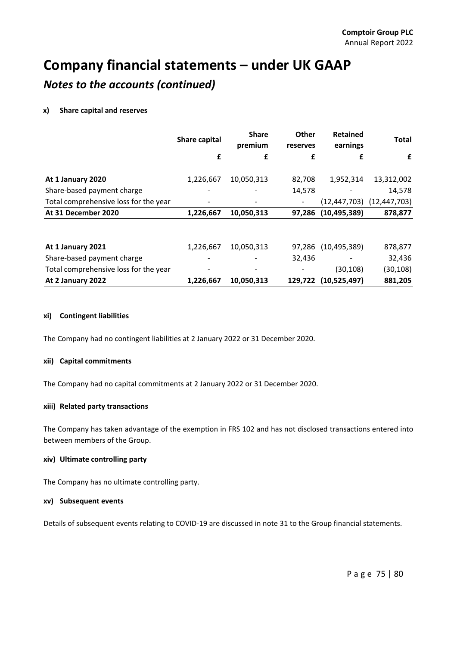### *Notes to the accounts (continued)*

### **x) Share capital and reserves**

|                                       | <b>Share capital</b> | <b>Share</b><br>premium | Other<br>reserves        | <b>Retained</b><br>earnings | <b>Total</b>   |
|---------------------------------------|----------------------|-------------------------|--------------------------|-----------------------------|----------------|
|                                       | £                    | £                       | £                        | £                           | £              |
| At 1 January 2020                     | 1,226,667            | 10,050,313              | 82,708                   | 1,952,314                   | 13,312,002     |
| Share-based payment charge            |                      |                         | 14,578                   |                             | 14,578         |
| Total comprehensive loss for the year |                      |                         | $\overline{\phantom{a}}$ | (12, 447, 703)              | (12, 447, 703) |
| At 31 December 2020                   | 1,226,667            | 10,050,313              | 97,286                   | (10, 495, 389)              | 878,877        |
|                                       |                      |                         |                          |                             |                |
| At 1 January 2021                     | 1,226,667            | 10,050,313              | 97,286                   | (10, 495, 389)              | 878,877        |
| Share-based payment charge            |                      |                         | 32,436                   |                             | 32,436         |
| Total comprehensive loss for the year |                      |                         |                          | (30,108)                    | (30, 108)      |
| At 2 January 2022                     | 1,226,667            | 10,050,313              | 129,722                  | (10,525,497)                | 881,205        |

### **xi) Contingent liabilities**

The Company had no contingent liabilities at 2 January 2022 or 31 December 2020.

### **xii) Capital commitments**

The Company had no capital commitments at 2 January 2022 or 31 December 2020.

### **xiii) Related party transactions**

The Company has taken advantage of the exemption in FRS 102 and has not disclosed transactions entered into between members of the Group.

### **xiv) Ultimate controlling party**

The Company has no ultimate controlling party.

#### **xv) Subsequent events**

Details of subsequent events relating to COVID‐19 are discussed in note 31 to the Group financial statements.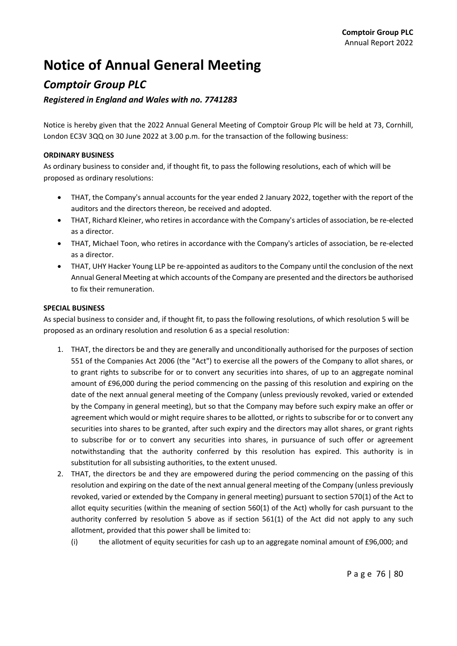# **Notice of Annual General Meeting**

### *Comptoir Group PLC*

### *Registered in England and Wales with no. 7741283*

Notice is hereby given that the 2022 Annual General Meeting of Comptoir Group Plc will be held at 73, Cornhill, London EC3V 3QQ on 30 June 2022 at 3.00 p.m. for the transaction of the following business:

### **ORDINARY BUSINESS**

As ordinary business to consider and, if thought fit, to pass the following resolutions, each of which will be proposed as ordinary resolutions:

- THAT, the Company's annual accounts for the year ended 2 January 2022, together with the report of the auditors and the directors thereon, be received and adopted.
- THAT, Richard Kleiner, who retires in accordance with the Company's articles of association, be re-elected as a director.
- THAT, Michael Toon, who retires in accordance with the Company's articles of association, be re-elected as a director.
- THAT, UHY Hacker Young LLP be re-appointed as auditors to the Company until the conclusion of the next Annual General Meeting at which accounts of the Company are presented and the directors be authorised to fix their remuneration.

### **SPECIAL BUSINESS**

As special business to consider and, if thought fit, to pass the following resolutions, of which resolution 5 will be proposed as an ordinary resolution and resolution 6 as a special resolution:

- 1. THAT, the directors be and they are generally and unconditionally authorised for the purposes of section 551 of the Companies Act 2006 (the "Act") to exercise all the powers of the Company to allot shares, or to grant rights to subscribe for or to convert any securities into shares, of up to an aggregate nominal amount of £96,000 during the period commencing on the passing of this resolution and expiring on the date of the next annual general meeting of the Company (unless previously revoked, varied or extended by the Company in general meeting), but so that the Company may before such expiry make an offer or agreement which would or might require shares to be allotted, or rights to subscribe for or to convert any securities into shares to be granted, after such expiry and the directors may allot shares, or grant rights to subscribe for or to convert any securities into shares, in pursuance of such offer or agreement notwithstanding that the authority conferred by this resolution has expired. This authority is in substitution for all subsisting authorities, to the extent unused.
- 2. THAT, the directors be and they are empowered during the period commencing on the passing of this resolution and expiring on the date of the next annual general meeting of the Company (unless previously revoked, varied or extended by the Company in general meeting) pursuant to section 570(1) of the Act to allot equity securities (within the meaning of section 560(1) of the Act) wholly for cash pursuant to the authority conferred by resolution 5 above as if section 561(1) of the Act did not apply to any such allotment, provided that this power shall be limited to:
	- (i) the allotment of equity securities for cash up to an aggregate nominal amount of £96,000; and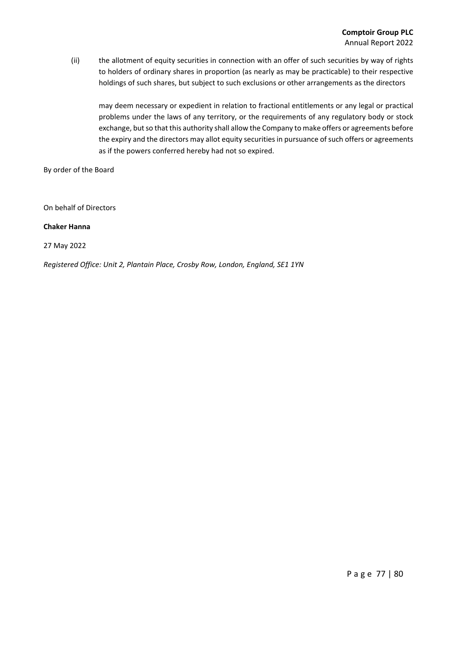(ii) the allotment of equity securities in connection with an offer of such securities by way of rights to holders of ordinary shares in proportion (as nearly as may be practicable) to their respective holdings of such shares, but subject to such exclusions or other arrangements as the directors

may deem necessary or expedient in relation to fractional entitlements or any legal or practical problems under the laws of any territory, or the requirements of any regulatory body or stock exchange, but so that this authority shall allow the Company to make offers or agreements before the expiry and the directors may allot equity securities in pursuance of such offers or agreements as if the powers conferred hereby had not so expired.

By order of the Board

On behalf of Directors

### **Chaker Hanna**

27 May 2022

*Registered Office: Unit 2, Plantain Place, Crosby Row, London, England, SE1 1YN*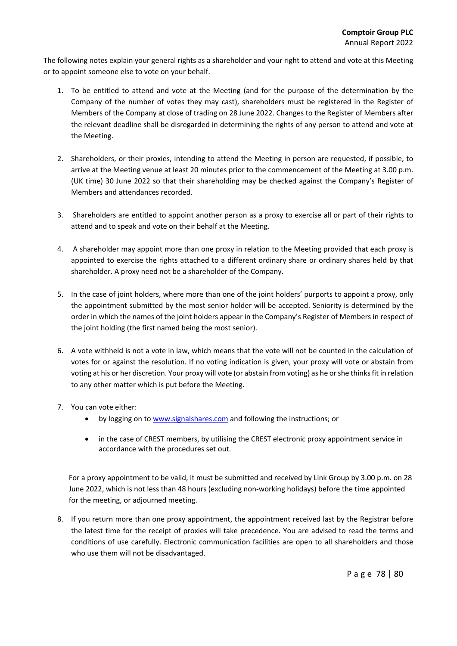The following notes explain your general rights as a shareholder and your right to attend and vote at this Meeting or to appoint someone else to vote on your behalf.

- 1. To be entitled to attend and vote at the Meeting (and for the purpose of the determination by the Company of the number of votes they may cast), shareholders must be registered in the Register of Members of the Company at close of trading on 28 June 2022. Changes to the Register of Members after the relevant deadline shall be disregarded in determining the rights of any person to attend and vote at the Meeting.
- 2. Shareholders, or their proxies, intending to attend the Meeting in person are requested, if possible, to arrive at the Meeting venue at least 20 minutes prior to the commencement of the Meeting at 3.00 p.m. (UK time) 30 June 2022 so that their shareholding may be checked against the Company's Register of Members and attendances recorded.
- 3. Shareholders are entitled to appoint another person as a proxy to exercise all or part of their rights to attend and to speak and vote on their behalf at the Meeting.
- 4. A shareholder may appoint more than one proxy in relation to the Meeting provided that each proxy is appointed to exercise the rights attached to a different ordinary share or ordinary shares held by that shareholder. A proxy need not be a shareholder of the Company.
- 5. In the case of joint holders, where more than one of the joint holders' purports to appoint a proxy, only the appointment submitted by the most senior holder will be accepted. Seniority is determined by the order in which the names of the joint holders appear in the Company's Register of Members in respect of the joint holding (the first named being the most senior).
- 6. A vote withheld is not a vote in law, which means that the vote will not be counted in the calculation of votes for or against the resolution. If no voting indication is given, your proxy will vote or abstain from voting at his or her discretion. Your proxy will vote (or abstain from voting) as he orshe thinksfit in relation to any other matter which is put before the Meeting.
- 7. You can vote either:
	- by logging on to www.signalshares.com and following the instructions; or
	- in the case of CREST members, by utilising the CREST electronic proxy appointment service in accordance with the procedures set out.

For a proxy appointment to be valid, it must be submitted and received by Link Group by 3.00 p.m. on 28 June 2022, which is not less than 48 hours (excluding non‐working holidays) before the time appointed for the meeting, or adjourned meeting.

8. If you return more than one proxy appointment, the appointment received last by the Registrar before the latest time for the receipt of proxies will take precedence. You are advised to read the terms and conditions of use carefully. Electronic communication facilities are open to all shareholders and those who use them will not be disadvantaged.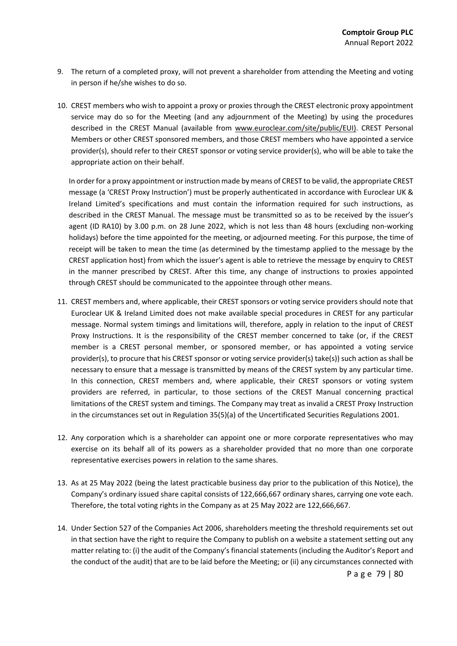- 9. The return of a completed proxy, will not prevent a shareholder from attending the Meeting and voting in person if he/she wishes to do so.
- 10. CREST members who wish to appoint a proxy or proxies through the CREST electronic proxy appointment service may do so for the Meeting (and any adjournment of the Meeting) by using the procedures described in the CREST Manual (available from www.euroclear.com/site/public/EUI). CREST Personal Members or other CREST sponsored members, and those CREST members who have appointed a service provider(s), should refer to their CREST sponsor or voting service provider(s), who will be able to take the appropriate action on their behalf.

In order for a proxy appointment or instruction made by means of CREST to be valid, the appropriate CREST message (a 'CREST Proxy Instruction') must be properly authenticated in accordance with Euroclear UK & Ireland Limited's specifications and must contain the information required for such instructions, as described in the CREST Manual. The message must be transmitted so as to be received by the issuer's agent (ID RA10) by 3.00 p.m. on 28 June 2022, which is not less than 48 hours (excluding non-working holidays) before the time appointed for the meeting, or adjourned meeting. For this purpose, the time of receipt will be taken to mean the time (as determined by the timestamp applied to the message by the CREST application host) from which the issuer's agent is able to retrieve the message by enquiry to CREST in the manner prescribed by CREST. After this time, any change of instructions to proxies appointed through CREST should be communicated to the appointee through other means.

- 11. CREST members and, where applicable, their CREST sponsors or voting service providers should note that Euroclear UK & Ireland Limited does not make available special procedures in CREST for any particular message. Normal system timings and limitations will, therefore, apply in relation to the input of CREST Proxy Instructions. It is the responsibility of the CREST member concerned to take (or, if the CREST member is a CREST personal member, or sponsored member, or has appointed a voting service provider(s), to procure that his CREST sponsor or voting service provider(s) take(s)) such action as shall be necessary to ensure that a message is transmitted by means of the CREST system by any particular time. In this connection, CREST members and, where applicable, their CREST sponsors or voting system providers are referred, in particular, to those sections of the CREST Manual concerning practical limitations of the CREST system and timings. The Company may treat as invalid a CREST Proxy Instruction in the circumstances set out in Regulation 35(5)(a) of the Uncertificated Securities Regulations 2001.
- 12. Any corporation which is a shareholder can appoint one or more corporate representatives who may exercise on its behalf all of its powers as a shareholder provided that no more than one corporate representative exercises powers in relation to the same shares.
- 13. As at 25 May 2022 (being the latest practicable business day prior to the publication of this Notice), the Company's ordinary issued share capital consists of 122,666,667 ordinary shares, carrying one vote each. Therefore, the total voting rights in the Company as at 25 May 2022 are 122,666,667.
- 14. Under Section 527 of the Companies Act 2006, shareholders meeting the threshold requirements set out in that section have the right to require the Company to publish on a website a statement setting out any matter relating to: (i) the audit of the Company's financial statements (including the Auditor's Report and the conduct of the audit) that are to be laid before the Meeting; or (ii) any circumstances connected with

Page 79 | 80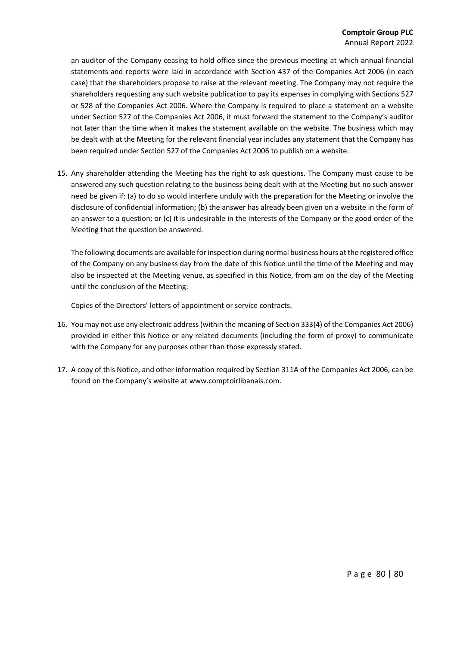an auditor of the Company ceasing to hold office since the previous meeting at which annual financial statements and reports were laid in accordance with Section 437 of the Companies Act 2006 (in each case) that the shareholders propose to raise at the relevant meeting. The Company may not require the shareholders requesting any such website publication to pay its expenses in complying with Sections 527 or 528 of the Companies Act 2006. Where the Company is required to place a statement on a website under Section 527 of the Companies Act 2006, it must forward the statement to the Company's auditor not later than the time when it makes the statement available on the website. The business which may be dealt with at the Meeting for the relevant financial year includes any statement that the Company has been required under Section 527 of the Companies Act 2006 to publish on a website.

15. Any shareholder attending the Meeting has the right to ask questions. The Company must cause to be answered any such question relating to the business being dealt with at the Meeting but no such answer need be given if: (a) to do so would interfere unduly with the preparation for the Meeting or involve the disclosure of confidential information; (b) the answer has already been given on a website in the form of an answer to a question; or (c) it is undesirable in the interests of the Company or the good order of the Meeting that the question be answered.

The following documents are available for inspection during normal business hours at the registered office of the Company on any business day from the date of this Notice until the time of the Meeting and may also be inspected at the Meeting venue, as specified in this Notice, from am on the day of the Meeting until the conclusion of the Meeting:

Copies of the Directors' letters of appointment or service contracts.

- 16. You may not use any electronic address(within the meaning of Section 333(4) of the Companies Act 2006) provided in either this Notice or any related documents (including the form of proxy) to communicate with the Company for any purposes other than those expressly stated.
- 17. A copy of this Notice, and other information required by Section 311A of the Companies Act 2006, can be found on the Company's website at www.comptoirlibanais.com.